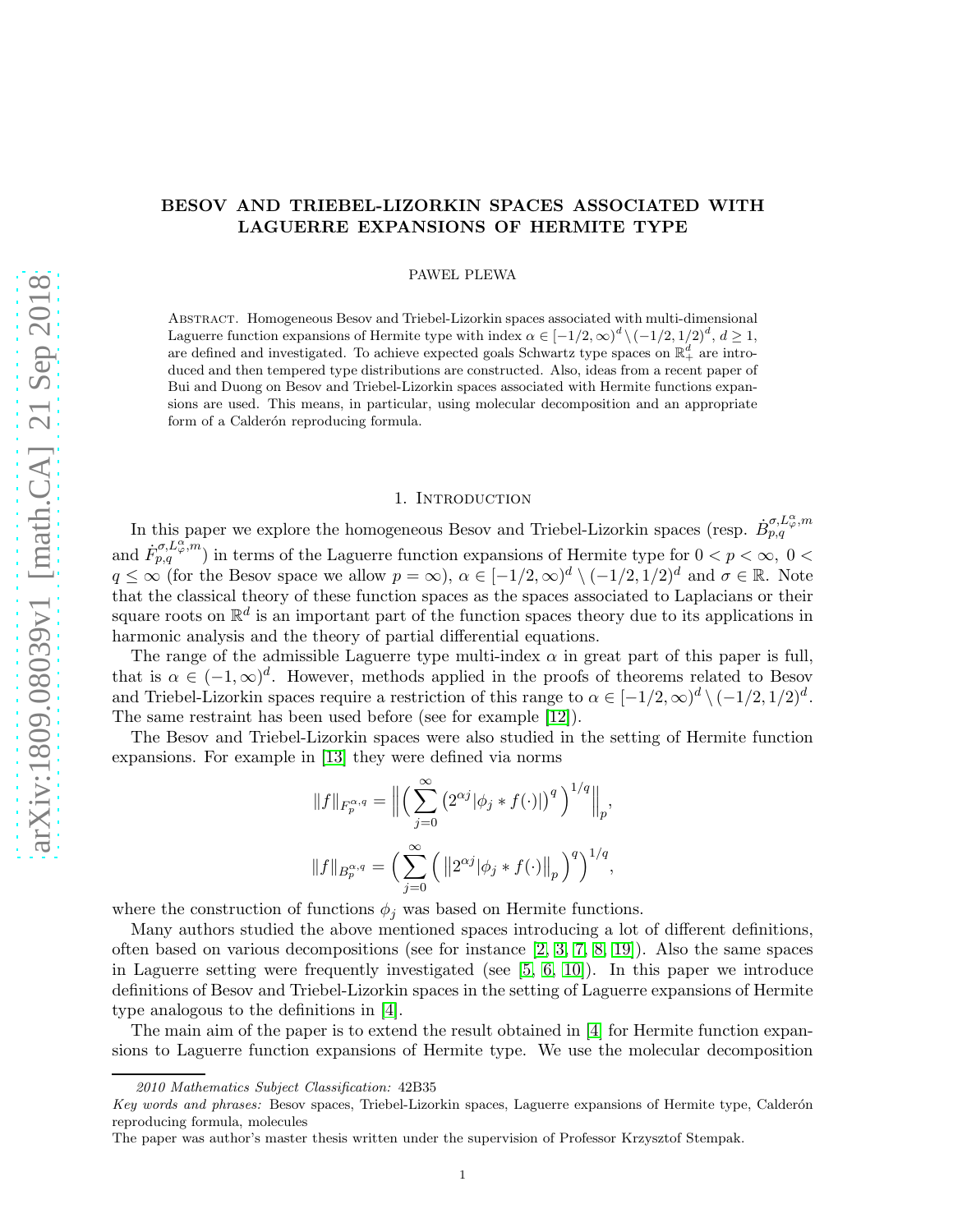## BESOV AND TRIEBEL-LIZORKIN SPACES ASSOCIATED WITH LAGUERRE EXPANSIONS OF HERMITE TYPE

PAWEL PLEWA

Abstract. Homogeneous Besov and Triebel-Lizorkin spaces associated with multi-dimensional Laguerre function expansions of Hermite type with index  $\alpha \in [-1/2, \infty)^d \setminus (-1/2, 1/2)^d, d \ge 1$ , are defined and investigated. To achieve expected goals Schwartz type spaces on  $\mathbb{R}^d_+$  are introduced and then tempered type distributions are constructed. Also, ideas from a recent paper of Bui and Duong on Besov and Triebel-Lizorkin spaces associated with Hermite functions expansions are used. This means, in particular, using molecular decomposition and an appropriate form of a Calderón reproducing formula.

### 1. INTRODUCTION

In this paper we explore the homogeneous Besov and Triebel-Lizorkin spaces (resp.  $\dot{B}^{\sigma,L_{\varphi}^{\alpha},m}_{p,q}$ and  $F_{p,q}^{\sigma,L_{\varphi}^{\alpha},m}$  in terms of the Laguerre function expansions of Hermite type for  $0 < p < \infty$ ,  $0 <$  $q \leq \infty$  (for the Besov space we allow  $p = \infty$ ),  $\alpha \in [-1/2, \infty)^d \setminus (-1/2, 1/2)^d$  and  $\sigma \in \mathbb{R}$ . Note that the classical theory of these function spaces as the spaces associated to Laplacians or their square roots on  $\mathbb{R}^d$  is an important part of the function spaces theory due to its applications in harmonic analysis and the theory of partial differential equations.

The range of the admissible Laguerre type multi-index  $\alpha$  in great part of this paper is full, that is  $\alpha \in (-1,\infty)^d$ . However, methods applied in the proofs of theorems related to Besov and Triebel-Lizorkin spaces require a restriction of this range to  $\alpha \in [-1/2, \infty)^d \setminus (-1/2, 1/2)^d$ . The same restraint has been used before (see for example [\[12\]](#page-24-0)).

The Besov and Triebel-Lizorkin spaces were also studied in the setting of Hermite function expansions. For example in [\[13\]](#page-24-1) they were defined via norms

$$
||f||_{F_p^{\alpha,q}} = \Big\| \Big( \sum_{j=0}^{\infty} \left( 2^{\alpha j} |\phi_j * f(\cdot)| \right)^q \Big)^{1/q} \Big\|_p,
$$
  

$$
||f||_{B_p^{\alpha,q}} = \Big( \sum_{j=0}^{\infty} \Big( ||2^{\alpha j} |\phi_j * f(\cdot)||_p \Big)^q \Big)^{1/q},
$$

where the construction of functions  $\phi_i$  was based on Hermite functions.

Many authors studied the above mentioned spaces introducing a lot of different definitions, often based on various decompositions (see for instance [\[2,](#page-24-2) [3,](#page-24-3) [7,](#page-24-4) [8,](#page-24-5) [19\]](#page-24-6)). Also the same spaces in Laguerre setting were frequently investigated (see  $[5, 6, 10]$  $[5, 6, 10]$  $[5, 6, 10]$ ). In this paper we introduce definitions of Besov and Triebel-Lizorkin spaces in the setting of Laguerre expansions of Hermite type analogous to the definitions in [\[4\]](#page-24-10).

The main aim of the paper is to extend the result obtained in [\[4\]](#page-24-10) for Hermite function expansions to Laguerre function expansions of Hermite type. We use the molecular decomposition

<sup>2010</sup> Mathematics Subject Classification: 42B35

Key words and phrases: Besov spaces, Triebel-Lizorkin spaces, Laguerre expansions of Hermite type, Calderón reproducing formula, molecules

The paper was author's master thesis written under the supervision of Professor Krzysztof Stempak.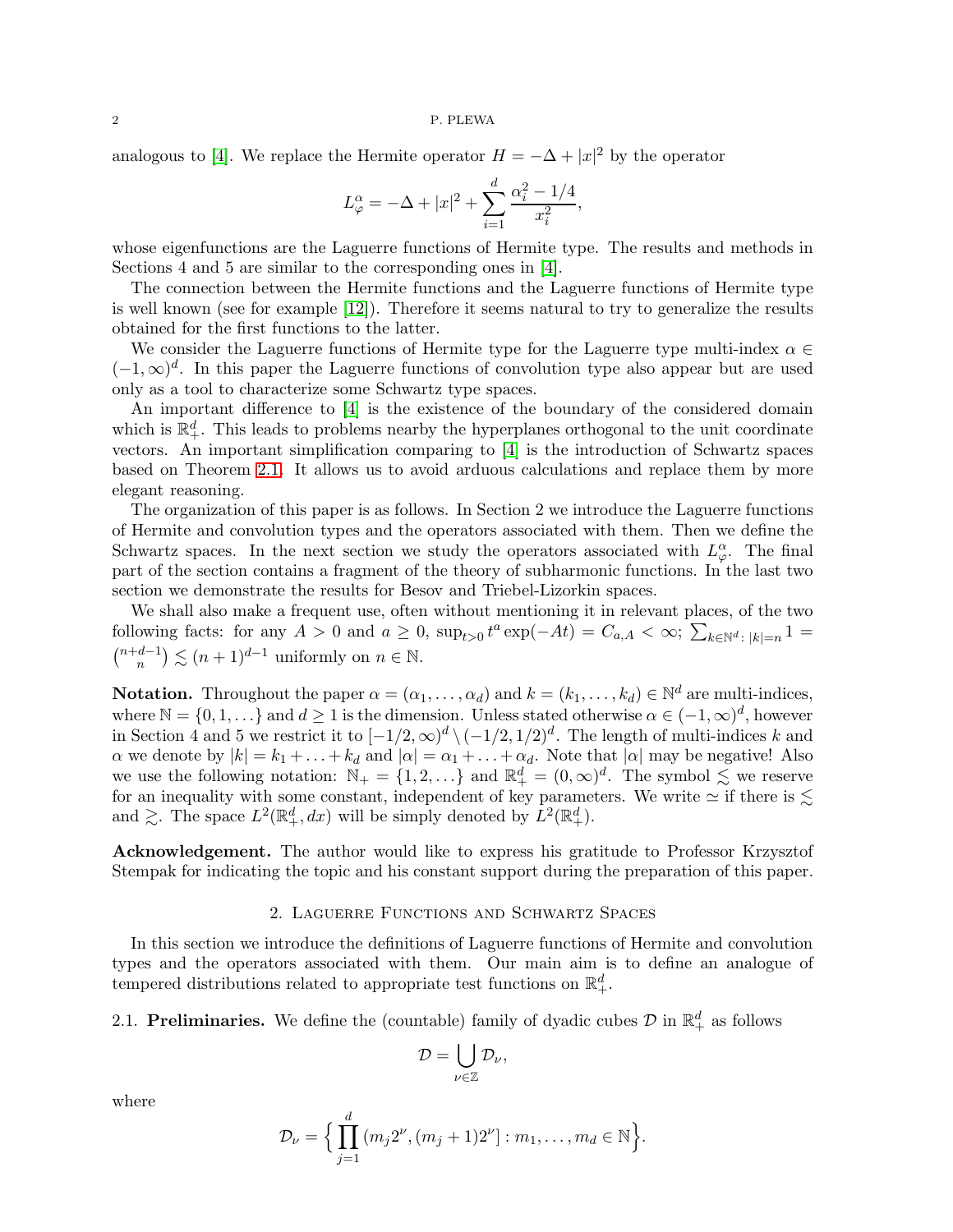### $2\,$  P. PLEWA

analogous to [\[4\]](#page-24-10). We replace the Hermite operator  $H = -\Delta + |x|^2$  by the operator

$$
L^{\alpha}_{\varphi} = -\Delta + |x|^2 + \sum_{i=1}^{d} \frac{\alpha_i^2 - 1/4}{x_i^2},
$$

whose eigenfunctions are the Laguerre functions of Hermite type. The results and methods in Sections 4 and 5 are similar to the corresponding ones in [\[4\]](#page-24-10).

The connection between the Hermite functions and the Laguerre functions of Hermite type is well known (see for example [\[12\]](#page-24-0)). Therefore it seems natural to try to generalize the results obtained for the first functions to the latter.

We consider the Laguerre functions of Hermite type for the Laguerre type multi-index  $\alpha \in$  $(-1, \infty)^d$ . In this paper the Laguerre functions of convolution type also appear but are used only as a tool to characterize some Schwartz type spaces.

An important difference to [\[4\]](#page-24-10) is the existence of the boundary of the considered domain which is  $\mathbb{R}^d_+$ . This leads to problems nearby the hyperplanes orthogonal to the unit coordinate vectors. An important simplification comparing to [\[4\]](#page-24-10) is the introduction of Schwartz spaces based on Theorem [2.1.](#page-3-0) It allows us to avoid arduous calculations and replace them by more elegant reasoning.

The organization of this paper is as follows. In Section 2 we introduce the Laguerre functions of Hermite and convolution types and the operators associated with them. Then we define the Schwartz spaces. In the next section we study the operators associated with  $L^{\alpha}_{\varphi}$ . The final part of the section contains a fragment of the theory of subharmonic functions. In the last two section we demonstrate the results for Besov and Triebel-Lizorkin spaces.

We shall also make a frequent use, often without mentioning it in relevant places, of the two following facts: for any  $A > 0$  and  $a \ge 0$ ,  $\sup_{t>0} t^a \exp(-At) = C_{a,A} < \infty$ ;  $\sum_{k \in \mathbb{N}^d : |k|=n} 1 =$  $\binom{n+d-1}{n} \lesssim (n+1)^{d-1}$  uniformly on  $n \in \mathbb{N}$ .

**Notation.** Throughout the paper  $\alpha = (\alpha_1, \dots, \alpha_d)$  and  $k = (k_1, \dots, k_d) \in \mathbb{N}^d$  are multi-indices, where  $\mathbb{N} = \{0, 1, \ldots\}$  and  $d \geq 1$  is the dimension. Unless stated otherwise  $\alpha \in (-1, \infty)^d$ , however in Section 4 and 5 we restrict it to  $[-1/2,\infty)^d \setminus (-1/2,1/2)^d$ . The length of multi-indices k and  $\alpha$  we denote by  $|k| = k_1 + \ldots + k_d$  and  $|\alpha| = \alpha_1 + \ldots + \alpha_d$ . Note that  $|\alpha|$  may be negative! Also we use the following notation:  $\mathbb{N}_+ = \{1, 2, \ldots\}$  and  $\mathbb{R}_+^d = (0, \infty)^d$ . The symbol  $\lesssim$  we reserve for an inequality with some constant, independent of key parameters. We write  $\simeq$  if there is  $\lesssim$ and  $\gtrsim$ . The space  $L^2(\mathbb{R}^d_+, dx)$  will be simply denoted by  $L^2(\mathbb{R}^d_+)$ .

Acknowledgement. The author would like to express his gratitude to Professor Krzysztof Stempak for indicating the topic and his constant support during the preparation of this paper.

### 2. Laguerre Functions and Schwartz Spaces

In this section we introduce the definitions of Laguerre functions of Hermite and convolution types and the operators associated with them. Our main aim is to define an analogue of tempered distributions related to appropriate test functions on  $\mathbb{R}^d_+$ .

2.1. Preliminaries. We define the (countable) family of dyadic cubes  $\mathcal{D}$  in  $\mathbb{R}^d_+$  as follows

$$
\mathcal{D}=\bigcup_{\nu\in\mathbb{Z}}\mathcal{D}_{\nu},
$$

where

$$
\mathcal{D}_{\nu} = \Big\{ \prod_{j=1}^{d} (m_j 2^{\nu}, (m_j + 1) 2^{\nu}] : m_1, \dots, m_d \in \mathbb{N} \Big\}.
$$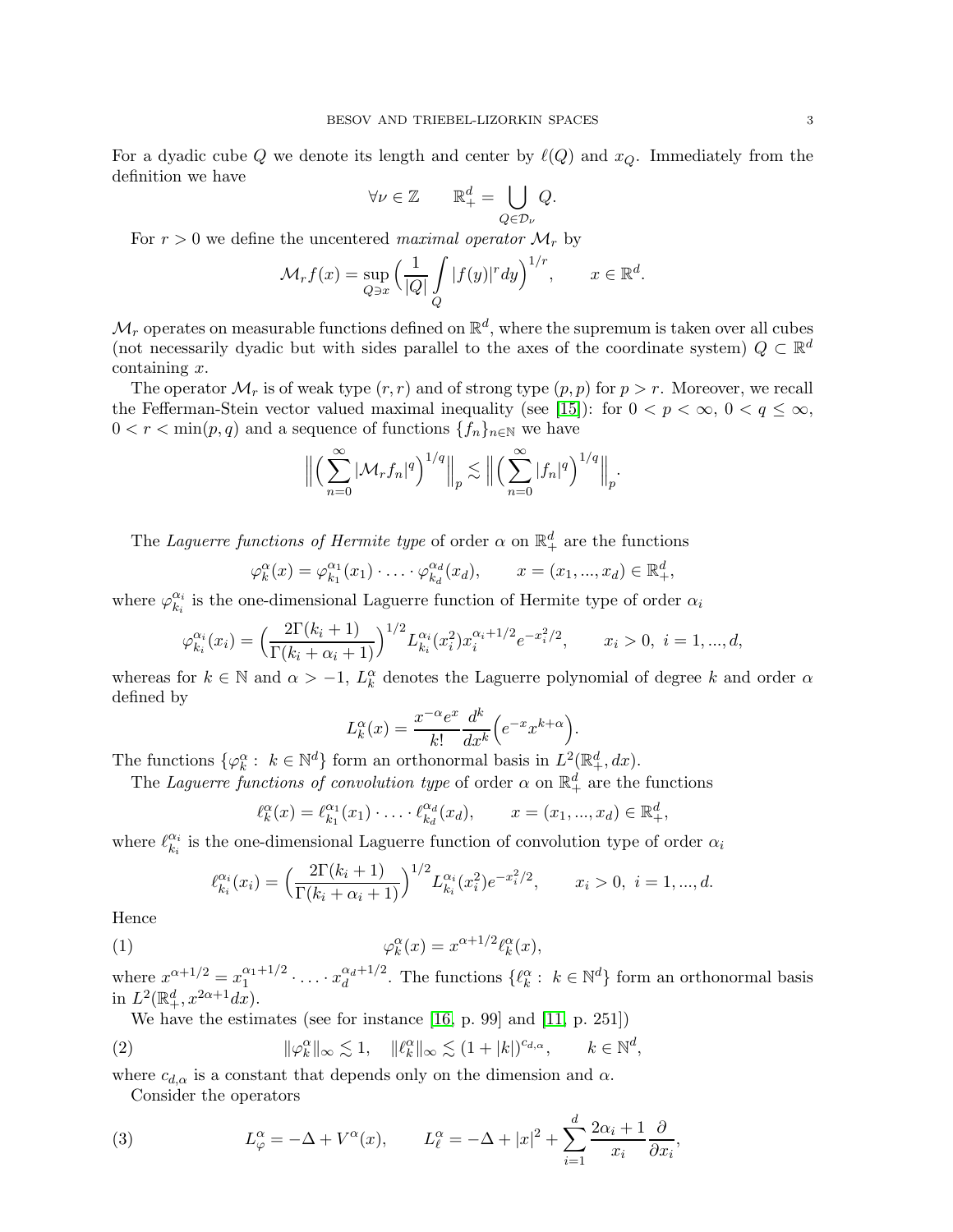For a dyadic cube Q we denote its length and center by  $\ell(Q)$  and  $x_Q$ . Immediately from the definition we have

$$
\forall \nu \in \mathbb{Z} \qquad \mathbb{R}^d_+ = \bigcup_{Q \in \mathcal{D}_\nu} Q.
$$

For  $r > 0$  we define the uncentered maximal operator  $\mathcal{M}_r$  by

$$
\mathcal{M}_r f(x) = \sup_{Q \ni x} \left( \frac{1}{|Q|} \int_Q |f(y)|^r dy \right)^{1/r}, \qquad x \in \mathbb{R}^d.
$$

 $\mathcal{M}_r$  operates on measurable functions defined on  $\mathbb{R}^d$ , where the supremum is taken over all cubes (not necessarily dyadic but with sides parallel to the axes of the coordinate system)  $Q \subset \mathbb{R}^d$  $\text{containing } x.$ 

The operator  $\mathcal{M}_r$  is of weak type  $(r, r)$  and of strong type  $(p, p)$  for  $p > r$ . Moreover, we recall the Fefferman-Stein vector valued maximal inequality (see [\[15\]](#page-24-11)): for  $0 < p < \infty$ ,  $0 < q \le \infty$ ,  $0 < r < \min(p, q)$  and a sequence of functions  $\{f_n\}_{n \in \mathbb{N}}$  we have

$$
\Big\|\Big(\sum_{n=0}^{\infty}|\mathcal{M}_rf_n|^q\Big)^{1/q}\Big\|_p\lesssim\Big\|\Big(\sum_{n=0}^{\infty}|f_n|^q\Big)^{1/q}\Big\|_p.
$$

The Laguerre functions of Hermite type of order  $\alpha$  on  $\mathbb{R}^d_+$  are the functions

$$
\varphi_k^{\alpha}(x) = \varphi_{k_1}^{\alpha_1}(x_1) \cdot \ldots \cdot \varphi_{k_d}^{\alpha_d}(x_d), \qquad x = (x_1, ..., x_d) \in \mathbb{R}_+^d,
$$

where  $\varphi_{k_i}^{\alpha_i}$  $\frac{\alpha_i}{k_i}$  is the one-dimensional Laguerre function of Hermite type of order  $\alpha_i$ 

$$
\varphi_{k_i}^{\alpha_i}(x_i) = \left(\frac{2\Gamma(k_i+1)}{\Gamma(k_i+\alpha_i+1)}\right)^{1/2} L_{k_i}^{\alpha_i}(x_i^2) x_i^{\alpha_i+1/2} e^{-x_i^2/2}, \qquad x_i > 0, \ i = 1, ..., d,
$$

whereas for  $k \in \mathbb{N}$  and  $\alpha > -1$ ,  $L_k^{\alpha}$  denotes the Laguerre polynomial of degree k and order  $\alpha$ defined by

$$
L_k^{\alpha}(x) = \frac{x^{-\alpha}e^x}{k!} \frac{d^k}{dx^k} \left( e^{-x} x^{k+\alpha} \right).
$$

The functions  $\{\varphi_k^{\alpha} : k \in \mathbb{N}^d\}$  form an orthonormal basis in  $L^2(\mathbb{R}^d_+, dx)$ .

The Laguerre functions of convolution type of order  $\alpha$  on  $\mathbb{R}^d_+$  are the functions

<span id="page-2-0"></span>
$$
\ell_k^{\alpha}(x) = \ell_{k_1}^{\alpha_1}(x_1) \cdot \ldots \cdot \ell_{k_d}^{\alpha_d}(x_d), \qquad x = (x_1, ..., x_d) \in \mathbb{R}_+^d,
$$

where  $\ell_{k_i}^{\alpha_i}$  $\alpha_i \atop k_i$  is the one-dimensional Laguerre function of convolution type of order  $\alpha_i$ 

$$
\ell_{k_i}^{\alpha_i}(x_i) = \left(\frac{2\Gamma(k_i+1)}{\Gamma(k_i+\alpha_i+1)}\right)^{1/2} L_{k_i}^{\alpha_i}(x_i^2) e^{-x_i^2/2}, \qquad x_i > 0, \ i = 1, ..., d.
$$

Hence

(1) 
$$
\varphi_k^{\alpha}(x) = x^{\alpha + 1/2} \ell_k^{\alpha}(x),
$$

where  $x^{\alpha+1/2} = x_1^{\alpha_1+1/2}$  $x_1^{a_1+1/2} \cdot \ldots \cdot x_d^{a_d+1/2}$  $\mathcal{A}_d^{a+1/2}$ . The functions  $\{\ell_k^{\alpha}: k \in \mathbb{N}^d\}$  form an orthonormal basis in  $L^2(\mathbb{R}^d_+, x^{2\alpha+1}dx)$ .

,

<span id="page-2-1"></span>We have the estimates (see for instance [\[16,](#page-24-12) p. 99] and [\[11,](#page-24-13) p. 251])

(2) 
$$
\|\varphi_k^{\alpha}\|_{\infty} \lesssim 1, \quad \|\ell_k^{\alpha}\|_{\infty} \lesssim (1+|k|)^{c_{d,\alpha}}, \qquad k \in \mathbb{N}^d
$$

where  $c_{d,\alpha}$  is a constant that depends only on the dimension and  $\alpha.$ 

<span id="page-2-2"></span>Consider the operators

(3) 
$$
L^{\alpha}_{\varphi} = -\Delta + V^{\alpha}(x), \qquad L^{\alpha}_{\ell} = -\Delta + |x|^2 + \sum_{i=1}^{d} \frac{2\alpha_i + 1}{x_i} \frac{\partial}{\partial x_i},
$$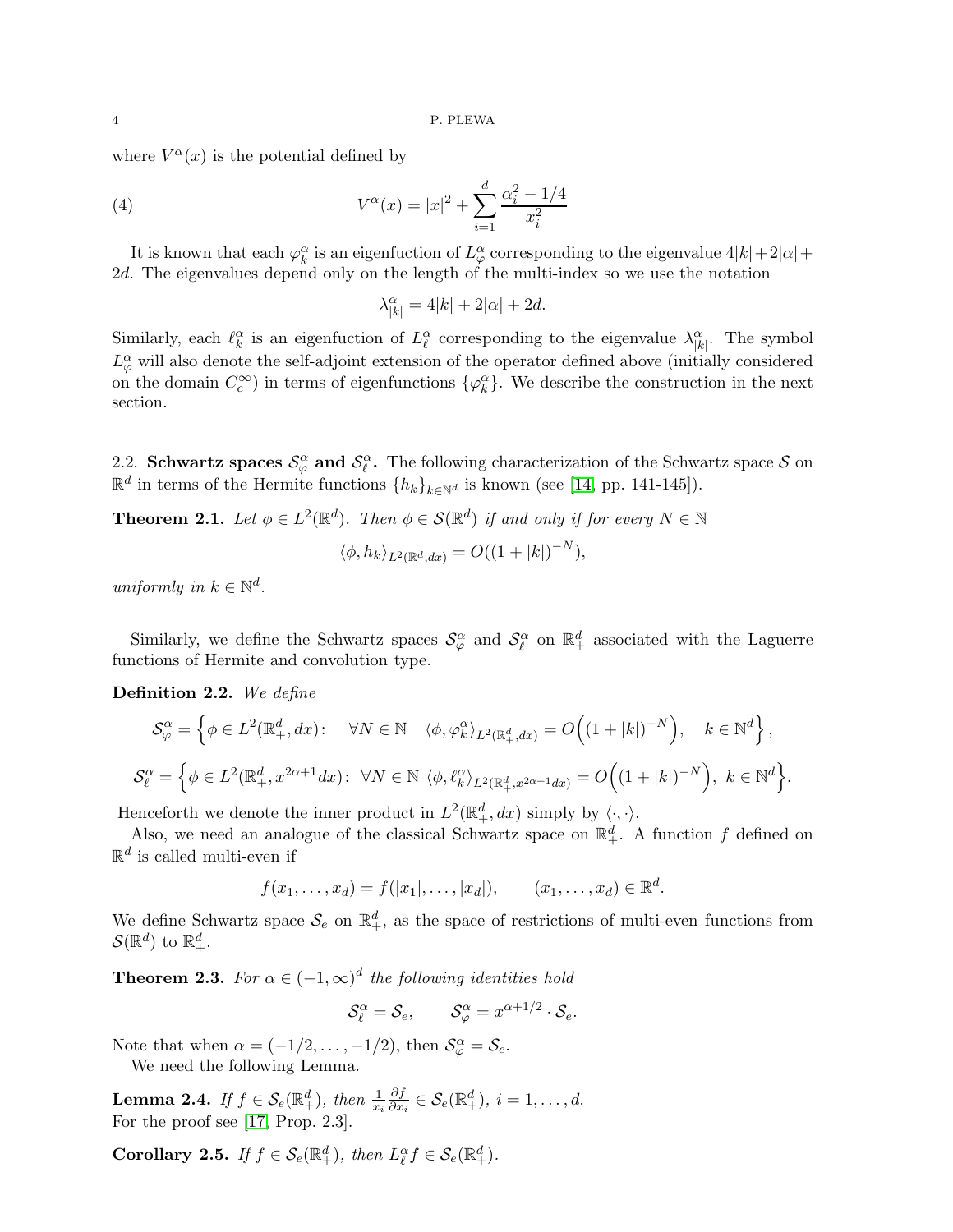where  $V^{\alpha}(x)$  is the potential defined by

(4) 
$$
V^{\alpha}(x) = |x|^2 + \sum_{i=1}^{d} \frac{\alpha_i^2 - 1/4}{x_i^2}
$$

It is known that each  $\varphi_k^{\alpha}$  is an eigenfuction of  $L^{\alpha}_{\varphi}$  corresponding to the eigenvalue  $4|k|+2|\alpha|+$ 2d. The eigenvalues depend only on the length of the multi-index so we use the notation

<span id="page-3-4"></span>
$$
\lambda^{\alpha}_{|k|}=4|k|+2|\alpha|+2d.
$$

Similarly, each  $\ell_k^{\alpha}$  is an eigenfuction of  $L_{\ell}^{\alpha}$  corresponding to the eigenvalue  $\lambda_{|k|}^{\alpha}$ . The symbol  $L^{\alpha}_{\varphi}$  will also denote the self-adjoint extension of the operator defined above (initially considered on the domain  $C_c^{\infty}$ ) in terms of eigenfunctions  $\{\varphi_k^{\alpha}\}\$ . We describe the construction in the next section.

2.2. Schwartz spaces  $S^{\alpha}_{\varphi}$  and  $S^{\alpha}_{\ell}$ . The following characterization of the Schwartz space S on  $\mathbb{R}^d$  in terms of the Hermite functions  $\{h_k\}_{k\in\mathbb{N}^d}$  is known (see [\[14,](#page-24-14) pp. 141-145]).

<span id="page-3-0"></span>**Theorem 2.1.** Let  $\phi \in L^2(\mathbb{R}^d)$ . Then  $\phi \in \mathcal{S}(\mathbb{R}^d)$  if and only if for every  $N \in \mathbb{N}$ 

$$
\langle \phi, h_k \rangle_{L^2(\mathbb{R}^d, dx)} = O((1+|k|)^{-N}),
$$

uniformly in  $k \in \mathbb{N}^d$ .

Similarly, we define the Schwartz spaces  $\mathcal{S}_{\varphi}^{\alpha}$  and  $\mathcal{S}_{\ell}^{\alpha}$  on  $\mathbb{R}_{+}^{d}$  associated with the Laguerre functions of Hermite and convolution type.

Definition 2.2. We define

$$
\mathcal{S}_{\varphi}^{\alpha} = \left\{ \phi \in L^{2}(\mathbb{R}^{d}_{+}, dx) : \quad \forall N \in \mathbb{N} \quad \langle \phi, \varphi_{k}^{\alpha} \rangle_{L^{2}(\mathbb{R}^{d}_{+}, dx)} = O\Big((1+|k|)^{-N}\Big), \quad k \in \mathbb{N}^{d} \right\},
$$
  

$$
\mathcal{S}_{\ell}^{\alpha} = \left\{ \phi \in L^{2}(\mathbb{R}^{d}_{+}, x^{2\alpha+1} dx) : \ \forall N \in \mathbb{N} \ \langle \phi, \ell_{k}^{\alpha} \rangle_{L^{2}(\mathbb{R}^{d}_{+}, x^{2\alpha+1} dx)} = O\Big((1+|k|)^{-N}\Big), \ k \in \mathbb{N}^{d} \right\}.
$$

Henceforth we denote the inner product in  $L^2(\mathbb{R}^d_+, dx)$  simply by  $\langle \cdot, \cdot \rangle$ .

Also, we need an analogue of the classical Schwartz space on  $\mathbb{R}^d_+$ . A function f defined on  $\mathbb{R}^d$  is called multi-even if

$$
f(x_1,...,x_d) = f(|x_1|,...,|x_d|),
$$
  $(x_1,...,x_d) \in \mathbb{R}^d$ 

.

We define Schwartz space  $\mathcal{S}_e$  on  $\mathbb{R}^d_+$ , as the space of restrictions of multi-even functions from  $\mathcal{S}(\mathbb{R}^d)$  to  $\mathbb{R}^d_+$ .

<span id="page-3-2"></span>**Theorem 2.3.** For  $\alpha \in (-1, \infty)^d$  the following identities hold

$$
\mathcal{S}_{\ell}^{\alpha} = \mathcal{S}_{e}, \qquad \mathcal{S}_{\varphi}^{\alpha} = x^{\alpha + 1/2} \cdot \mathcal{S}_{e}.
$$

Note that when  $\alpha = (-1/2, \ldots, -1/2)$ , then  $\mathcal{S}_{\varphi}^{\alpha} = \mathcal{S}_{e}$ . We need the following Lemma.

<span id="page-3-1"></span>**Lemma 2.4.** If  $f \in \mathcal{S}_e(\mathbb{R}^d_+)$ , then  $\frac{1}{x_i}$ ∂f  $\frac{\partial f}{\partial x_i} \in \mathcal{S}_e(\mathbb{R}^d_+), i = 1, \ldots, d.$ For the proof see [\[17,](#page-24-15) Prop. 2.3].

<span id="page-3-3"></span>Corollary 2.5. If  $f \in \mathcal{S}_e(\mathbb{R}^d_+)$ , then  $L^{\alpha}_{\ell} f \in \mathcal{S}_e(\mathbb{R}^d_+)$ .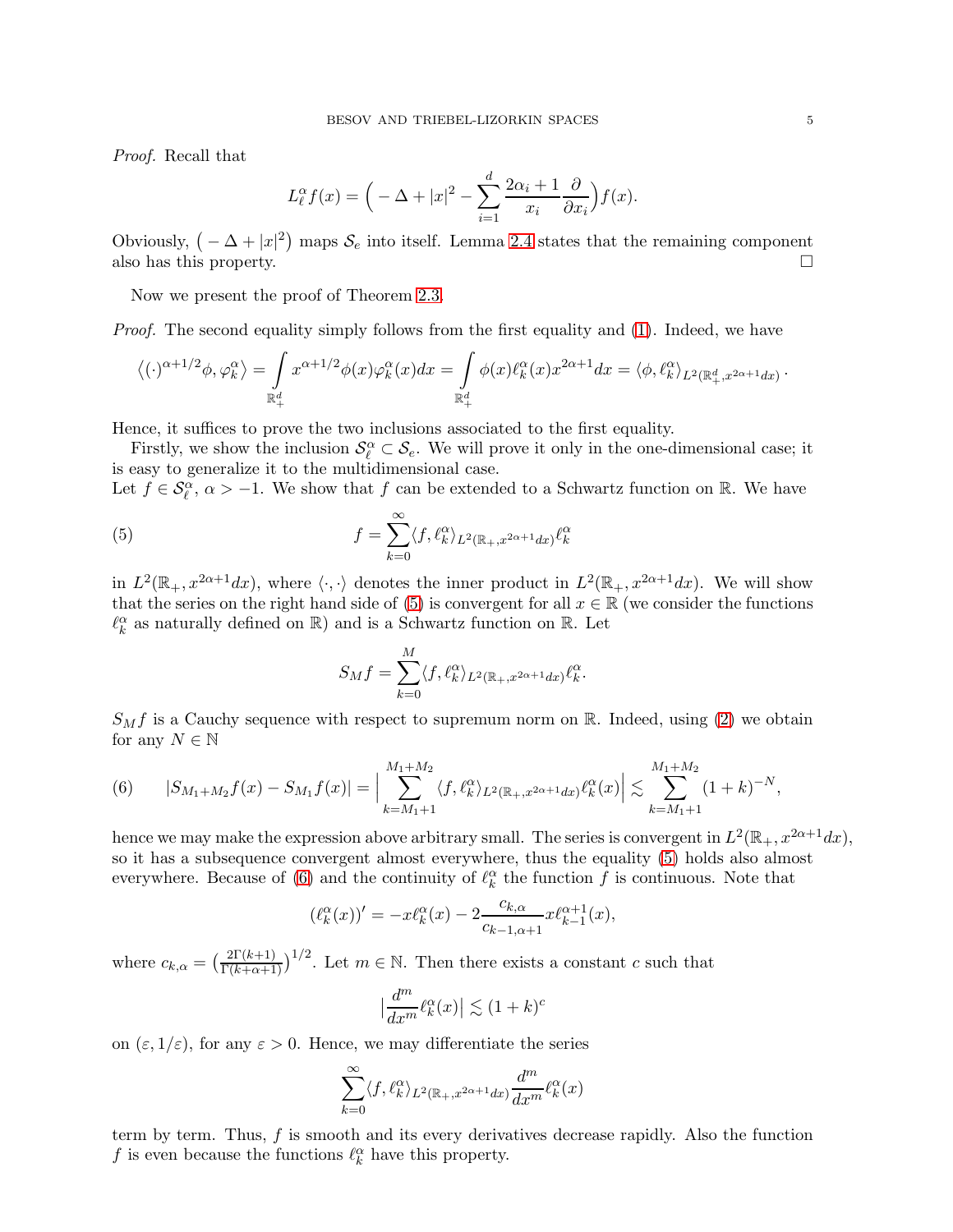Proof. Recall that

$$
L_{\ell}^{\alpha} f(x) = \Big( -\Delta + |x|^2 - \sum_{i=1}^{d} \frac{2\alpha_i + 1}{x_i} \frac{\partial}{\partial x_i} \Big) f(x).
$$

Obviously,  $(-\Delta + |x|^2)$  maps  $S_e$  into itself. Lemma [2.4](#page-3-1) states that the remaining component also has this property.

Now we present the proof of Theorem [2.3.](#page-3-2)

Proof. The second equality simply follows from the first equality and [\(1\)](#page-2-0). Indeed, we have

$$
\left\langle (\cdot)^{\alpha+1/2} \phi, \varphi_k^{\alpha} \right\rangle = \int\limits_{\mathbb{R}_+^d} x^{\alpha+1/2} \phi(x) \varphi_k^{\alpha}(x) dx = \int\limits_{\mathbb{R}_+^d} \phi(x) \ell_k^{\alpha}(x) x^{2\alpha+1} dx = \left\langle \phi, \ell_k^{\alpha} \right\rangle_{L^2(\mathbb{R}_+^d, x^{2\alpha+1} dx)}.
$$

Hence, it suffices to prove the two inclusions associated to the first equality.

Firstly, we show the inclusion  $\mathcal{S}_{\ell}^{\alpha} \subset \mathcal{S}_{e}$ . We will prove it only in the one-dimensional case; it is easy to generalize it to the multidimensional case.

Let  $f \in \mathcal{S}_{\ell}^{\alpha}$ ,  $\alpha > -1$ . We show that f can be extended to a Schwartz function on R. We have

(5) 
$$
f = \sum_{k=0}^{\infty} \langle f, \ell_k^{\alpha} \rangle_{L^2(\mathbb{R}_+, x^{2\alpha+1}dx)} \ell_k^{\alpha}
$$

in  $L^2(\mathbb{R}_+, x^{2\alpha+1}dx)$ , where  $\langle \cdot, \cdot \rangle$  denotes the inner product in  $L^2(\mathbb{R}_+, x^{2\alpha+1}dx)$ . We will show that the series on the right hand side of [\(5\)](#page-4-0) is convergent for all  $x \in \mathbb{R}$  (we consider the functions  $\ell_{k}^{\alpha}$  as naturally defined on  $\mathbb{R})$  and is a Schwartz function on  $\mathbb{R}.$  Let

<span id="page-4-0"></span>
$$
S_M f = \sum_{k=0}^M \langle f, \ell_k^{\alpha} \rangle_{L^2(\mathbb{R}_+, x^{2\alpha+1}dx)} \ell_k^{\alpha}.
$$

 $S_M f$  is a Cauchy sequence with respect to supremum norm on R. Indeed, using [\(2\)](#page-2-1) we obtain for any  $N \in \mathbb{N}$ 

<span id="page-4-1"></span>(6) 
$$
|S_{M_1+M_2}f(x)-S_{M_1}f(x)|=\Big|\sum_{k=M_1+1}^{M_1+M_2}\langle f,\ell_k^{\alpha}\rangle_{L^2(\mathbb{R}_+,x^{2\alpha+1}dx)}\ell_k^{\alpha}(x)\Big|\lesssim \sum_{k=M_1+1}^{M_1+M_2}(1+k)^{-N},
$$

hence we may make the expression above arbitrary small. The series is convergent in  $L^2(\mathbb{R}_+, x^{2\alpha+1}dx)$ , so it has a subsequence convergent almost everywhere, thus the equality [\(5\)](#page-4-0) holds also almost everywhere. Because of [\(6\)](#page-4-1) and the continuity of  $\ell_k^{\alpha}$  the function f is continuous. Note that

$$
(\ell_k^{\alpha}(x))' = -x\ell_k^{\alpha}(x) - 2\frac{c_{k,\alpha}}{c_{k-1,\alpha+1}}x\ell_{k-1}^{\alpha+1}(x),
$$

where  $c_{k,\alpha} = \left(\frac{2\Gamma(k+1)}{\Gamma(k+\alpha+1)}\right)^{1/2}$ . Let  $m \in \mathbb{N}$ . Then there exists a constant c such that

$$
\big|\frac{d^m}{dx^m}\ell_k^{\alpha}(x)\big|\lesssim (1+k)^c
$$

on  $(\varepsilon, 1/\varepsilon)$ , for any  $\varepsilon > 0$ . Hence, we may differentiate the series

$$
\sum_{k=0}^{\infty} \langle f, \ell_k^{\alpha} \rangle_{L^2(\mathbb{R}_+, x^{2\alpha+1}dx)} \frac{d^m}{dx^m} \ell_k^{\alpha}(x)
$$

term by term. Thus,  $f$  is smooth and its every derivatives decrease rapidly. Also the function  $f$  is even because the functions  $\ell_k^\alpha$  have this property.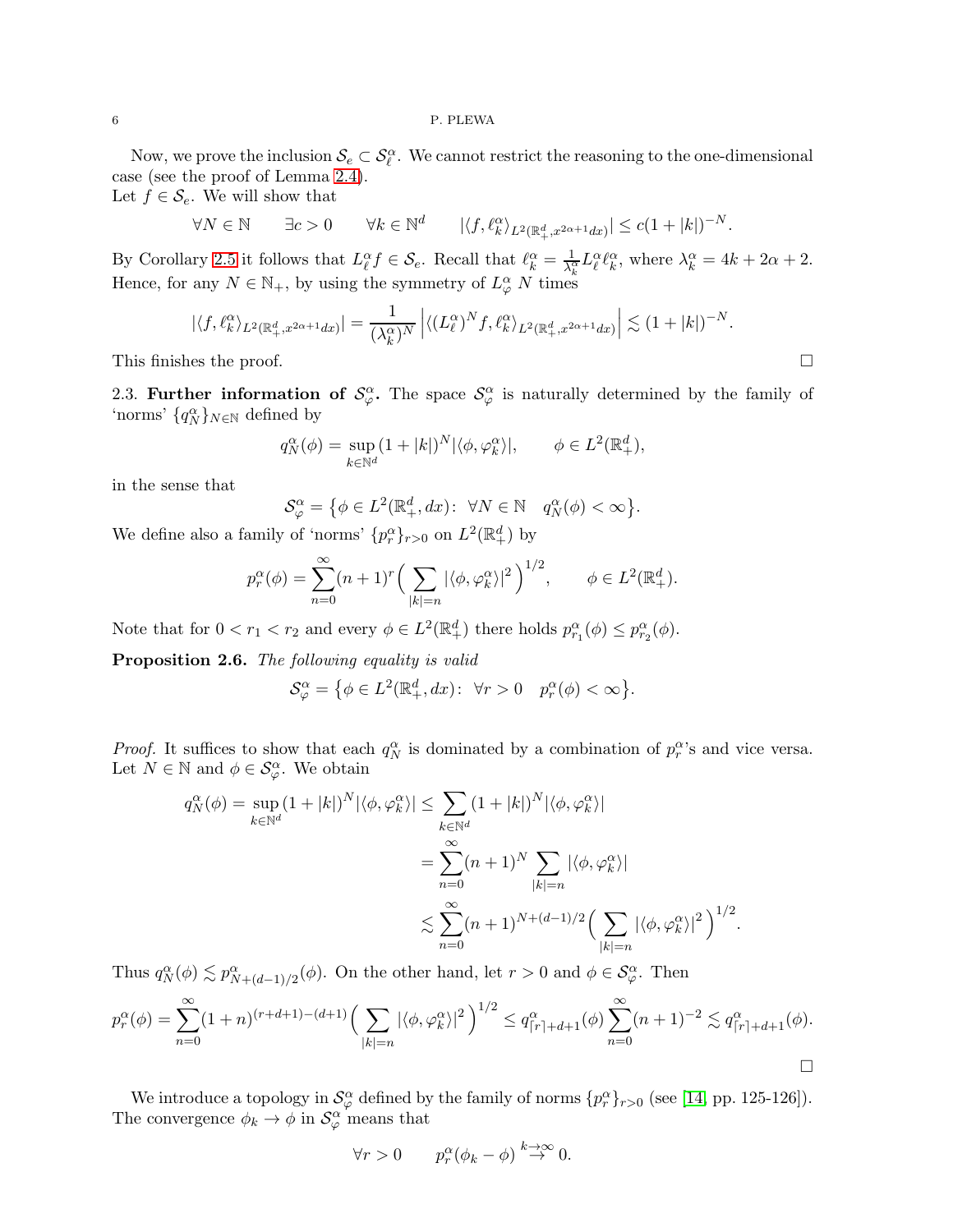### 6 P. PLEWA

Now, we prove the inclusion  $\mathcal{S}_e \subset \mathcal{S}_\ell^\alpha$ . We cannot restrict the reasoning to the one-dimensional case (see the proof of Lemma [2.4\)](#page-3-1).

Let  $f \in \mathcal{S}_e$ . We will show that

$$
\forall N \in \mathbb{N} \qquad \exists c > 0 \qquad \forall k \in \mathbb{N}^d \qquad |\langle f, \ell_k^{\alpha} \rangle_{L^2(\mathbb{R}^d_+, x^{2\alpha+1}dx)}| \le c(1+|k|)^{-N}.
$$

By Corollary [2.5](#page-3-3) it follows that  $L_{\ell}^{\alpha} f \in \mathcal{S}_e$ . Recall that  $\ell_k^{\alpha} = \frac{1}{\lambda_k^{\alpha}}$  $\frac{1}{\lambda_k^{\alpha}} L_{\ell}^{\alpha} \ell_k^{\alpha}$ , where  $\lambda_k^{\alpha} = 4k + 2\alpha + 2$ . Hence, for any  $N \in \mathbb{N}_+$ , by using the symmetry of  $L^{\alpha}_{\varphi}$  N times

$$
|\langle f, \ell_k^{\alpha} \rangle_{L^2(\mathbb{R}^d_+, x^{2\alpha+1}dx)}| = \frac{1}{(\lambda_k^{\alpha})^N} \left| \langle (L_\ell^{\alpha})^N f, \ell_k^{\alpha} \rangle_{L^2(\mathbb{R}^d_+, x^{2\alpha+1}dx)} \right| \lesssim (1+|k|)^{-N}.
$$

This finishes the proof.  $\Box$ 

2.3. Further information of  $\mathcal{S}_{\varphi}^{\alpha}$ . The space  $\mathcal{S}_{\varphi}^{\alpha}$  is naturally determined by the family of 'norms'  $\{q_N^\alpha\}_{N\in\mathbb{N}}$  defined by

$$
q_N^{\alpha}(\phi) = \sup_{k \in \mathbb{N}^d} (1 + |k|)^N |\langle \phi, \varphi_k^{\alpha} \rangle|, \qquad \phi \in L^2(\mathbb{R}^d_+),
$$

in the sense that

$$
\mathcal{S}_{\varphi}^{\alpha} = \left\{ \phi \in L^{2}(\mathbb{R}_{+}^{d}, dx) : \ \forall N \in \mathbb{N} \quad q_{N}^{\alpha}(\phi) < \infty \right\}.
$$

We define also a family of 'norms'  $\{p_r^{\alpha}\}_{r>0}$  on  $L^2(\mathbb{R}^d_+)$  by

$$
p_r^{\alpha}(\phi) = \sum_{n=0}^{\infty} (n+1)^r \left( \sum_{|k|=n} |\langle \phi, \varphi_k^{\alpha} \rangle|^2 \right)^{1/2}, \qquad \phi \in L^2(\mathbb{R}^d_+).
$$

Note that for  $0 < r_1 < r_2$  and every  $\phi \in L^2(\mathbb{R}^d_+)$  there holds  $p_{r_1}^{\alpha}(\phi) \leq p_{r_2}^{\alpha}(\phi)$ .

<span id="page-5-0"></span>Proposition 2.6. The following equality is valid

$$
\mathcal{S}_{\varphi}^{\alpha} = \{ \phi \in L^{2}(\mathbb{R}^{d}_{+}, dx) \colon \forall r > 0 \quad p_{r}^{\alpha}(\phi) < \infty \}.
$$

*Proof.* It suffices to show that each  $q_N^{\alpha}$  is dominated by a combination of  $p_r^{\alpha}$ 's and vice versa. Let  $N \in \mathbb{N}$  and  $\phi \in \mathcal{S}_{\varphi}^{\alpha}$ . We obtain

$$
q_N^{\alpha}(\phi) = \sup_{k \in \mathbb{N}^d} (1+|k|)^N |\langle \phi, \varphi_k^{\alpha} \rangle| \le \sum_{k \in \mathbb{N}^d} (1+|k|)^N |\langle \phi, \varphi_k^{\alpha} \rangle|
$$
  

$$
= \sum_{n=0}^{\infty} (n+1)^N \sum_{|k|=n} |\langle \phi, \varphi_k^{\alpha} \rangle|
$$
  

$$
\lesssim \sum_{n=0}^{\infty} (n+1)^{N+(d-1)/2} \Big( \sum_{|k|=n} |\langle \phi, \varphi_k^{\alpha} \rangle|^2 \Big)^{1/2}.
$$

Thus  $q_N^{\alpha}(\phi) \lesssim p_{N+(d-1)/2}^{\alpha}(\phi)$ . On the other hand, let  $r > 0$  and  $\phi \in \mathcal{S}_{\varphi}^{\alpha}$ . Then

$$
p_r^{\alpha}(\phi) = \sum_{n=0}^{\infty} (1+n)^{(r+d+1)-(d+1)} \Big(\sum_{|k|=n} |\langle \phi, \varphi_k^{\alpha} \rangle|^2\Big)^{1/2} \le q_{\lceil r \rceil+d+1}^{\alpha}(\phi) \sum_{n=0}^{\infty} (n+1)^{-2} \lesssim q_{\lceil r \rceil+d+1}^{\alpha}(\phi).
$$

We introduce a topology in  $\mathcal{S}_{\varphi}^{\alpha}$  defined by the family of norms  $\{p_r^{\alpha}\}_{r>0}$  (see [\[14,](#page-24-14) pp. 125-126]). The convergence  $\phi_k \to \phi$  in  $\mathcal{S}_{\varphi}^{\alpha}$  means that

$$
\forall r > 0 \qquad p_r^{\alpha}(\phi_k - \phi) \stackrel{k \to \infty}{\to} 0.
$$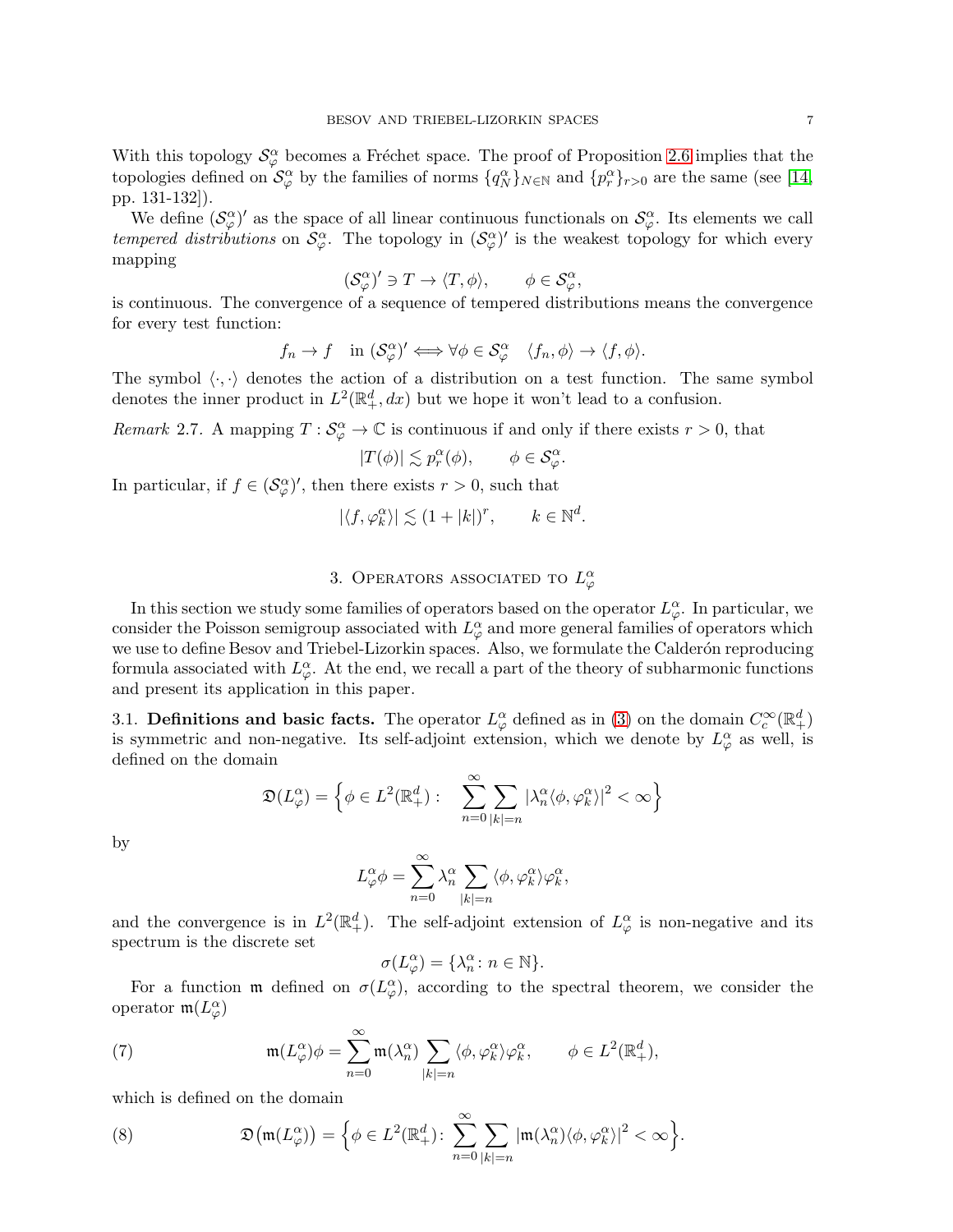With this topology  $\mathcal{S}_{\varphi}^{\alpha}$  becomes a Fréchet space. The proof of Proposition [2.6](#page-5-0) implies that the topologies defined on  $\mathcal{S}_{\varphi}^{\alpha}$  by the families of norms  $\{q_N^{\alpha}\}_{N\in\mathbb{N}}$  and  $\{p_r^{\alpha}\}_{r>0}$  are the same (see [\[14,](#page-24-14) pp. 131-132]).

We define  $(\mathcal{S}_{\varphi}^{\alpha})'$  as the space of all linear continuous functionals on  $\mathcal{S}_{\varphi}^{\alpha}$ . Its elements we call tempered distributions on  $\mathcal{S}_{\varphi}^{\alpha}$ . The topology in  $(\mathcal{S}_{\varphi}^{\alpha})'$  is the weakest topology for which every mapping

$$
(\mathcal{S}_{\varphi}^{\alpha})' \ni T \to \langle T, \phi \rangle, \qquad \phi \in \mathcal{S}_{\varphi}^{\alpha},
$$

is continuous. The convergence of a sequence of tempered distributions means the convergence for every test function:

$$
f_n \to f
$$
 in  $(\mathcal{S}_{\varphi}^{\alpha})' \iff \forall \phi \in \mathcal{S}_{\varphi}^{\alpha} \quad \langle f_n, \phi \rangle \to \langle f, \phi \rangle.$ 

The symbol  $\langle \cdot, \cdot \rangle$  denotes the action of a distribution on a test function. The same symbol denotes the inner product in  $L^2(\mathbb{R}^d_+, dx)$  but we hope it won't lead to a confusion.

<span id="page-6-1"></span>Remark 2.7. A mapping  $T: \mathcal{S}_{\varphi}^{\alpha} \to \mathbb{C}$  is continuous if and only if there exists  $r > 0$ , that

$$
|T(\phi)| \lesssim p_r^{\alpha}(\phi), \qquad \phi \in \mathcal{S}_{\varphi}^{\alpha}.
$$

In particular, if  $f \in (\mathcal{S}_{\varphi}^{\alpha})'$ , then there exists  $r > 0$ , such that

$$
|\langle f, \varphi_k^{\alpha} \rangle| \lesssim (1+|k|)^r, \qquad k \in \mathbb{N}^d.
$$

# 3. OPERATORS ASSOCIATED TO  $L^{\alpha}_{\varphi}$

In this section we study some families of operators based on the operator  $L^{\alpha}_{\varphi}$ . In particular, we consider the Poisson semigroup associated with  $L^{\alpha}_{\varphi}$  and more general families of operators which we use to define Besov and Triebel-Lizorkin spaces. Also, we formulate the Calderón reproducing formula associated with  $L^{\alpha}_{\varphi}$ . At the end, we recall a part of the theory of subharmonic functions and present its application in this paper.

3.1. Definitions and basic facts. The operator  $L^{\alpha}_{\varphi}$  defined as in [\(3\)](#page-2-2) on the domain  $C_c^{\infty}(\mathbb{R}^d_+)$ is symmetric and non-negative. Its self-adjoint extension, which we denote by  $L^{\alpha}_{\varphi}$  as well, is defined on the domain

$$
\mathfrak{D}(L^{\alpha}_{\varphi}) = \left\{ \phi \in L^{2}(\mathbb{R}^{d}_{+}) : \sum_{n=0}^{\infty} \sum_{|k|=n} |\lambda^{\alpha}_{n} \langle \phi, \varphi^{\alpha}_{k} \rangle|^{2} < \infty \right\}
$$

by

$$
L^{\alpha}_{\varphi}\phi = \sum_{n=0}^{\infty} \lambda_n^{\alpha} \sum_{|k|=n} \langle \phi, \varphi_k^{\alpha} \rangle \varphi_k^{\alpha},
$$

and the convergence is in  $L^2(\mathbb{R}^d_+)$ . The self-adjoint extension of  $L^{\alpha}_{\varphi}$  is non-negative and its spectrum is the discrete set

<span id="page-6-0"></span>
$$
\sigma(L^{\alpha}_{\varphi}) = {\lambda^{\alpha}_{n} : n \in \mathbb{N}}.
$$

For a function  $\mathfrak{m}$  defined on  $\sigma(L_{\varphi}^{\alpha})$ , according to the spectral theorem, we consider the operator  $\mathfrak{m}(L^{\alpha}_{\varphi})$ 

(7) 
$$
\mathfrak{m}(L_{\varphi}^{\alpha})\phi = \sum_{n=0}^{\infty} \mathfrak{m}(\lambda_{n}^{\alpha}) \sum_{|k|=n} \langle \phi, \varphi_{k}^{\alpha} \rangle \varphi_{k}^{\alpha}, \qquad \phi \in L^{2}(\mathbb{R}_{+}^{d}),
$$

which is defined on the domain

<span id="page-6-2"></span>(8) 
$$
\mathfrak{D}(\mathfrak{m}(L^{\alpha}_{\varphi})) = \Big\{ \phi \in L^{2}(\mathbb{R}^{d}_{+}) \colon \sum_{n=0}^{\infty} \sum_{|k|=n} |\mathfrak{m}(\lambda^{\alpha}_{n})\langle \phi, \varphi^{\alpha}_{k} \rangle|^{2} < \infty \Big\}.
$$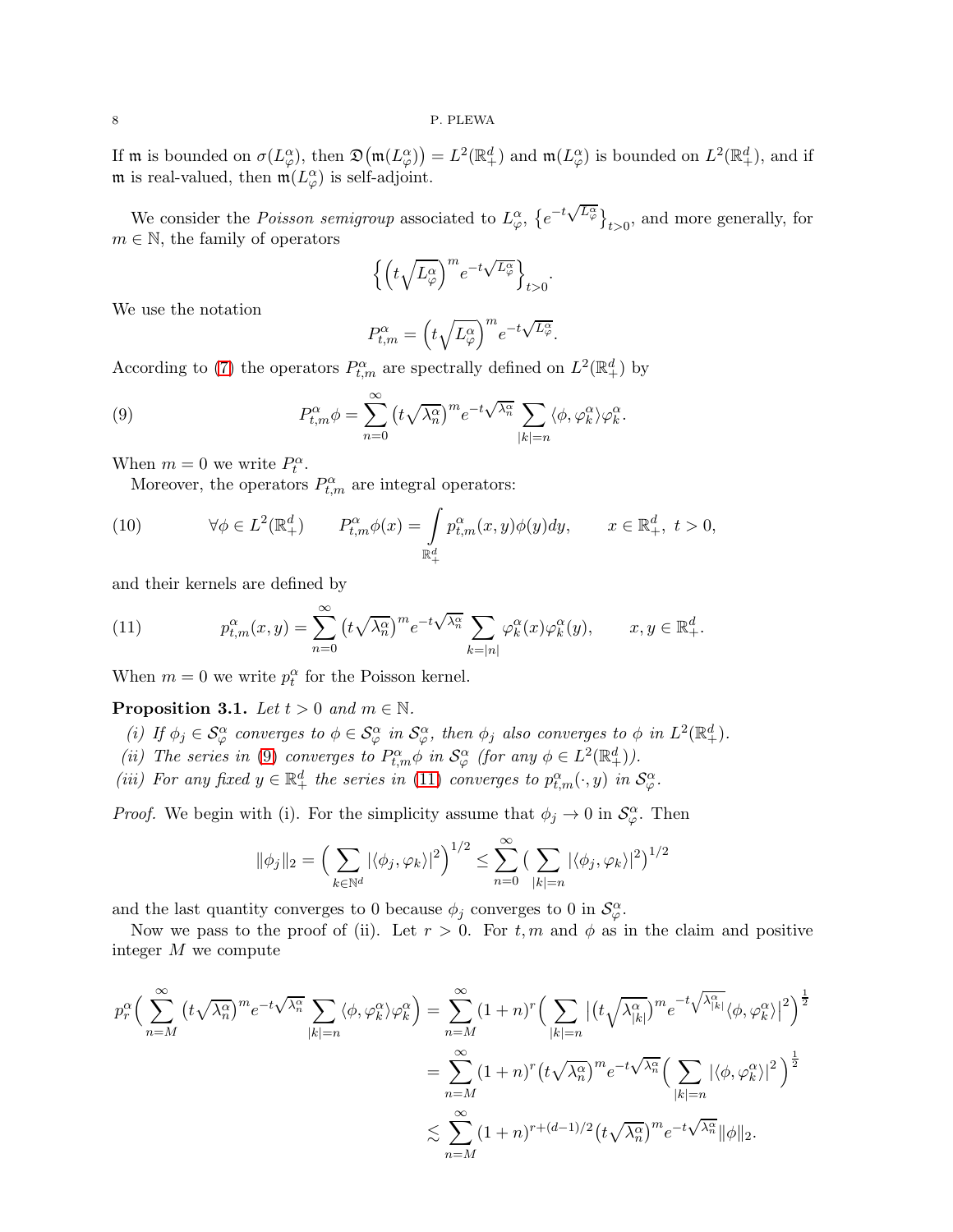If **m** is bounded on  $\sigma(L_{\varphi}^{\alpha})$ , then  $\mathfrak{D}(\mathfrak{m}(L_{\varphi}^{\alpha})) = L^{2}(\mathbb{R}_{+}^{d})$  and  $\mathfrak{m}(L_{\varphi}^{\alpha})$  is bounded on  $L^{2}(\mathbb{R}_{+}^{d})$ , and if m is real-valued, then  $m(L^{\alpha}_{\varphi})$  is self-adjoint.

We consider the *Poisson semigroup* associated to  $L^{\alpha}_{\varphi}$ ,  $\{e^{-t\sqrt{L^{\alpha}_{\varphi}}}\}_{t>0}$ , and more generally, for  $m \in \mathbb{N}$ , the family of operators

$$
\left\{\left(t\sqrt{L_{\varphi}^{\alpha}}\right)^{m}e^{-t\sqrt{L_{\varphi}^{\alpha}}}\right\}_{t>0}
$$

.

We use the notation

<span id="page-7-0"></span>
$$
P_{t,m}^{\alpha} = \left(t\sqrt{L_{\varphi}^{\alpha}}\right)^{m} e^{-t\sqrt{L_{\varphi}^{\alpha}}}.
$$

According to [\(7\)](#page-6-0) the operators  $P_{t,m}^{\alpha}$  are spectrally defined on  $L^2(\mathbb{R}^d_+)$  by

(9) 
$$
P_{t,m}^{\alpha} \phi = \sum_{n=0}^{\infty} \left( t \sqrt{\lambda_n^{\alpha}} \right)^m e^{-t \sqrt{\lambda_n^{\alpha}}} \sum_{|k|=n} \langle \phi, \varphi_k^{\alpha} \rangle \varphi_k^{\alpha}.
$$

When  $m = 0$  we write  $P_t^{\alpha}$ .

<span id="page-7-3"></span>Moreover, the operators  $P_{t,m}^{\alpha}$  are integral operators:

(10) 
$$
\forall \phi \in L^{2}(\mathbb{R}^{d}_{+}) \qquad P_{t,m}^{\alpha}\phi(x) = \int_{\mathbb{R}^{d}_{+}} p_{t,m}^{\alpha}(x,y)\phi(y)dy, \qquad x \in \mathbb{R}^{d}_{+}, t > 0,
$$

and their kernels are defined by

<span id="page-7-1"></span>(11) 
$$
p_{t,m}^{\alpha}(x,y) = \sum_{n=0}^{\infty} \left( t \sqrt{\lambda_n^{\alpha}} \right)^m e^{-t \sqrt{\lambda_n^{\alpha}}} \sum_{k=|n|} \varphi_k^{\alpha}(x) \varphi_k^{\alpha}(y), \qquad x, y \in \mathbb{R}_+^d.
$$

When  $m = 0$  we write  $p_t^{\alpha}$  for the Poisson kernel.

## <span id="page-7-2"></span>**Proposition 3.1.** Let  $t > 0$  and  $m \in \mathbb{N}$ .

- (i) If  $\phi_j \in \mathcal{S}_{\varphi}^{\alpha}$  converges to  $\phi \in \mathcal{S}_{\varphi}^{\alpha}$  in  $\mathcal{S}_{\varphi}^{\alpha}$ , then  $\phi_j$  also converges to  $\phi$  in  $L^2(\mathbb{R}_+^d)$ .
- (ii) The series in [\(9\)](#page-7-0) converges to  $P_{t,m}^{\alpha} \phi$  in  $\mathcal{S}_{\varphi}^{\alpha}$  (for any  $\phi \in L^2(\mathbb{R}^d_+)$ ).
- (iii) For any fixed  $y \in \mathbb{R}^d_+$  the series in [\(11\)](#page-7-1) converges to  $p_{t,m}^{\alpha}(\cdot, y)$  in  $\mathcal{S}_{\varphi}^{\alpha}$ .

*Proof.* We begin with (i). For the simplicity assume that  $\phi_j \to 0$  in  $\mathcal{S}_{\varphi}^{\alpha}$ . Then

$$
\|\phi_j\|_2 = \left(\sum_{k \in \mathbb{N}^d} |\langle \phi_j, \varphi_k \rangle|^2\right)^{1/2} \le \sum_{n=0}^{\infty} \left(\sum_{|k|=n} |\langle \phi_j, \varphi_k \rangle|^2\right)^{1/2}
$$

and the last quantity converges to 0 because  $\phi_j$  converges to 0 in  $\mathcal{S}_{\varphi}^{\alpha}$ .

Now we pass to the proof of (ii). Let  $r > 0$ . For  $t, m$  and  $\phi$  as in the claim and positive integer M we compute

$$
p_r^{\alpha} \Big( \sum_{n=M}^{\infty} \left( t \sqrt{\lambda_n^{\alpha}} \right)^m e^{-t \sqrt{\lambda_n^{\alpha}}} \sum_{|k|=n} \langle \phi, \varphi_k^{\alpha} \rangle \varphi_k^{\alpha} \Big) = \sum_{n=M}^{\infty} (1+n)^r \Big( \sum_{|k|=n} \left| \left( t \sqrt{\lambda_{|k|}^{\alpha}} \right)^m e^{-t \sqrt{\lambda_{|k|}^{\alpha}}} \langle \phi, \varphi_k^{\alpha} \rangle \right|^2 \Big)^{\frac{1}{2}}
$$
  

$$
= \sum_{n=M}^{\infty} (1+n)^r \left( t \sqrt{\lambda_n^{\alpha}} \right)^m e^{-t \sqrt{\lambda_n^{\alpha}}} \Big( \sum_{|k|=n} |\langle \phi, \varphi_k^{\alpha} \rangle|^2 \Big)^{\frac{1}{2}}
$$
  

$$
\lesssim \sum_{n=M}^{\infty} (1+n)^{r+(d-1)/2} \left( t \sqrt{\lambda_n^{\alpha}} \right)^m e^{-t \sqrt{\lambda_n^{\alpha}}} \|\phi\|_2.
$$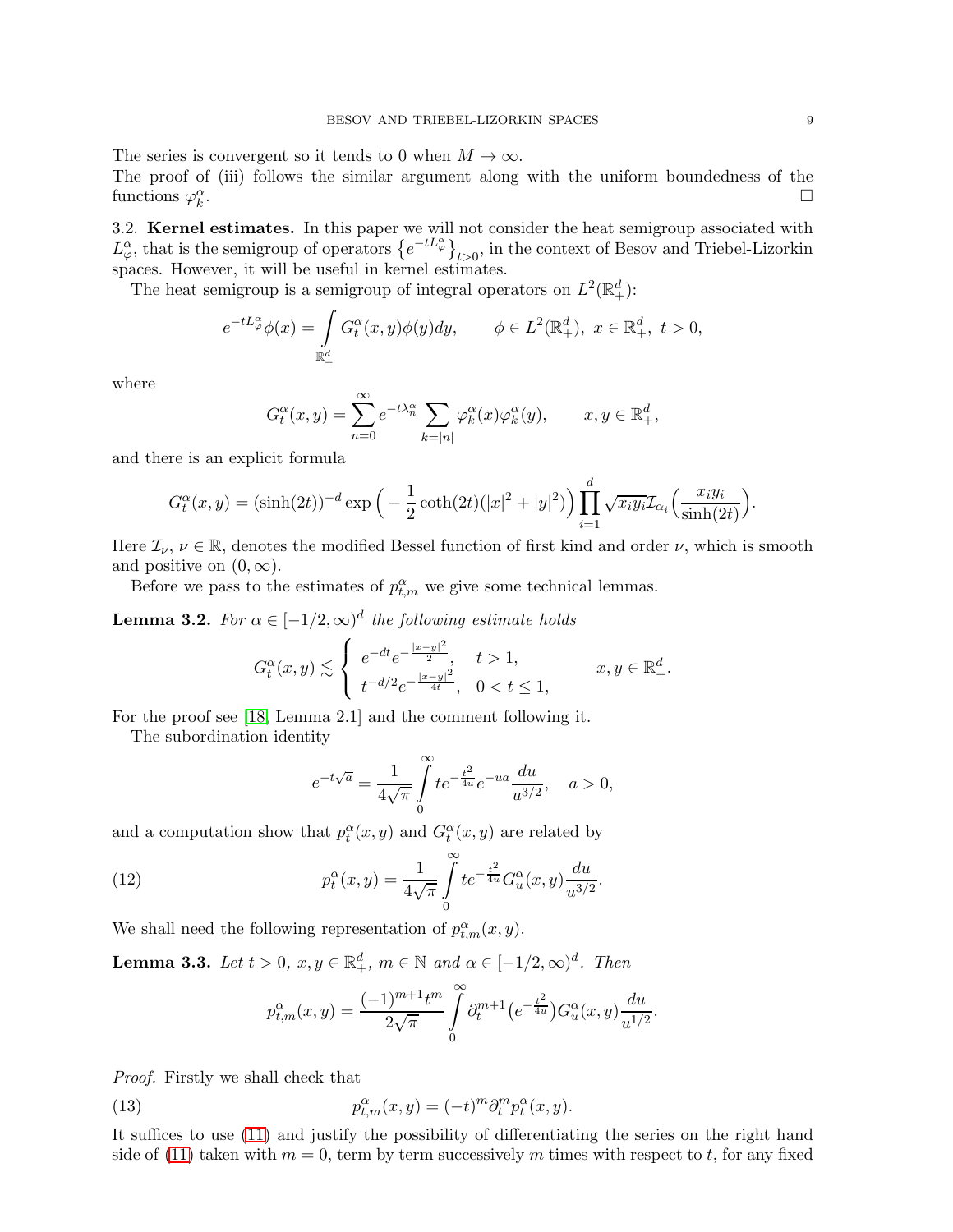The series is convergent so it tends to 0 when  $M \to \infty$ . The proof of (iii) follows the similar argument along with the uniform boundedness of the functions  $\varphi_k^{\alpha}$ .

3.2. Kernel estimates. In this paper we will not consider the heat semigroup associated with  $L^{\alpha}_{\varphi}$ , that is the semigroup of operators  $\{e^{-tL^{\alpha}_{\varphi}}\}_{t>0}$ , in the context of Besov and Triebel-Lizorkin spaces. However, it will be useful in kernel estimates.

The heat semigroup is a semigroup of integral operators on  $L^2(\mathbb{R}^d_+)$ :

$$
e^{-tL_{\varphi}^{\alpha}}\phi(x) = \int\limits_{\mathbb{R}^d_+} G_t^{\alpha}(x, y)\phi(y)dy, \qquad \phi \in L^2(\mathbb{R}^d_+), \ x \in \mathbb{R}^d_+, \ t > 0,
$$

where

$$
G_t^{\alpha}(x, y) = \sum_{n=0}^{\infty} e^{-t\lambda_n^{\alpha}} \sum_{k=|n|} \varphi_k^{\alpha}(x) \varphi_k^{\alpha}(y), \qquad x, y \in \mathbb{R}_+^d,
$$

and there is an explicit formula

$$
G_t^{\alpha}(x,y) = (\sinh(2t))^{-d} \exp\left(-\frac{1}{2}\coth(2t)(|x|^2+|y|^2)\right) \prod_{i=1}^d \sqrt{x_i y_i} \mathcal{I}_{\alpha_i}\left(\frac{x_i y_i}{\sinh(2t)}\right).
$$

Here  $\mathcal{I}_{\nu}, \nu \in \mathbb{R}$ , denotes the modified Bessel function of first kind and order  $\nu$ , which is smooth and positive on  $(0, \infty)$ .

Before we pass to the estimates of  $p_{t,m}^{\alpha}$  we give some technical lemmas.

<span id="page-8-3"></span>**Lemma 3.2.** For  $\alpha \in [-1/2, \infty)^d$  the following estimate holds

$$
G_t^{\alpha}(x, y) \lesssim \begin{cases} e^{-dt} e^{-\frac{|x-y|^2}{2}}, & t > 1, \\ t^{-d/2} e^{-\frac{|x-y|^2}{4t}}, & 0 < t \le 1, \end{cases} \qquad x, y \in \mathbb{R}^d_+.
$$

For the proof see [\[18,](#page-24-16) Lemma 2.1] and the comment following it.

The subordination identity

<span id="page-8-0"></span>
$$
e^{-t\sqrt{a}} = \frac{1}{4\sqrt{\pi}} \int_{0}^{\infty} t e^{-\frac{t^2}{4u}} e^{-ua} \frac{du}{u^{3/2}}, \quad a > 0,
$$

and a computation show that  $p_t^{\alpha}(x, y)$  and  $G_t^{\alpha}(x, y)$  are related by

(12) 
$$
p_t^{\alpha}(x, y) = \frac{1}{4\sqrt{\pi}} \int_{0}^{\infty} t e^{-\frac{t^2}{4u}} G_u^{\alpha}(x, y) \frac{du}{u^{3/2}}.
$$

We shall need the following representation of  $p_{t,m}^{\alpha}(x, y)$ .

<span id="page-8-2"></span>**Lemma 3.3.** Let  $t > 0$ ,  $x, y \in \mathbb{R}^d_+$ ,  $m \in \mathbb{N}$  and  $\alpha \in [-1/2, \infty)^d$ . Then

<span id="page-8-1"></span>
$$
p_{t,m}^{\alpha}(x,y) = \frac{(-1)^{m+1}t^m}{2\sqrt{\pi}} \int_{0}^{\infty} \partial_t^{m+1} \left(e^{-\frac{t^2}{4u}}\right) G_u^{\alpha}(x,y) \frac{du}{u^{1/2}}.
$$

Proof. Firstly we shall check that

(13) 
$$
p_{t,m}^{\alpha}(x,y) = (-t)^m \partial_t^m p_t^{\alpha}(x,y).
$$

It suffices to use [\(11\)](#page-7-1) and justify the possibility of differentiating the series on the right hand side of [\(11\)](#page-7-1) taken with  $m = 0$ , term by term successively m times with respect to t, for any fixed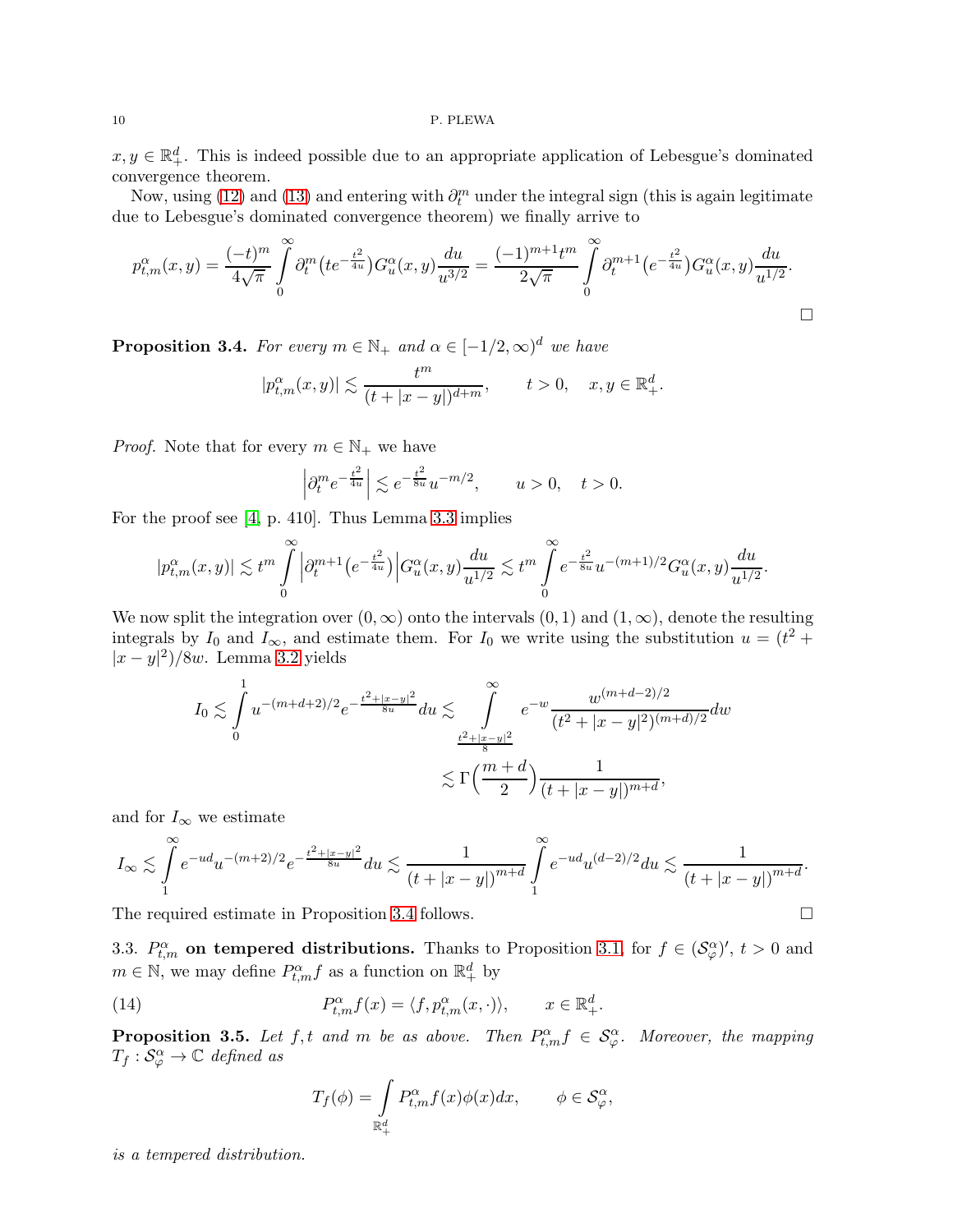#### 10 P. PLEWA

 $x, y \in \mathbb{R}^d_+$ . This is indeed possible due to an appropriate application of Lebesgue's dominated convergence theorem.

Now, using [\(12\)](#page-8-0) and [\(13\)](#page-8-1) and entering with  $\partial_t^m$  under the integral sign (this is again legitimate due to Lebesgue's dominated convergence theorem) we finally arrive to

$$
p_{t,m}^{\alpha}(x,y) = \frac{(-t)^m}{4\sqrt{\pi}} \int_0^{\infty} \partial_t^m \left( t e^{-\frac{t^2}{4u}} \right) G_u^{\alpha}(x,y) \frac{du}{u^{3/2}} = \frac{(-1)^{m+1} t^m}{2\sqrt{\pi}} \int_0^{\infty} \partial_t^{m+1} \left( e^{-\frac{t^2}{4u}} \right) G_u^{\alpha}(x,y) \frac{du}{u^{1/2}}.
$$

<span id="page-9-0"></span>**Proposition 3.4.** For every  $m \in \mathbb{N}_+$  and  $\alpha \in [-1/2, \infty)^d$  we have

$$
|p_{t,m}^{\alpha}(x,y)| \lesssim \frac{t^m}{(t+|x-y|)^{d+m}}, \qquad t > 0, \quad x, y \in \mathbb{R}_+^d.
$$

*Proof.* Note that for every  $m \in \mathbb{N}_+$  we have

$$
\left|\partial_t^m e^{-\frac{t^2}{4u}}\right|\lesssim e^{-\frac{t^2}{8u}}u^{-m/2},\qquad u>0,\quad t>0.
$$

For the proof see [\[4,](#page-24-10) p. 410]. Thus Lemma [3.3](#page-8-2) implies

$$
|p_{t,m}^{\alpha}(x,y)| \lesssim t^m \int\limits_{0}^{\infty} \Big| \partial_t^{m+1}\big(e^{-\frac{t^2}{4u}}\big)\Big|G_u^{\alpha}(x,y)\frac{du}{u^{1/2}} \lesssim t^m \int\limits_{0}^{\infty} e^{-\frac{t^2}{8u}}u^{-(m+1)/2}G_u^{\alpha}(x,y)\frac{du}{u^{1/2}}.
$$

We now split the integration over  $(0, \infty)$  onto the intervals  $(0, 1)$  and  $(1, \infty)$ , denote the resulting integrals by  $I_0$  and  $I_{\infty}$ , and estimate them. For  $I_0$  we write using the substitution  $u = (t^2 +$  $|x-y|^2$ /8w. Lemma [3.2](#page-8-3) yields

$$
I_0 \lesssim \int_0^1 u^{-(m+d+2)/2} e^{-\frac{t^2 + |x-y|^2}{8u}} du \lesssim \int_{\frac{t^2 + |x-y|^2}{8}}^{\infty} e^{-w} \frac{w^{(m+d-2)/2}}{(t^2 + |x-y|^2)^{(m+d)/2}} dw
$$
  

$$
\lesssim \Gamma\left(\frac{m+d}{2}\right) \frac{1}{(t + |x-y|)^{m+d}},
$$

and for  $I_{\infty}$  we estimate

$$
I_{\infty} \lesssim \int_{1}^{\infty} e^{-ud} u^{-(m+2)/2} e^{-\frac{t^2 + |x - y|^2}{8u}} du \lesssim \frac{1}{(t + |x - y|)^{m + d}} \int_{1}^{\infty} e^{-ud} u^{(d-2)/2} du \lesssim \frac{1}{(t + |x - y|)^{m + d}}.
$$

The required estimate in Proposition [3.4](#page-9-0) follows.

3.3.  $P_{t,m}^{\alpha}$  on tempered distributions. Thanks to Proposition [3.1,](#page-7-2) for  $f \in (\mathcal{S}_{\varphi}^{\alpha})'$ ,  $t > 0$  and  $m \in \mathbb{N}$ , we may define  $P_{t,m}^{\alpha} f$  as a function on  $\mathbb{R}^d_+$  by

(14) 
$$
P_{t,m}^{\alpha}f(x) = \langle f, p_{t,m}^{\alpha}(x, \cdot) \rangle, \qquad x \in \mathbb{R}_+^d.
$$

<span id="page-9-2"></span>**Proposition 3.5.** Let f, t and m be as above. Then  $P_{t,m}^{\alpha} f \in S_{\varphi}^{\alpha}$ . Moreover, the mapping  $T_f: \mathcal{S}_{\varphi}^{\alpha} \to \mathbb{C}$  defined as

<span id="page-9-1"></span>
$$
T_f(\phi) = \int\limits_{\mathbb{R}^d_+} P_{t,m}^{\alpha} f(x) \phi(x) dx, \qquad \phi \in \mathcal{S}_{\varphi}^{\alpha},
$$

is a tempered distribution.

$$
\Box
$$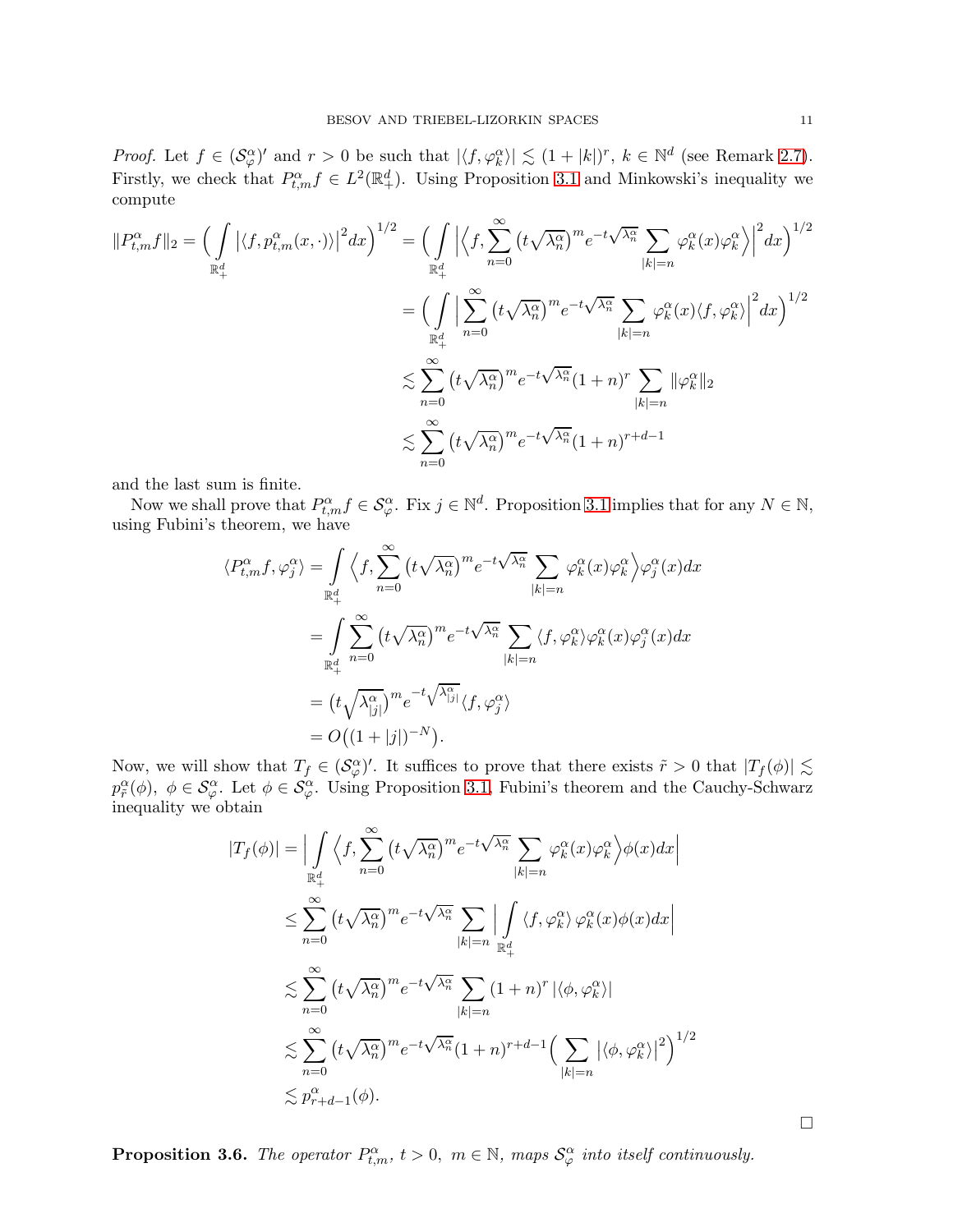*Proof.* Let  $f \in (\mathcal{S}_{\varphi}^{\alpha})'$  and  $r > 0$  be such that  $|\langle f, \varphi_k^{\alpha} \rangle| \lesssim (1 + |k|)^r$ ,  $k \in \mathbb{N}^d$  (see Remark [2.7\)](#page-6-1). Firstly, we check that  $P_{t,m}^{\alpha} f \in L^2(\mathbb{R}^d_+)$ . Using Proposition [3.1](#page-7-2) and Minkowski's inequality we compute

$$
||P_{t,m}^{\alpha}f||_2 = \left(\int_{\mathbb{R}^d_+} |\langle f, p_{t,m}^{\alpha}(x, \cdot)\rangle|^2 dx\right)^{1/2} = \left(\int_{\mathbb{R}^d_+} |\langle f, \sum_{n=0}^{\infty} (t\sqrt{\lambda_n^{\alpha}})^m e^{-t\sqrt{\lambda_n^{\alpha}}} \sum_{|k|=n} \varphi_k^{\alpha}(x) \varphi_k^{\alpha}\rangle|^2 dx\right)^{1/2}
$$
  

$$
= \left(\int_{\mathbb{R}^d_+} \left|\sum_{n=0}^{\infty} (t\sqrt{\lambda_n^{\alpha}})^m e^{-t\sqrt{\lambda_n^{\alpha}}} \sum_{|k|=n} \varphi_k^{\alpha}(x) \langle f, \varphi_k^{\alpha}\rangle\right|^2 dx\right)^{1/2}
$$
  

$$
\lesssim \sum_{n=0}^{\infty} (t\sqrt{\lambda_n^{\alpha}})^m e^{-t\sqrt{\lambda_n^{\alpha}}}(1+n)^r \sum_{|k|=n} ||\varphi_k^{\alpha}||_2
$$
  

$$
\lesssim \sum_{n=0}^{\infty} (t\sqrt{\lambda_n^{\alpha}})^m e^{-t\sqrt{\lambda_n^{\alpha}}}(1+n)^{r+d-1}
$$

and the last sum is finite.

Now we shall prove that  $P_{t,m}^{\alpha} f \in \mathcal{S}_{\varphi}^{\alpha}$ . Fix  $j \in \mathbb{N}^d$ . Proposition [3.1](#page-7-2) implies that for any  $N \in \mathbb{N}$ , using Fubini's theorem, we have

$$
\langle P_{t,m}^{\alpha} f, \varphi_j^{\alpha} \rangle = \int_{\mathbb{R}_+^d} \langle f, \sum_{n=0}^{\infty} (t \sqrt{\lambda_n^{\alpha}})^m e^{-t \sqrt{\lambda_n^{\alpha}}} \sum_{|k|=n} \varphi_k^{\alpha}(x) \varphi_k^{\alpha} \rangle \varphi_j^{\alpha}(x) dx
$$
  

$$
= \int_{\mathbb{R}_+^d} \sum_{n=0}^{\infty} (t \sqrt{\lambda_n^{\alpha}})^m e^{-t \sqrt{\lambda_n^{\alpha}}} \sum_{|k|=n} \langle f, \varphi_k^{\alpha} \rangle \varphi_k^{\alpha}(x) \varphi_j^{\alpha}(x) dx
$$
  

$$
= (t \sqrt{\lambda_{[j]}^{\alpha}})^m e^{-t \sqrt{\lambda_{[j]}^{\alpha}}} \langle f, \varphi_j^{\alpha} \rangle
$$
  

$$
= O((1+|j|)^{-N}).
$$

Now, we will show that  $T_f \in (\mathcal{S}_{\varphi}^{\alpha})'$ . It suffices to prove that there exists  $\tilde{r} > 0$  that  $|T_f(\phi)| \lesssim$  $p_{\tilde{r}}^{\alpha}(\phi), \phi \in \mathcal{S}_{\varphi}^{\alpha}$ . Let  $\phi \in \mathcal{S}_{\varphi}^{\alpha}$ . Using Proposition [3.1,](#page-7-2) Fubini's theorem and the Cauchy-Schwarz inequality we obtain

$$
|T_f(\phi)| = \Big| \int_{\mathbb{R}_+^d} \Big\langle f, \sum_{n=0}^\infty (t \sqrt{\lambda_n^{\alpha}})^m e^{-t \sqrt{\lambda_n^{\alpha}}} \sum_{|k|=n} \varphi_k^{\alpha}(x) \varphi_k^{\alpha} \Big\rangle \phi(x) dx \Big|
$$
  

$$
\leq \sum_{n=0}^\infty (t \sqrt{\lambda_n^{\alpha}})^m e^{-t \sqrt{\lambda_n^{\alpha}}} \sum_{|k|=n} \Big| \int_{\mathbb{R}_+^d} \langle f, \varphi_k^{\alpha} \rangle \varphi_k^{\alpha}(x) \phi(x) dx \Big|
$$
  

$$
\lesssim \sum_{n=0}^\infty (t \sqrt{\lambda_n^{\alpha}})^m e^{-t \sqrt{\lambda_n^{\alpha}}} \sum_{|k|=n} (1+n)^r |\langle \phi, \varphi_k^{\alpha} \rangle|
$$
  

$$
\lesssim \sum_{n=0}^\infty (t \sqrt{\lambda_n^{\alpha}})^m e^{-t \sqrt{\lambda_n^{\alpha}}} (1+n)^{r+d-1} \Big( \sum_{|k|=n} |\langle \phi, \varphi_k^{\alpha} \rangle|^2 \Big)^{1/2}
$$
  

$$
\lesssim p_{r+d-1}^{\alpha}(\phi).
$$

**Proposition 3.6.** The operator  $P_{t,m}^{\alpha}$ ,  $t > 0$ ,  $m \in \mathbb{N}$ , maps  $\mathcal{S}_{\varphi}^{\alpha}$  into itself continuously.

 $\Box$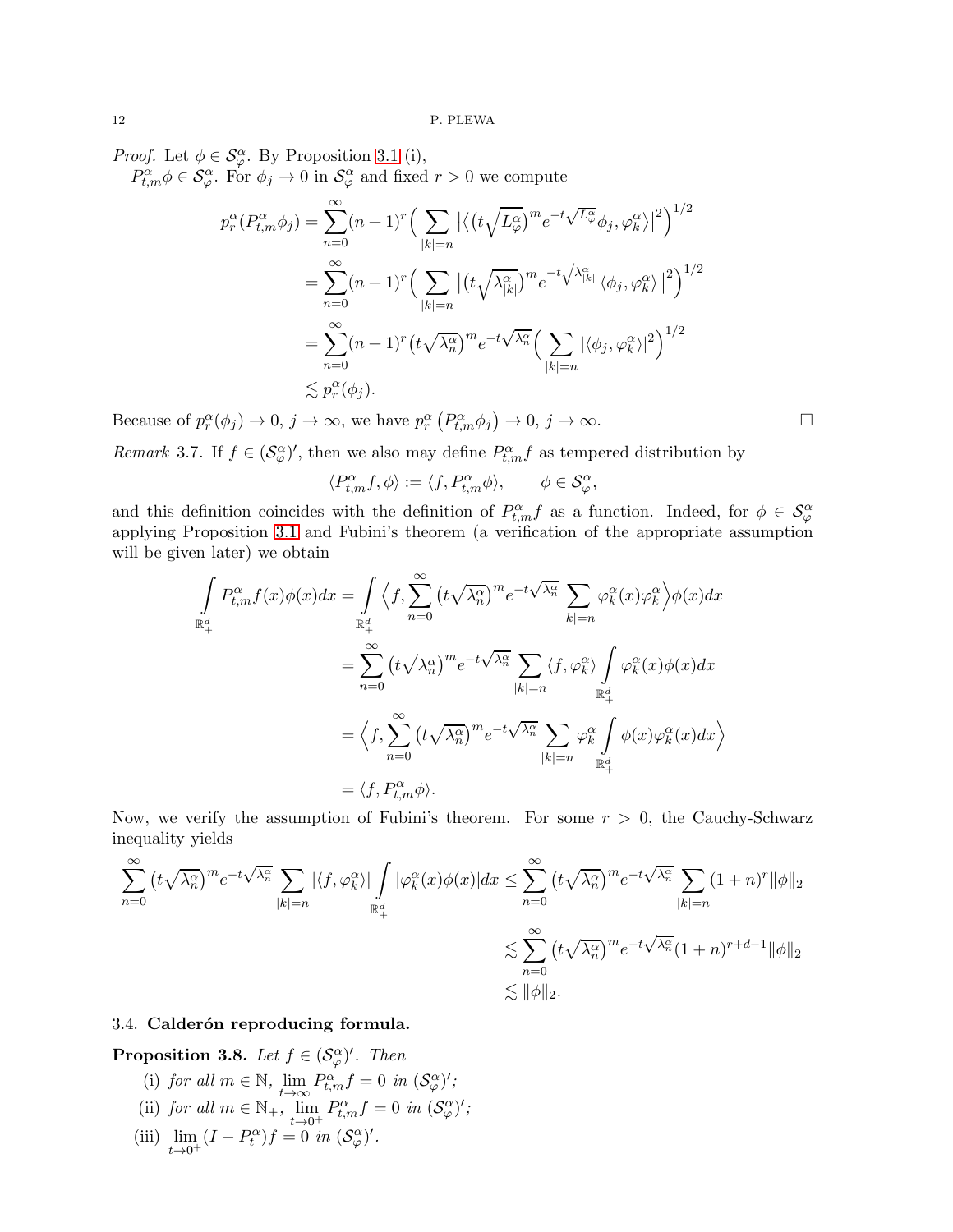*Proof.* Let  $\phi \in \mathcal{S}_{\varphi}^{\alpha}$ . By Proposition [3.1](#page-7-2) (i),

 $P_{t,m}^{\alpha} \phi \in \mathcal{S}_{\varphi}^{\alpha}$ . For  $\phi_j \to 0$  in  $\mathcal{S}_{\varphi}^{\alpha}$  and fixed  $r > 0$  we compute

$$
p_r^{\alpha}(P_{t,m}^{\alpha}\phi_j) = \sum_{n=0}^{\infty} (n+1)^r \Big(\sum_{|k|=n} |\langle (t\sqrt{L_{\varphi}^{\alpha}})^m e^{-t\sqrt{L_{\varphi}^{\alpha}}}\phi_j, \varphi_k^{\alpha} \rangle|^2\Big)^{1/2}
$$
  

$$
= \sum_{n=0}^{\infty} (n+1)^r \Big(\sum_{|k|=n} |(t\sqrt{\lambda_{|k|}^{\alpha}})^m e^{-t\sqrt{\lambda_{|k|}^{\alpha}}}\langle \phi_j, \varphi_k^{\alpha} \rangle|^2\Big)^{1/2}
$$
  

$$
= \sum_{n=0}^{\infty} (n+1)^r (t\sqrt{\lambda_n^{\alpha}})^m e^{-t\sqrt{\lambda_n^{\alpha}}} \Big(\sum_{|k|=n} |\langle \phi_j, \varphi_k^{\alpha} \rangle|^2\Big)^{1/2}
$$
  

$$
\lesssim p_r^{\alpha}(\phi_j).
$$

Because of  $p_r^{\alpha}(\phi_j) \to 0$ ,  $j \to \infty$ , we have  $p_r^{\alpha}(P_{t,m}^{\alpha}\phi_j) \to 0$ ,  $j \to \infty$ .

<span id="page-11-0"></span>Remark 3.7. If  $f \in (\mathcal{S}_{\varphi}^{\alpha})'$ , then we also may define  $P_{t,m}^{\alpha} f$  as tempered distribution by

$$
\langle P_{t,m}^{\alpha} f, \phi \rangle := \langle f, P_{t,m}^{\alpha} \phi \rangle, \qquad \phi \in \mathcal{S}_{\varphi}^{\alpha},
$$

and this definition coincides with the definition of  $P_{t,m}^{\alpha}f$  as a function. Indeed, for  $\phi \in \mathcal{S}_{\varphi}^{\alpha}$ applying Proposition [3.1](#page-7-2) and Fubini's theorem (a verification of the appropriate assumption will be given later) we obtain

$$
\int_{\mathbb{R}^4_+} P_{t,m}^{\alpha} f(x) \phi(x) dx = \int_{\mathbb{R}^4_+} \left\langle f, \sum_{n=0}^{\infty} \left( t \sqrt{\lambda_n^{\alpha}} \right)^m e^{-t \sqrt{\lambda_n^{\alpha}}} \sum_{|k|=n} \varphi_k^{\alpha}(x) \varphi_k^{\alpha} \right\rangle \phi(x) dx
$$
  
\n
$$
= \sum_{n=0}^{\infty} \left( t \sqrt{\lambda_n^{\alpha}} \right)^m e^{-t \sqrt{\lambda_n^{\alpha}}} \sum_{|k|=n} \left\langle f, \varphi_k^{\alpha} \right\rangle \int_{\mathbb{R}^d_+} \varphi_k^{\alpha}(x) \phi(x) dx
$$
  
\n
$$
= \left\langle f, \sum_{n=0}^{\infty} \left( t \sqrt{\lambda_n^{\alpha}} \right)^m e^{-t \sqrt{\lambda_n^{\alpha}}} \sum_{|k|=n} \varphi_k^{\alpha} \int_{\mathbb{R}^d_+} \phi(x) \varphi_k^{\alpha}(x) dx \right\rangle
$$
  
\n
$$
= \left\langle f, P_{t,m}^{\alpha} \phi \right\rangle.
$$

Now, we verify the assumption of Fubini's theorem. For some  $r > 0$ , the Cauchy-Schwarz inequality yields

$$
\sum_{n=0}^{\infty} (t\sqrt{\lambda_n^{\alpha}})^m e^{-t\sqrt{\lambda_n^{\alpha}}} \sum_{|k|=n} |\langle f, \varphi_k^{\alpha} \rangle| \int_{\mathbb{R}^d_+} |\varphi_k^{\alpha}(x)\phi(x)| dx \leq \sum_{n=0}^{\infty} (t\sqrt{\lambda_n^{\alpha}})^m e^{-t\sqrt{\lambda_n^{\alpha}}} \sum_{|k|=n} (1+n)^r ||\phi||_2
$$
  

$$
\lesssim \sum_{n=0}^{\infty} (t\sqrt{\lambda_n^{\alpha}})^m e^{-t\sqrt{\lambda_n^{\alpha}}} (1+n)^{r+d-1} ||\phi||_2
$$
  

$$
\lesssim ||\phi||_2.
$$

## 3.4. Calderón reproducing formula.

<span id="page-11-1"></span>**Proposition 3.8.** Let  $f \in (\mathcal{S}_{\varphi}^{\alpha})'$ . Then

- (i) for all  $m \in \mathbb{N}$ ,  $\lim_{t \to \infty}$  $P_{t,m}^{\alpha}f=0$  in  $(\mathcal{S}_{\varphi}^{\alpha})'$ ; (ii) for all  $m \in \mathbb{N}_+$ ,  $\lim_{t \to 0^+}$  $P_{t,m}^{\alpha}f=0$  in  $(\mathcal{S}_{\varphi}^{\alpha})'$ ;
- (iii) lim  $\lim_{t\to 0^+} (I - P_t^{\alpha})f = 0$  in  $(\mathcal{S}_{\varphi}^{\alpha})'$ .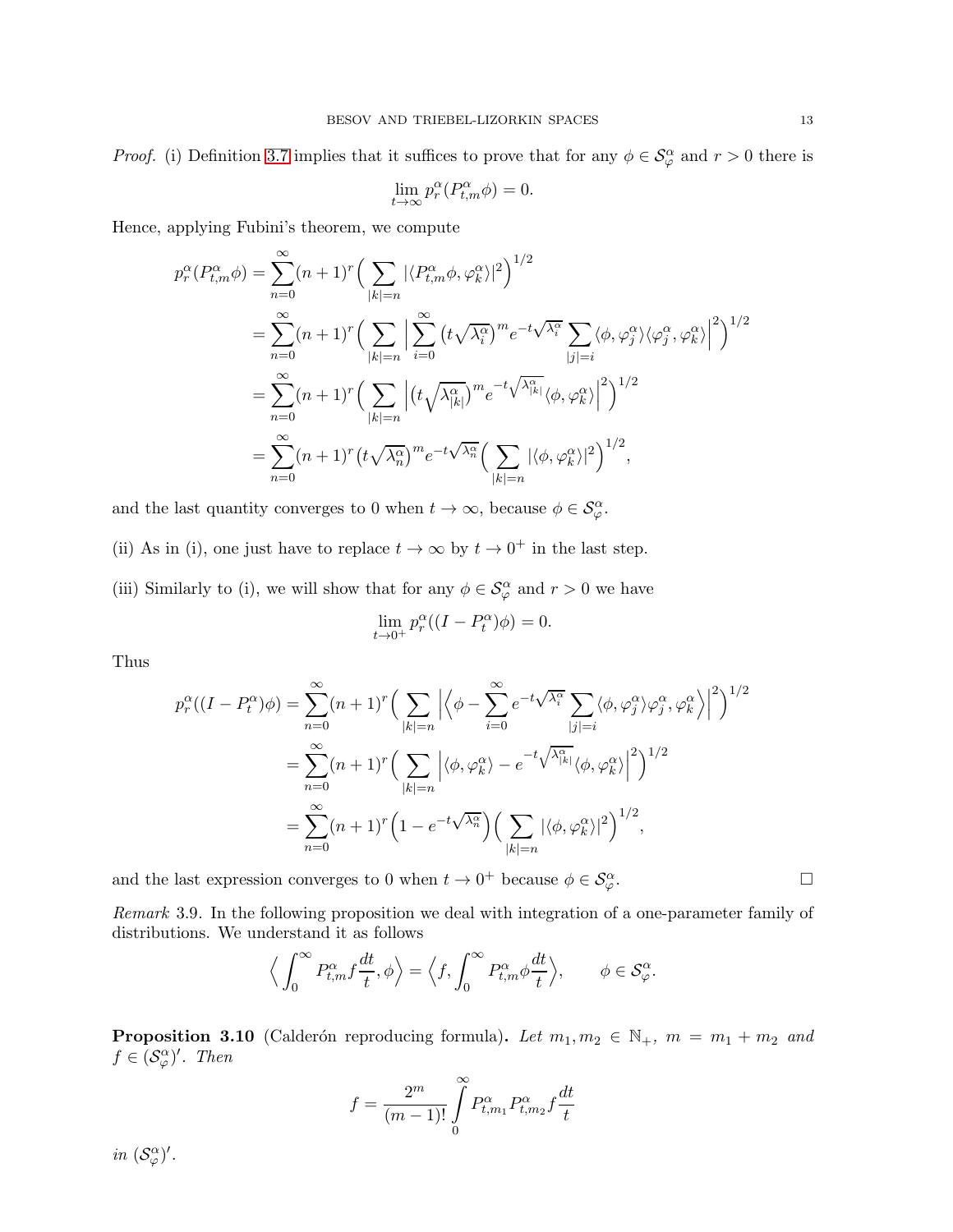*Proof.* (i) Definition [3.7](#page-11-0) implies that it suffices to prove that for any  $\phi \in \mathcal{S}_{\varphi}^{\alpha}$  and  $r > 0$  there is

$$
\lim_{t \to \infty} p_r^{\alpha} (P_{t,m}^{\alpha} \phi) = 0.
$$

Hence, applying Fubini's theorem, we compute

$$
p_r^{\alpha}(P_{t,m}^{\alpha}\phi) = \sum_{n=0}^{\infty} (n+1)^r \Big(\sum_{|k|=n} |\langle P_{t,m}^{\alpha}\phi, \varphi_k^{\alpha}\rangle|^2\Big)^{1/2}
$$
  
\n
$$
= \sum_{n=0}^{\infty} (n+1)^r \Big(\sum_{|k|=n} \Big|\sum_{i=0}^{\infty} \left(t\sqrt{\lambda_i^{\alpha}}\right)^m e^{-t\sqrt{\lambda_i^{\alpha}}}\sum_{|j|=i} \langle \phi, \varphi_j^{\alpha}\rangle \langle \varphi_j^{\alpha}, \varphi_k^{\alpha}\rangle \Big|^2\Big)^{1/2}
$$
  
\n
$$
= \sum_{n=0}^{\infty} (n+1)^r \Big(\sum_{|k|=n} \Big|\left(t\sqrt{\lambda_{|k|}^{\alpha}}\right)^m e^{-t\sqrt{\lambda_{|k|}^{\alpha}}} \langle \phi, \varphi_k^{\alpha}\rangle \Big|^2\Big)^{1/2}
$$
  
\n
$$
= \sum_{n=0}^{\infty} (n+1)^r \left(t\sqrt{\lambda_n^{\alpha}}\right)^m e^{-t\sqrt{\lambda_n^{\alpha}}} \Big(\sum_{|k|=n} |\langle \phi, \varphi_k^{\alpha}\rangle|^2\Big)^{1/2},
$$

and the last quantity converges to 0 when  $t \to \infty$ , because  $\phi \in \mathcal{S}_{\varphi}^{\alpha}$ .

(ii) As in (i), one just have to replace  $t \to \infty$  by  $t \to 0^+$  in the last step.

(iii) Similarly to (i), we will show that for any  $\phi \in \mathcal{S}_{\varphi}^{\alpha}$  and  $r > 0$  we have

$$
\lim_{t \to 0^+} p_r^{\alpha} ((I - P_t^{\alpha}) \phi) = 0.
$$

Thus

$$
p_r^{\alpha}((I - P_t^{\alpha})\phi) = \sum_{n=0}^{\infty} (n+1)^r \Big( \sum_{|k|=n} \Big| \Big\langle \phi - \sum_{i=0}^{\infty} e^{-t\sqrt{\lambda_i^{\alpha}}} \sum_{|j|=i} \langle \phi, \varphi_j^{\alpha} \rangle \varphi_j^{\alpha}, \varphi_k^{\alpha} \Big\rangle \Big|^2 \Big)^{1/2}
$$
  

$$
= \sum_{n=0}^{\infty} (n+1)^r \Big( \sum_{|k|=n} \Big| \langle \phi, \varphi_k^{\alpha} \rangle - e^{-t\sqrt{\lambda_{|k|}^{\alpha}}} \langle \phi, \varphi_k^{\alpha} \rangle \Big|^2 \Big)^{1/2}
$$
  

$$
= \sum_{n=0}^{\infty} (n+1)^r \Big( 1 - e^{-t\sqrt{\lambda_n^{\alpha}}} \Big) \Big( \sum_{|k|=n} |\langle \phi, \varphi_k^{\alpha} \rangle|^2 \Big)^{1/2},
$$

and the last expression converges to 0 when  $t \to 0^+$  because  $\phi \in \mathcal{S}_{\varphi}^{\alpha}$  $\varphi$ .

Remark 3.9. In the following proposition we deal with integration of a one-parameter family of distributions. We understand it as follows

$$
\left\langle \int_0^\infty P_{t,m}^\alpha f \frac{dt}{t}, \phi \right\rangle = \left\langle f, \int_0^\infty P_{t,m}^\alpha \phi \frac{dt}{t} \right\rangle, \qquad \phi \in \mathcal{S}_\varphi^\alpha.
$$

<span id="page-12-0"></span>**Proposition 3.10** (Calderón reproducing formula). Let  $m_1, m_2 \in \mathbb{N}_+$ ,  $m = m_1 + m_2$  and  $f \in (\mathcal{S}_{\varphi}^{\alpha})'$ . Then

$$
f = \frac{2^m}{(m-1)!} \int_{0}^{\infty} P_{t,m_1}^{\alpha} P_{t,m_2}^{\alpha} f \frac{dt}{t}
$$

in  $(\mathcal{S}_{\varphi}^{\alpha})'$ .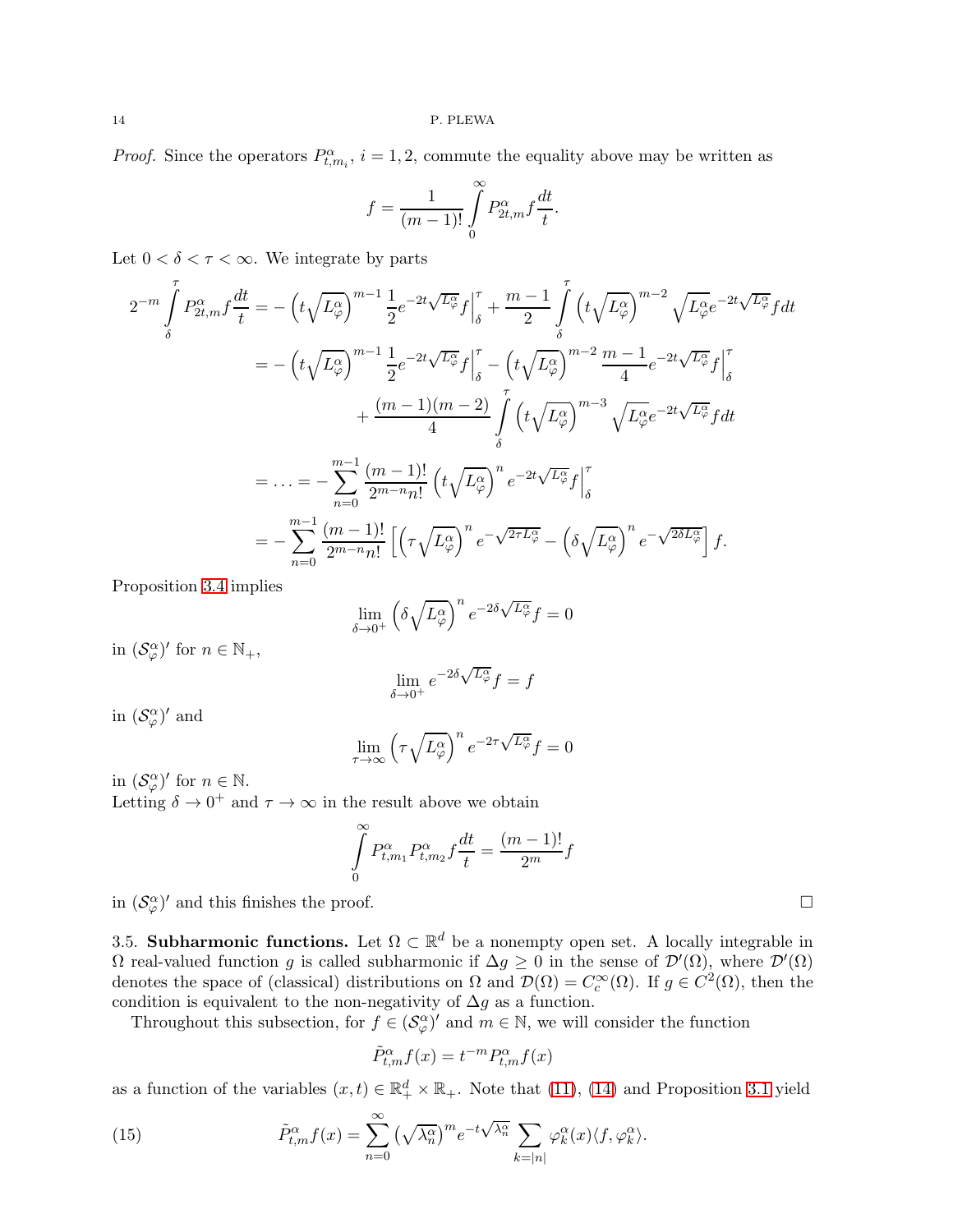*Proof.* Since the operators  $P_{t,m_i}^{\alpha}$ ,  $i = 1, 2$ , commute the equality above may be written as

$$
f = \frac{1}{(m-1)!} \int\limits_{0}^{\infty} P_{2t,m}^{\alpha} f \frac{dt}{t}.
$$

Let  $0 < \delta < \tau < \infty$ . We integrate by parts

$$
2^{-m} \int_{\delta}^{T} P_{2t,m}^{\alpha} f \frac{dt}{t} = -\left(t\sqrt{L_{\varphi}^{\alpha}}\right)^{m-1} \frac{1}{2} e^{-2t\sqrt{L_{\varphi}^{\alpha}}} f \Big|_{\delta}^{T} + \frac{m-1}{2} \int_{\delta}^{T} \left(t\sqrt{L_{\varphi}^{\alpha}}\right)^{m-2} \sqrt{L_{\varphi}^{\alpha}} e^{-2t\sqrt{L_{\varphi}^{\alpha}}} f dt
$$
  
\n
$$
= -\left(t\sqrt{L_{\varphi}^{\alpha}}\right)^{m-1} \frac{1}{2} e^{-2t\sqrt{L_{\varphi}^{\alpha}}} f \Big|_{\delta}^{T} - \left(t\sqrt{L_{\varphi}^{\alpha}}\right)^{m-2} \frac{m-1}{4} e^{-2t\sqrt{L_{\varphi}^{\alpha}}} f \Big|_{\delta}^{T}
$$
  
\n
$$
+ \frac{(m-1)(m-2)}{4} \int_{\delta}^{T} \left(t\sqrt{L_{\varphi}^{\alpha}}\right)^{m-3} \sqrt{L_{\varphi}^{\alpha}} e^{-2t\sqrt{L_{\varphi}^{\alpha}}} f dt
$$
  
\n
$$
= \dots = -\sum_{n=0}^{m-1} \frac{(m-1)!}{2^{m-n} n!} \left(t\sqrt{L_{\varphi}^{\alpha}}\right)^{n} e^{-2t\sqrt{L_{\varphi}^{\alpha}}} f \Big|_{\delta}^{T}
$$
  
\n
$$
= -\sum_{n=0}^{m-1} \frac{(m-1)!}{2^{m-n} n!} \left[ \left(\tau \sqrt{L_{\varphi}^{\alpha}}\right)^{n} e^{-\sqrt{2\tau L_{\varphi}^{\alpha}}} - \left(\delta \sqrt{L_{\varphi}^{\alpha}}\right)^{n} e^{-\sqrt{2\delta L_{\varphi}^{\alpha}}} \right] f.
$$

Proposition [3.4](#page-11-1) implies

$$
\lim_{\delta \to 0^+} \left( \delta \sqrt{L^{\alpha}_{\varphi}} \right)^n e^{-2\delta \sqrt{L^{\alpha}_{\varphi}}} f = 0
$$

in  $(\mathcal{S}_{\varphi}^{\alpha})'$  for  $n \in \mathbb{N}_{+}$ ,

$$
\lim_{\delta \to 0^+} e^{-2\delta \sqrt{L^{\alpha}_{\varphi}}} f = f
$$

in  $(\mathcal{S}_{\varphi}^{\alpha})'$  and

$$
\lim_{\tau \to \infty} \left( \tau \sqrt{L_{\varphi}^{\alpha}} \right)^n e^{-2\tau \sqrt{L_{\varphi}^{\alpha}}} f = 0
$$

in  $(\mathcal{S}_{\varphi}^{\alpha})'$  for  $n \in \mathbb{N}$ .

Letting  $\delta \to 0^+$  and  $\tau \to \infty$  in the result above we obtain

$$
\int_{0}^{\infty} P_{t,m_1}^{\alpha} P_{t,m_2}^{\alpha} f \frac{dt}{t} = \frac{(m-1)!}{2^m} f
$$

in  $(\mathcal{S}_{\varphi}^{\alpha})'$  and this finishes the proof.

3.5. Subharmonic functions. Let  $\Omega \subset \mathbb{R}^d$  be a nonempty open set. A locally integrable in  $\Omega$  real-valued function g is called subharmonic if  $\Delta g \geq 0$  in the sense of  $\mathcal{D}'(\Omega)$ , where  $\mathcal{D}'(\Omega)$ denotes the space of (classical) distributions on  $\Omega$  and  $\mathcal{D}(\Omega) = C_c^{\infty}(\Omega)$ . If  $g \in C^2(\Omega)$ , then the condition is equivalent to the non-negativity of  $\Delta g$  as a function.

Throughout this subsection, for  $f \in (\mathcal{S}_{\varphi}^{\alpha})'$  and  $m \in \mathbb{N}$ , we will consider the function

<span id="page-13-0"></span>
$$
\tilde{P}_{t,m}^{\alpha}f(x) = t^{-m} P_{t,m}^{\alpha}f(x)
$$

as a function of the variables  $(x,t) \in \mathbb{R}_+^d \times \mathbb{R}_+$ . Note that [\(11\)](#page-7-1), [\(14\)](#page-9-1) and Proposition [3.1](#page-7-2) yield

(15) 
$$
\tilde{P}_{t,m}^{\alpha}f(x) = \sum_{n=0}^{\infty} \left(\sqrt{\lambda_n^{\alpha}}\right)^m e^{-t\sqrt{\lambda_n^{\alpha}}}\sum_{k=|n|} \varphi_k^{\alpha}(x) \langle f, \varphi_k^{\alpha} \rangle.
$$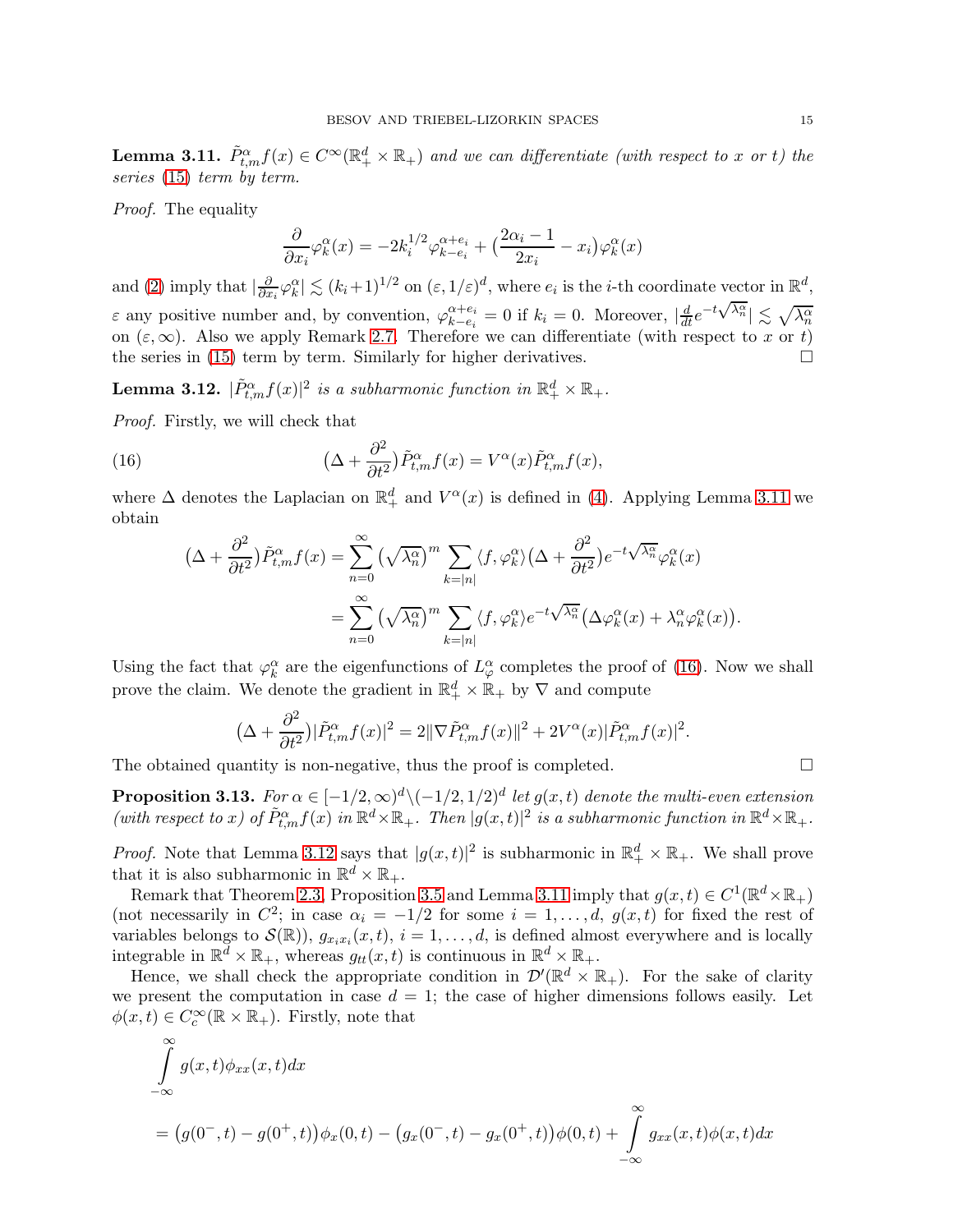<span id="page-14-0"></span>**Lemma 3.11.**  $\tilde{P}_{t,m}^{\alpha} f(x) \in C^{\infty}(\mathbb{R}^d_+ \times \mathbb{R}_+)$  and we can differentiate (with respect to x or t) the series [\(15\)](#page-13-0) term by term.

Proof. The equality

$$
\frac{\partial}{\partial x_i} \varphi_k^{\alpha}(x) = -2k_i^{1/2} \varphi_{k-e_i}^{\alpha+e_i} + \left(\frac{2\alpha_i - 1}{2x_i} - x_i\right) \varphi_k^{\alpha}(x)
$$

and [\(2\)](#page-2-1) imply that  $\vert \frac{\partial}{\partial x} \vert$  $\frac{\partial}{\partial x_i} \varphi_k^{\alpha} \leq (k_i+1)^{1/2}$  on  $(\varepsilon, 1/\varepsilon)^d$ , where  $e_i$  is the *i*-th coordinate vector in  $\mathbb{R}^d$ ,  $\varepsilon$  any positive number and, by convention,  $\varphi_{k-e_i}^{\alpha+e_i}$  $\alpha + e_i = 0$  if  $k_i = 0$ . Moreover,  $|\frac{d}{dt}e^{-t\sqrt{\lambda_n^{\alpha}}}| \lesssim \sqrt{\lambda_n^{\alpha}}$ on  $(\varepsilon,\infty)$ . Also we apply Remark [2.7.](#page-6-1) Therefore we can differentiate (with respect to x or t) the series in [\(15\)](#page-13-0) term by term. Similarly for higher derivatives.

<span id="page-14-2"></span>**Lemma 3.12.**  $|\tilde{P}_{t,m}^{\alpha}f(x)|^2$  is a subharmonic function in  $\mathbb{R}_+^d \times \mathbb{R}_+$ .

Proof. Firstly, we will check that

(16) 
$$
\left(\Delta + \frac{\partial^2}{\partial t^2}\right)\tilde{P}_{t,m}^{\alpha}f(x) = V^{\alpha}(x)\tilde{P}_{t,m}^{\alpha}f(x),
$$

where  $\Delta$  denotes the Laplacian on  $\mathbb{R}^d_+$  and  $V^{\alpha}(x)$  is defined in [\(4\)](#page-3-4). Applying Lemma [3.11](#page-14-0) we obtain

<span id="page-14-1"></span>
$$
\begin{split} \left(\Delta + \frac{\partial^2}{\partial t^2}\right) \tilde{P}_{t,m}^{\alpha} f(x) &= \sum_{n=0}^{\infty} \left(\sqrt{\lambda_n^{\alpha}}\right)^m \sum_{k=|n|} \langle f, \varphi_k^{\alpha} \rangle \left(\Delta + \frac{\partial^2}{\partial t^2}\right) e^{-t\sqrt{\lambda_n^{\alpha}}} \varphi_k^{\alpha}(x) \\ &= \sum_{n=0}^{\infty} \left(\sqrt{\lambda_n^{\alpha}}\right)^m \sum_{k=|n|} \langle f, \varphi_k^{\alpha} \rangle e^{-t\sqrt{\lambda_n^{\alpha}}} \left(\Delta \varphi_k^{\alpha}(x) + \lambda_n^{\alpha} \varphi_k^{\alpha}(x)\right). \end{split}
$$

Using the fact that  $\varphi_k^{\alpha}$  are the eigenfunctions of  $L^{\alpha}_{\varphi}$  completes the proof of [\(16\)](#page-14-1). Now we shall prove the claim. We denote the gradient in  $\mathbb{R}^d_+ \times \mathbb{R}_+$  by  $\nabla$  and compute

$$
\left(\Delta + \frac{\partial^2}{\partial t^2}\right)|\tilde{P}_{t,m}^{\alpha}f(x)|^2 = 2\|\nabla \tilde{P}_{t,m}^{\alpha}f(x)\|^2 + 2V^{\alpha}(x)|\tilde{P}_{t,m}^{\alpha}f(x)|^2.
$$

The obtained quantity is non-negative, thus the proof is completed.  $\Box$ 

<span id="page-14-3"></span>**Proposition 3.13.** For  $\alpha \in [-1/2, \infty)^d \setminus (-1/2, 1/2)^d$  let  $g(x, t)$  denote the multi-even extension (with respect to x) of  $\tilde{P}_{t,m}^{\alpha}f(x)$  in  $\mathbb{R}^d \times \mathbb{R}_+$ . Then  $|g(x,t)|^2$  is a subharmonic function in  $\mathbb{R}^d \times \mathbb{R}_+$ .

*Proof.* Note that Lemma [3.12](#page-14-2) says that  $|g(x,t)|^2$  is subharmonic in  $\mathbb{R}^d_+ \times \mathbb{R}_+$ . We shall prove that it is also subharmonic in  $\mathbb{R}^d \times \mathbb{R}_+$ .

Remark that Theorem [2.3,](#page-3-2) Proposition [3.5](#page-9-2) and Lemma [3.11](#page-14-0) imply that  $g(x,t) \in C^1(\mathbb{R}^d \times \mathbb{R}_+)$ (not necessarily in  $C^2$ ; in case  $\alpha_i = -1/2$  for some  $i = 1, \ldots, d$ ,  $g(x, t)$  for fixed the rest of variables belongs to  $\mathcal{S}(\mathbb{R})$ ,  $g_{x_ix_i}(x,t)$ ,  $i = 1, ..., d$ , is defined almost everywhere and is locally integrable in  $\mathbb{R}^d \times \mathbb{R}_+$ , whereas  $g_{tt}(x,t)$  is continuous in  $\mathbb{R}^d \times \mathbb{R}_+$ .

Hence, we shall check the appropriate condition in  $\mathcal{D}'(\mathbb{R}^d \times \mathbb{R}_+)$ . For the sake of clarity we present the computation in case  $d = 1$ ; the case of higher dimensions follows easily. Let  $\phi(x,t) \in C_c^{\infty}(\mathbb{R} \times \mathbb{R}_+).$  Firstly, note that

$$
\int_{-\infty}^{\infty} g(x,t)\phi_{xx}(x,t)dx
$$
\n
$$
= (g(0^-,t) - g(0^+,t))\phi_x(0,t) - (g_x(0^-,t) - g_x(0^+,t))\phi(0,t) + \int_{-\infty}^{\infty} g_{xx}(x,t)\phi(x,t)dx
$$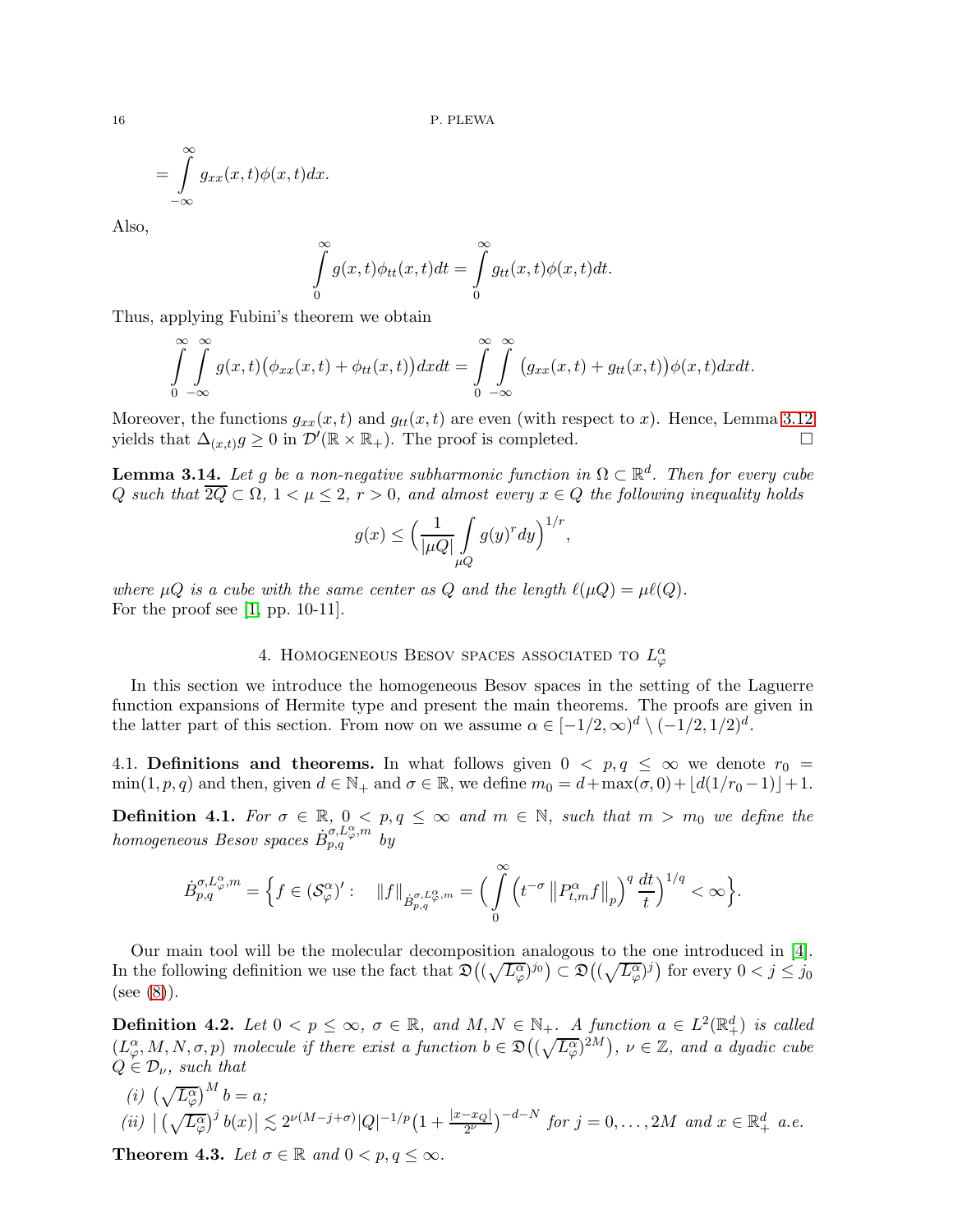$$
=\int_{-\infty}^{\infty}g_{xx}(x,t)\phi(x,t)dx.
$$

Also,

$$
\int_{0}^{\infty} g(x,t)\phi_{tt}(x,t)dt = \int_{0}^{\infty} g_{tt}(x,t)\phi(x,t)dt.
$$

Thus, applying Fubini's theorem we obtain

$$
\int_{0}^{\infty} \int_{-\infty}^{\infty} g(x,t) \big(\phi_{xx}(x,t) + \phi_{tt}(x,t)\big) dx dt = \int_{0}^{\infty} \int_{-\infty}^{\infty} \big(g_{xx}(x,t) + g_{tt}(x,t)\big) \phi(x,t) dx dt.
$$

Moreover, the functions  $g_{xx}(x, t)$  and  $g_{tt}(x, t)$  are even (with respect to x). Hence, Lemma [3.12](#page-14-2) yields that  $\Delta_{(x,t)}g \geq 0$  in  $\mathcal{D}'(\mathbb{R} \times \mathbb{R}_+)$ . The proof is completed.

<span id="page-15-1"></span>**Lemma 3.14.** Let g be a non-negative subharmonic function in  $\Omega \subset \mathbb{R}^d$ . Then for every cube Q such that  $\overline{2Q} \subset \Omega$ ,  $1 < \mu \leq 2$ ,  $r > 0$ , and almost every  $x \in Q$  the following inequality holds

$$
g(x) \le \left(\frac{1}{|\mu Q|} \int\limits_{\mu Q} g(y)^r dy\right)^{1/r},
$$

where  $\mu Q$  is a cube with the same center as Q and the length  $\ell(\mu Q) = \mu \ell(Q)$ . For the proof see [\[1,](#page-24-17) pp. 10-11].

# 4. HOMOGENEOUS BESOV SPACES ASSOCIATED TO  $L^{\alpha}_{\varphi}$

In this section we introduce the homogeneous Besov spaces in the setting of the Laguerre function expansions of Hermite type and present the main theorems. The proofs are given in the latter part of this section. From now on we assume  $\alpha \in [-1/2, \infty)^d \setminus (-1/2, 1/2)^d$ .

4.1. Definitions and theorems. In what follows given  $0 < p, q \leq \infty$  we denote  $r_0 =$  $\min(1, p, q)$  and then, given  $d \in \mathbb{N}_+$  and  $\sigma \in \mathbb{R}$ , we define  $m_0 = d + \max(\sigma, 0) + \lfloor d(1/r_0 - 1) \rfloor + 1$ .

**Definition 4.1.** For  $\sigma \in \mathbb{R}$ ,  $0 < p, q \leq \infty$  and  $m \in \mathbb{N}$ , such that  $m > m_0$  we define the  $homogeneous$  Besov spaces  $\dot{B}^{\sigma,L_{\varphi}^{\alpha},m}_{p,q}$  by

$$
\dot{B}_{p,q}^{\sigma,L_{\varphi}^{\alpha},m}=\Big\{f\in (\mathcal{S}_{\varphi}^{\alpha})':\quad \left\|f\right\|_{\dot{B}_{p,q}^{\sigma,L_{\varphi}^{\alpha},m}}=\Big(\int\limits_{0}^{\infty}\Big(t^{-\sigma}\left\|P_{t,m}^{\alpha}f\right\|_{p}\Big)^{q}\,\frac{dt}{t}\Big)^{1/q}<\infty\Big\}.
$$

Our main tool will be the molecular decomposition analogous to the one introduced in [\[4\]](#page-24-10). In the following definition we use the fact that  $\mathfrak{D}((\sqrt{L^{\alpha}_{\varphi}})^{j_0}) \subset \mathfrak{D}((\sqrt{L^{\alpha}_{\varphi}})^{j})$  for every  $0 < j \leq j_0$ (see [\(8\)](#page-6-2)).

**Definition 4.2.** Let  $0 < p \leq \infty$ ,  $\sigma \in \mathbb{R}$ , and  $M, N \in \mathbb{N}_+$ . A function  $a \in L^2(\mathbb{R}^d_+)$  is called  $(L_{\varphi}^{\alpha}, M, N, \sigma, p)$  molecule if there exist a function  $b \in \mathfrak{D}((\sqrt{L_{\varphi}^{\alpha}})^{2M}), \nu \in \mathbb{Z}$ , and a dyadic cube  $Q \in \mathcal{D}_{\nu}$ , such that

(i)  $(\sqrt{L_{\varphi}^{\alpha}})^{M} b = a;$  $(iii) \mid (\sqrt{L_{\varphi}^{\alpha}})^{j} b(x) \mid \leq 2^{\nu(M-j+\sigma)} |Q|^{-1/p} (1+\frac{|x-x_Q|}{2^{\nu}})^{-d-N}$  for  $j=0,\ldots,2M$  and  $x \in \mathbb{R}^d_+$  a.e.

<span id="page-15-0"></span>**Theorem 4.3.** Let  $\sigma \in \mathbb{R}$  and  $0 < p, q \leq \infty$ .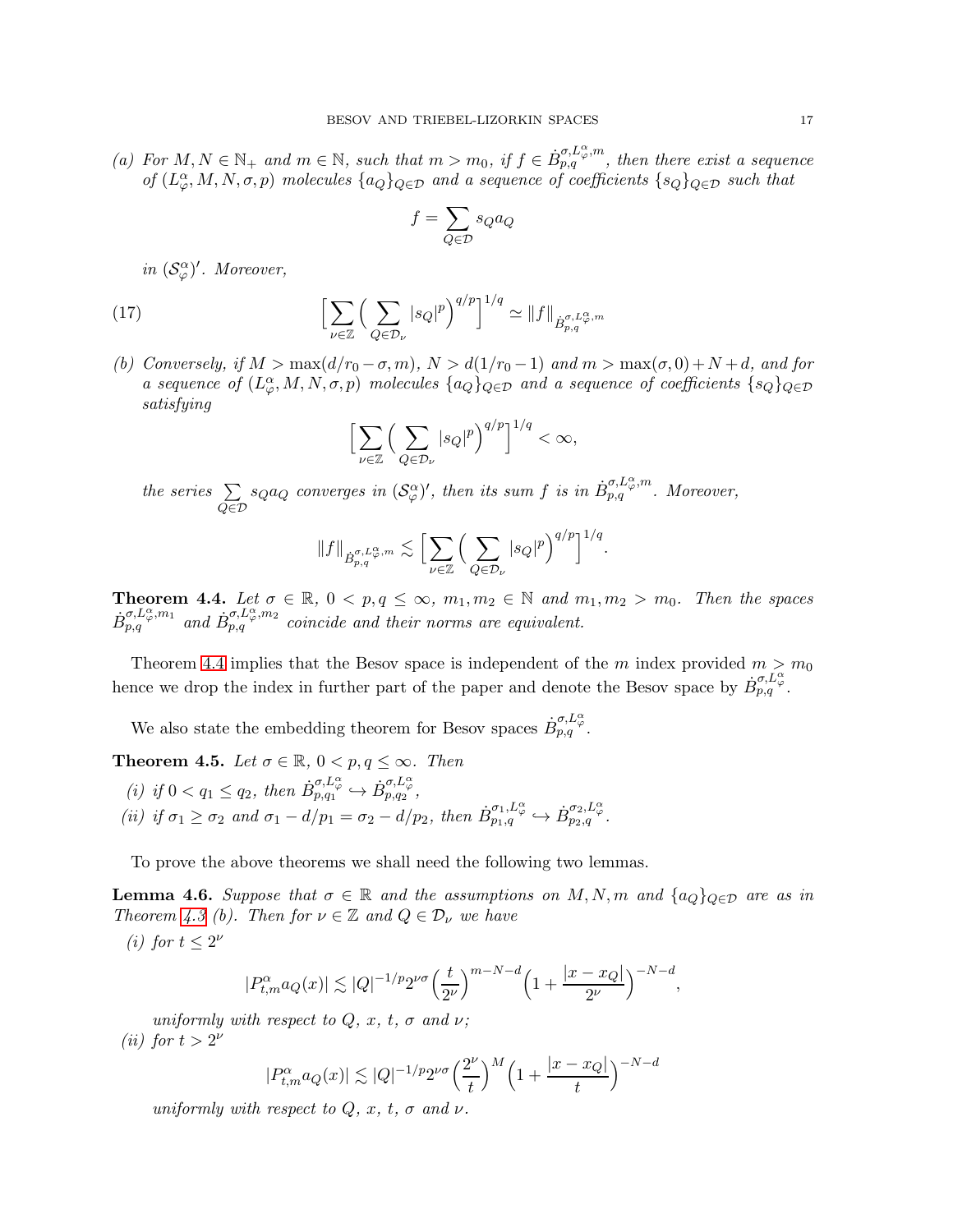(a) For  $M, N \in \mathbb{N}_+$  and  $m \in \mathbb{N}$ , such that  $m > m_0$ , if  $f \in \dot{B}_{p,q}^{\sigma,L_{\varphi}^{\alpha},m}$ , then there exist a sequence of  $(L^{\alpha}_{\varphi}, M, N, \sigma, p)$  molecules  $\{a_Q\}_{Q \in \mathcal{D}}$  and a sequence of coefficients  $\{s_Q\}_{Q \in \mathcal{D}}$  such that

$$
f = \sum_{Q \in \mathcal{D}} s_Q a_Q
$$

in  $(\mathcal{S}_{\varphi}^{\alpha})'$ . Moreover,

(17) 
$$
\left[\sum_{\nu \in \mathbb{Z}} \left(\sum_{Q \in \mathcal{D}_{\nu}} |s_Q|^p \right)^{q/p}\right]^{1/q} \simeq \|f\|_{\dot{B}^{\sigma, L_{\varphi}^{\alpha}, m}_{p,q}}
$$

(b) Conversely, if  $M > \max(d/r_0 - \sigma, m)$ ,  $N > d(1/r_0 - 1)$  and  $m > \max(\sigma, 0) + N + d$ , and for a sequence of  $(L^{\alpha}_{\varphi}, M, N, \sigma, p)$  molecules  $\{a_Q\}_{Q \in \mathcal{D}}$  and a sequence of coefficients  $\{s_Q\}_{Q \in \mathcal{D}}$ satisfying

<span id="page-16-2"></span>
$$
\Big[\sum_{\nu\in\mathbb{Z}}\Big(\sum_{Q\in\mathcal{D}_{\nu}}|s_Q|^p\Big)^{q/p}\Big]^{1/q}<\infty,
$$

the series  $\Sigma$  $Q\in\mathcal{D}$  $s_Q a_Q$  converges in  $(\mathcal{S}_{\varphi}^{\alpha})'$ , then its sum f is in  $\dot{B}_{p,q}^{\sigma,L_{\varphi}^{\alpha},m}$ . Moreover,

$$
||f||_{\dot{B}_{p,q}^{\sigma,L_{\varphi}^{\alpha},m}} \lesssim \Big[ \sum_{\nu \in \mathbb{Z}} \Big( \sum_{Q \in \mathcal{D}_{\nu}} |s_Q|^p \Big)^{q/p} \Big]^{1/q}.
$$

<span id="page-16-0"></span>**Theorem 4.4.** Let  $\sigma \in \mathbb{R}$ ,  $0 < p, q \le \infty$ ,  $m_1, m_2 \in \mathbb{N}$  and  $m_1, m_2 > m_0$ . Then the spaces  $\dot{B}_{p,q}^{\sigma,L_{\varphi}^{\alpha},m_1}$  and  $\dot{B}_{p,q}^{\sigma,L_{\varphi}^{\alpha},m_2}$  coincide and their norms are equivalent.

Theorem [4.4](#page-16-0) implies that the Besov space is independent of the m index provided  $m > m_0$ hence we drop the index in further part of the paper and denote the Besov space by  $\dot{B}_{p,q}^{\sigma,L_{\varphi}^{\alpha}}$ .

We also state the embedding theorem for Besov spaces  $\dot{B}^{\sigma,L_{\varphi}}_{p,q}$ .

<span id="page-16-1"></span>**Theorem 4.5.** Let  $\sigma \in \mathbb{R}$ ,  $0 < p, q \leq \infty$ . Then (i) if  $0 < q_1 \leq q_2$ , then  $\dot{B}^{\sigma, L^{\alpha}_{\varphi}}_{p,q_1} \hookrightarrow \dot{B}^{\sigma, L^{\alpha}_{\varphi}}_{p,q_2}$ , (ii) if  $\sigma_1 \geq \sigma_2$  and  $\sigma_1 - d/p_1 = \sigma_2 - d/p_2$ , then  $\dot{B}^{\sigma_1,L^{\alpha}_{\varphi}}_{p_1,q} \hookrightarrow \dot{B}^{\sigma_2,L^{\alpha}_{\varphi}}_{p_2,q}$ .

To prove the above theorems we shall need the following two lemmas.

<span id="page-16-3"></span>**Lemma 4.6.** Suppose that  $\sigma \in \mathbb{R}$  and the assumptions on M, N, m and  $\{a_Q\}_{Q\in\mathcal{D}}$  are as in Theorem [4.3](#page-15-0) (b). Then for  $\nu \in \mathbb{Z}$  and  $Q \in \mathcal{D}_{\nu}$  we have  $\left(\cdot\right)$  f<sub>or</sub>

(i) for 
$$
t \leq 2^{\nu}
$$

$$
|P_{t,m}^{\alpha}a_Q(x)|\lesssim |Q|^{-1/p}2^{\nu\sigma}\Big(\frac{t}{2^{\nu}}\Big)^{m-N-d}\Big(1+\frac{|x-x_Q|}{2^{\nu}}\Big)^{-N-d},
$$

uniformly with respect to  $Q, x, t, \sigma$  and  $\nu$ ; (*ii*) for  $t > 2^{\nu}$ 

$$
|P_{t,m}^{\alpha}a_Q(x)|\lesssim |Q|^{-1/p}2^{\nu\sigma}\Big(\frac{2^{\nu}}{t}\Big)^M\Big(1+\frac{|x-x_Q|}{t}\Big)^{-N-d}
$$

uniformly with respect to  $Q, x, t, \sigma$  and  $\nu$ .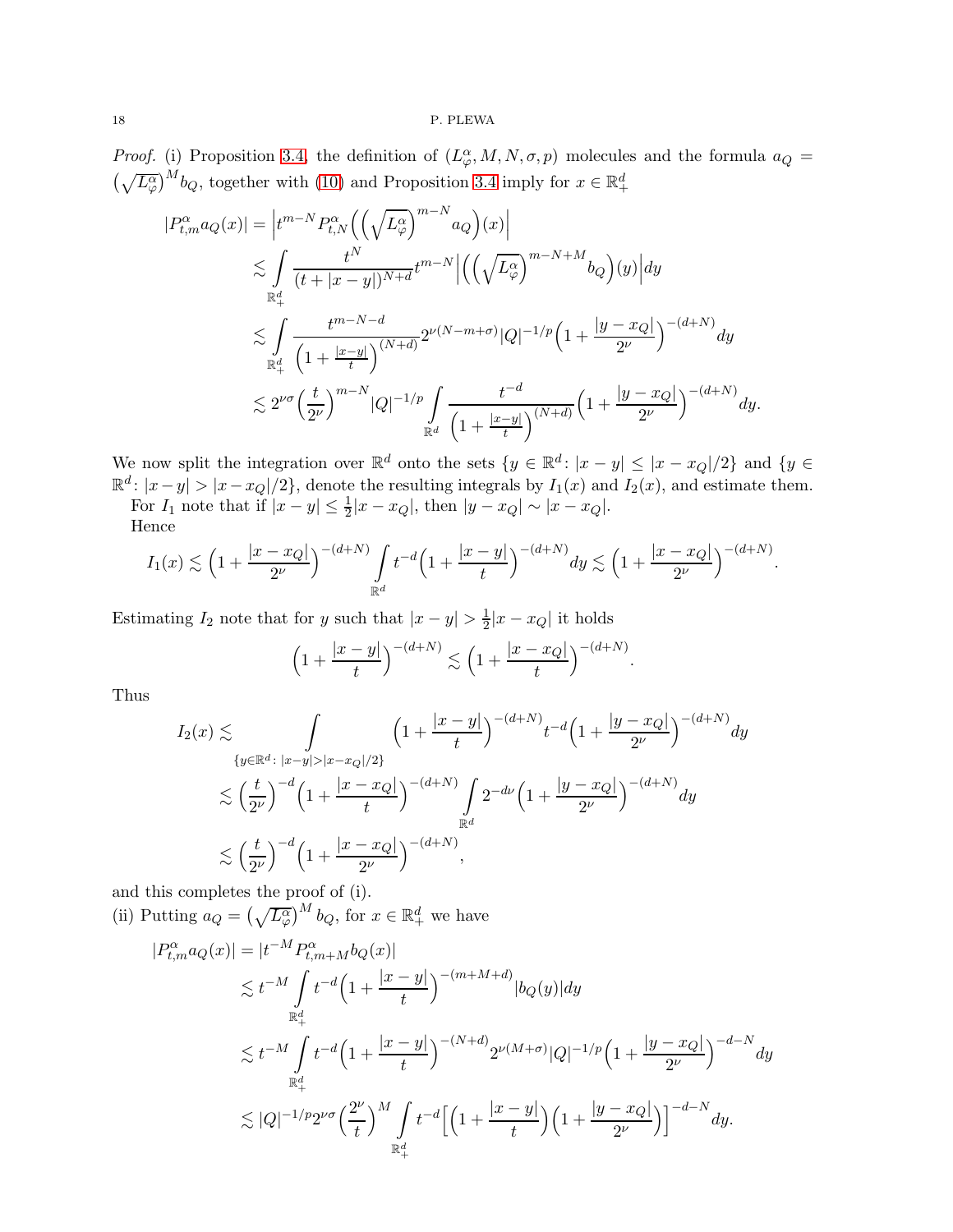## 18 P. PLEWA

*Proof.* (i) Proposition [3.4,](#page-9-0) the definition of  $(L^{\alpha}_{\varphi}, M, N, \sigma, p)$  molecules and the formula  $a_Q =$  $\left(\sqrt{L_{\varphi}^{\alpha}}\right)^{M}b_{Q}$ , together with [\(10\)](#page-7-3) and Proposition [3.4](#page-9-0) imply for  $x \in \mathbb{R}_{+}^{d}$ 

$$
|P_{t,m}^{\alpha}a_Q(x)| = \left| t^{m-N} P_{t,N}^{\alpha} \left( \left( \sqrt{L_{\varphi}^{\alpha}} \right)^{m-N} a_Q \right)(x) \right|
$$
  

$$
\lesssim \int_{\mathbb{R}_+^d} \frac{t^N}{(t+|x-y|)^{N+d}} t^{m-N} \left| \left( \left( \sqrt{L_{\varphi}^{\alpha}} \right)^{m-N+M} b_Q \right)(y) \right| dy
$$
  

$$
\lesssim \int_{\mathbb{R}_+^d} \frac{t^{m-N-d}}{\left( 1 + \frac{|x-y|}{t} \right)^{(N+d)}} 2^{\nu(N-m+\sigma)} |Q|^{-1/p} \left( 1 + \frac{|y-x_Q|}{2^{\nu}} \right)^{-(d+N)} dy
$$
  

$$
\lesssim 2^{\nu \sigma} \left( \frac{t}{2^{\nu}} \right)^{m-N} |Q|^{-1/p} \int_{\mathbb{R}^d} \frac{t^{-d}}{\left( 1 + \frac{|x-y|}{t} \right)^{(N+d)}} \left( 1 + \frac{|y-x_Q|}{2^{\nu}} \right)^{-(d+N)} dy.
$$

We now split the integration over  $\mathbb{R}^d$  onto the sets  $\{y \in \mathbb{R}^d : |x - y| \le |x - x_Q|/2\}$  and  $\{y \in \mathbb{R}^d : |x - y| > |x - x_Q|/2\}$ , denote the resulting integrals by  $I_1(x)$  and  $I_2(x)$ , and estimate them.

For  $I_1$  note that if  $|x-y| \leq \frac{1}{2}|x-x_Q|$ , then  $|y-x_Q| \sim |x-x_Q|$ . Hence

$$
I_1(x) \lesssim \left(1 + \frac{|x - x_Q|}{2^{\nu}}\right)^{-(d+N)} \int_{\mathbb{R}^d} t^{-d} \left(1 + \frac{|x - y|}{t}\right)^{-(d+N)} dy \lesssim \left(1 + \frac{|x - x_Q|}{2^{\nu}}\right)^{-(d+N)}
$$

.

Estimating  $I_2$  note that for y such that  $|x-y| > \frac{1}{2}$  $\frac{1}{2}|x-x_Q|$  it holds

$$
\left(1 + \frac{|x - y|}{t}\right)^{-(d + N)} \lesssim \left(1 + \frac{|x - x_Q|}{t}\right)^{-(d + N)}.
$$

Thus

$$
I_2(x) \lesssim \int_{\{y \in \mathbb{R}^d : \, |x-y| > |x-x_Q|/2\}} \left(1 + \frac{|x-y|}{t}\right)^{-(d+N)} t^{-d} \left(1 + \frac{|y-x_Q|}{2^{\nu}}\right)^{-(d+N)} dy
$$
  

$$
\lesssim \left(\frac{t}{2^{\nu}}\right)^{-d} \left(1 + \frac{|x-x_Q|}{t}\right)^{-(d+N)} \int_{\mathbb{R}^d} 2^{-d\nu} \left(1 + \frac{|y-x_Q|}{2^{\nu}}\right)^{-(d+N)} dy
$$
  

$$
\lesssim \left(\frac{t}{2^{\nu}}\right)^{-d} \left(1 + \frac{|x-x_Q|}{2^{\nu}}\right)^{-(d+N)},
$$

and this completes the proof of (i).

(ii) Putting  $a_Q = \left(\sqrt{L_{\varphi}^{\alpha}}\right)^M b_Q$ , for  $x \in \mathbb{R}_+^d$  we have

 $\left($ 

$$
\begin{split} |P_{t,m}^{\alpha}a_Q(x)|&=|t^{-M}P_{t,m+M}^{\alpha}b_Q(x)|\\ &\lesssim t^{-M}\int\limits_{\mathbb{R}^d_+}t^{-d}\Big(1+\frac{|x-y|}{t}\Big)^{-(m+M+d)}|b_Q(y)|dy\\ &\lesssim t^{-M}\int\limits_{\mathbb{R}^d_+}t^{-d}\Big(1+\frac{|x-y|}{t}\Big)^{-(N+d)}2^{\nu(M+\sigma)}|Q|^{-1/p}\Big(1+\frac{|y-x_Q|}{2^{\nu}}\Big)^{-d-N}dy\\ &\lesssim |Q|^{-1/p}2^{\nu\sigma}\Big(\frac{2^{\nu}}{t}\Big)^M\int\limits_{\mathbb{R}^d_+}t^{-d}\Big[\Big(1+\frac{|x-y|}{t}\Big)\Big(1+\frac{|y-x_Q|}{2^{\nu}}\Big)\Big]^{-d-N}dy. \end{split}
$$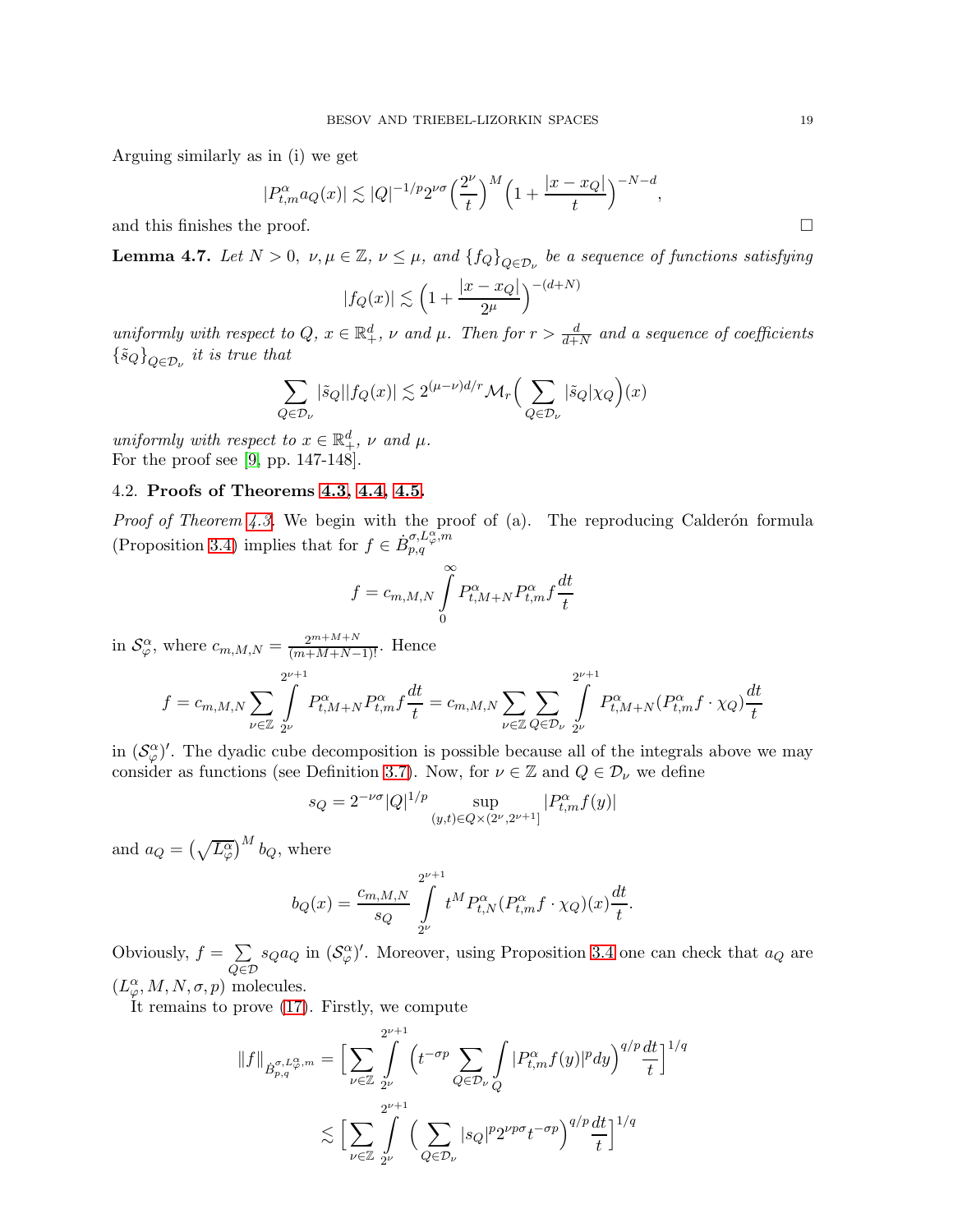Arguing similarly as in (i) we get

$$
|P_{t,m}^{\alpha}a_Q(x)| \lesssim |Q|^{-1/p}2^{\nu\sigma}\Big(\frac{2^{\nu}}{t}\Big)^M\Big(1+\frac{|x-x_Q|}{t}\Big)^{-N-d},
$$

and this finishes the proof.

<span id="page-18-0"></span>**Lemma 4.7.** Let  $N > 0$ ,  $\nu, \mu \in \mathbb{Z}$ ,  $\nu \leq \mu$ , and  $\{f_Q\}_{Q \in \mathcal{D}_\nu}$  be a sequence of functions satisfying

$$
|f_Q(x)| \lesssim \left(1 + \frac{|x - x_Q|}{2^{\mu}}\right)^{-(d+N)}
$$

uniformly with respect to Q,  $x \in \mathbb{R}^d_+$ ,  $\nu$  and  $\mu$ . Then for  $r > \frac{d}{d+N}$  and a sequence of coefficients  $\{\tilde{s}_Q\}_{Q \in \mathcal{D}_\nu}$  it is true that

$$
\sum_{Q \in \mathcal{D}_{\nu}} |\tilde{s}_Q| |f_Q(x)| \lesssim 2^{(\mu - \nu)d/r} \mathcal{M}_r \Big( \sum_{Q \in \mathcal{D}_{\nu}} |\tilde{s}_Q| \chi_Q \Big)(x)
$$

uniformly with respect to  $x \in \mathbb{R}^d_+, \nu$  and  $\mu$ . For the proof see [\[9,](#page-24-18) pp. 147-148].

## 4.2. Proofs of Theorems [4.3,](#page-15-0) [4.4,](#page-16-0) [4.5.](#page-16-1)

*Proof of Theorem [4.3.](#page-15-0)* We begin with the proof of (a). The reproducing Calderón formula (Proposition [3.4\)](#page-12-0) implies that for  $f \in \dot{B}^{\sigma, L_{\varphi}^{\alpha}, m}_{p,q}$ 

$$
f = c_{m,M,N} \int\limits_{0}^{\infty} P_{t,M+N}^{\alpha} P_{t,m}^{\alpha} f \frac{dt}{t}
$$

in  $\mathcal{S}_{\varphi}^{\alpha}$ , where  $c_{m,M,N} = \frac{2^{m+M+N}}{(m+M+N-1)!}$ . Hence

$$
f = c_{m,M,N} \sum_{\nu \in \mathbb{Z}} \int_{2^{\nu}}^{2^{\nu+1}} P^{\alpha}_{t,M+N} P^{\alpha}_{t,m} f \frac{dt}{t} = c_{m,M,N} \sum_{\nu \in \mathbb{Z}} \sum_{Q \in \mathcal{D}_{\nu}} \int_{2^{\nu}}^{2^{\nu+1}} P^{\alpha}_{t,M+N} (P^{\alpha}_{t,m} f \cdot \chi_Q) \frac{dt}{t}
$$

in  $(\mathcal{S}_{\varphi}^{\alpha})'$ . The dyadic cube decomposition is possible because all of the integrals above we may consider as functions (see Definition [3.7\)](#page-11-0). Now, for  $\nu \in \mathbb{Z}$  and  $Q \in \mathcal{D}_{\nu}$  we define

$$
s_Q = 2^{-\nu\sigma} |Q|^{1/p} \sup_{(y,t)\in Q \times (2^{\nu}, 2^{\nu+1}]} |P^{\alpha}_{t,m} f(y)|
$$

and  $a_Q = \left(\sqrt{L^{\alpha}_{\varphi}}\right)^M b_Q$ , where

$$
b_Q(x) = \frac{c_{m,M,N}}{s_Q} \int\limits_{2^{\nu}}^{2^{\nu+1}} t^M P_{t,N}^{\alpha} (P_{t,m}^{\alpha} f \cdot \chi_Q)(x) \frac{dt}{t}.
$$

Obviously,  $f = \sum$  $Q\in\mathcal{D}$  $s_Q a_Q$  in  $(\mathcal{S}_{\varphi}^{\alpha})'$ . Moreover, using Proposition [3.4](#page-9-0) one can check that  $a_Q$  are  $(L^{\alpha}_{\varphi}, M, N, \sigma, p)$  molecules.

It remains to prove [\(17\)](#page-16-2). Firstly, we compute

$$
||f||_{\dot{B}_{p,q}^{\sigma,L_{\varphi}^{\alpha,m}}} = \Big[\sum_{\nu \in \mathbb{Z}} \int_{2^{\nu}}^{2^{\nu+1}} \Big(t^{-\sigma p} \sum_{Q \in \mathcal{D}_{\nu}} \int_{Q} |P_{t,m}^{\alpha} f(y)|^p dy\Big)^{q/p} \frac{dt}{t}\Big]^{1/q}
$$
  

$$
\lesssim \Big[\sum_{\nu \in \mathbb{Z}} \int_{2^{\nu}}^{2^{\nu+1}} \Big(\sum_{Q \in \mathcal{D}_{\nu}} |s_Q|^p 2^{\nu p \sigma} t^{-\sigma p}\Big)^{q/p} \frac{dt}{t}\Big]^{1/q}
$$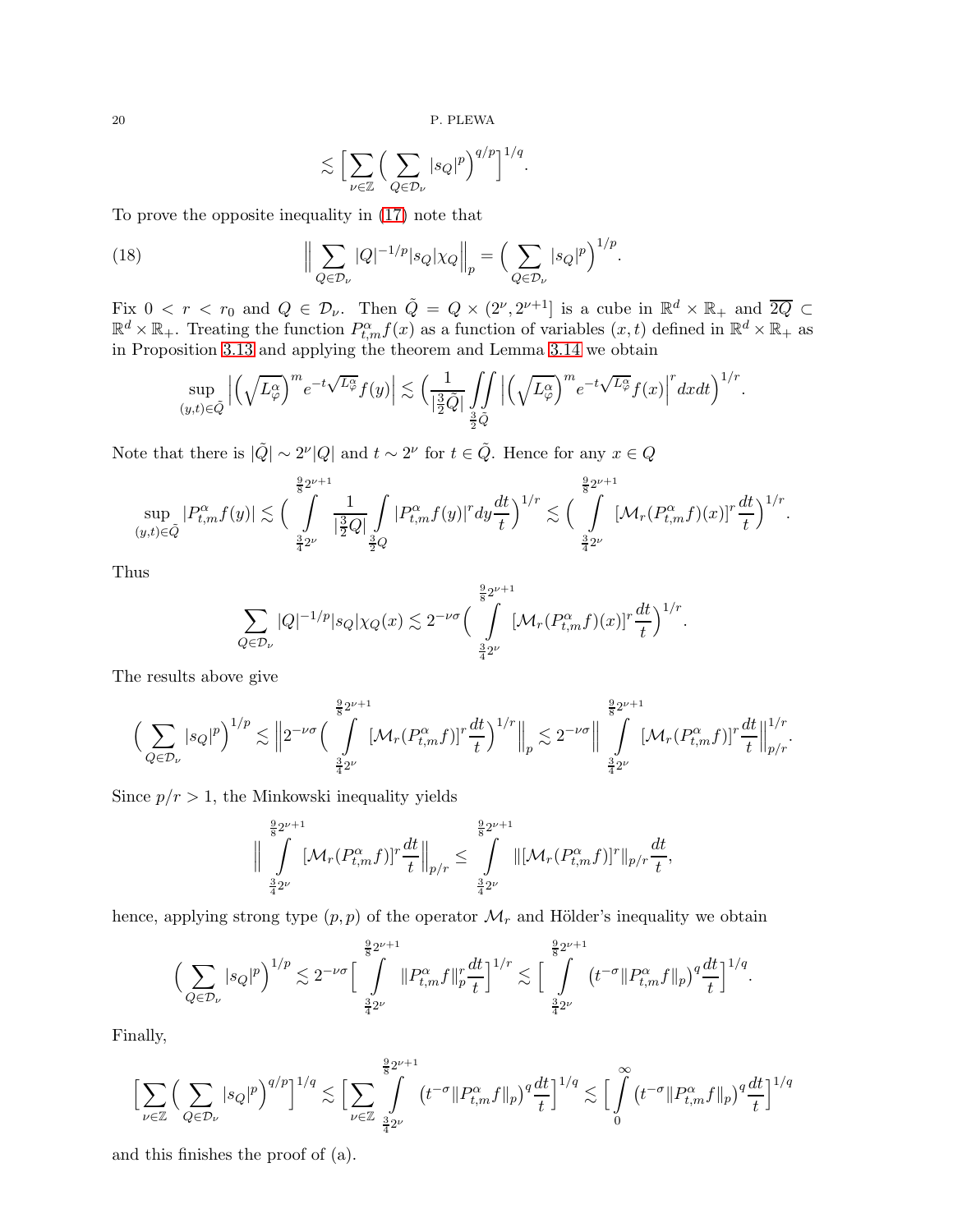<span id="page-19-0"></span>
$$
\lesssim \Big[ \sum_{\nu \in \mathbb{Z}} \Big( \sum_{Q \in \mathcal{D}_{\nu}} |s_Q|^p \Big)^{q/p} \Big]^{1/q}.
$$

To prove the opposite inequality in [\(17\)](#page-16-2) note that

(18) 
$$
\Big\|\sum_{Q\in\mathcal{D}_{\nu}}|Q|^{-1/p}|s_Q|\chi_Q\Big\|_p=\Big(\sum_{Q\in\mathcal{D}_{\nu}}|s_Q|^p\Big)^{1/p}.
$$

Fix  $0 < r < r_0$  and  $Q \in \mathcal{D}_\nu$ . Then  $\tilde{Q} = Q \times (2^{\nu}, 2^{\nu+1}]$  is a cube in  $\mathbb{R}^d \times \mathbb{R}_+$  and  $\overline{2Q} \subset \mathbb{R}^d \times \mathbb{R}_+$ . Treating the function  $P_{t,m}^{\alpha} f(x)$  as a function of variables  $(x, t)$  defined in  $\mathbb{R}$ in Proposition [3.13](#page-14-3) and applying the theorem and Lemma [3.14](#page-15-1) we obtain

$$
\sup_{(y,t)\in \tilde{Q}}\Big|\Big(\sqrt{L_{\varphi}^{\alpha}}\Big)^{m}e^{-t\sqrt{L_{\varphi}^{\alpha}}}f(y)\Big|\lesssim \Big(\frac{1}{|\frac{3}{2}\tilde{Q}|}\int\limits_{\frac{3}{2}\tilde{Q}}\Big|\Big(\sqrt{L_{\varphi}^{\alpha}}\Big)^{m}e^{-t\sqrt{L_{\varphi}^{\alpha}}}f(x)\Big|^r dxdt\Big)^{1/r}.
$$

Note that there is  $|\tilde{Q}| \sim 2^{\nu} |Q|$  and  $t \sim 2^{\nu}$  for  $t \in \tilde{Q}$ . Hence for any  $x \in Q$ 

$$
\sup_{(y,t)\in \tilde{Q}}|P_{t,m}^{\alpha}f(y)|\lesssim \Big(\int\limits_{\frac{3}{4}2^{\nu}}^{\frac{9}{8}2^{\nu+1}}\frac{1}{|\frac{3}{2}Q|}\int\limits_{\frac{3}{2}Q}|P_{t,m}^{\alpha}f(y)|^{r}dy\frac{dt}{t}\Big)^{1/r}\lesssim \Big(\int\limits_{\frac{3}{4}2^{\nu}}^{\frac{9}{8}2^{\nu+1}}[\mathcal{M}_{r}(P_{t,m}^{\alpha}f)(x)]^{r}\frac{dt}{t}\Big)^{1/r}.
$$

Thus

$$
\sum_{Q\in\mathcal{D}_{\nu}}|Q|^{-1/p}|s_Q|\chi_Q(x)\lesssim 2^{-\nu\sigma}\Big(\int\limits_{\frac{3}{4}2^{\nu}}^{\frac{9}{8}2^{\nu+1}}[\mathcal{M}_r(P_{t,m}^{\alpha}f)(x)]^r\frac{dt}{t}\Big)^{1/r}.
$$

The results above give

$$
\Big(\sum_{Q\in\mathcal{D}_{\nu}}|s_Q|^p\Big)^{1/p}\lesssim \Big\|2^{-\nu\sigma}\Big(\int\limits_{\frac{3}{4}2^{\nu}}^{\frac{9}{8}2^{\nu+1}}[\mathcal{M}_r(P_{t,m}^\alpha f)]^r\frac{dt}{t}\Big)^{1/r}\Big\|_p\lesssim 2^{-\nu\sigma}\Big\|\int\limits_{\frac{3}{4}2^{\nu}}^{\frac{9}{8}2^{\nu+1}}[\mathcal{M}_r(P_{t,m}^\alpha f)]^r\frac{dt}{t}\Big\|_{p/r}^{1/r}.
$$

Since  $p/r > 1$ , the Minkowski inequality yields

$$
\Big\|\int\limits_{\frac{3}{4}2^{\nu}}^{ \frac{9}{8}2^{\nu+1}}[\mathcal{M}_r(P_{t,m}^{\alpha}f)]^r\frac{dt}{t}\Big\|_{p/r}\leq \int\limits_{\frac{3}{4}2^{\nu}}^{ \frac{9}{8}2^{\nu+1}}\|[\mathcal{M}_r(P_{t,m}^{\alpha}f)]^r\|_{p/r}\frac{dt}{t},
$$

hence, applying strong type  $(p, p)$  of the operator  $\mathcal{M}_r$  and Hölder's inequality we obtain

$$
\Big(\sum_{Q\in\mathcal{D}_{\nu}}|s_Q|^p\Big)^{1/p}\lesssim 2^{-\nu\sigma}\Big[\int\limits_{\frac{3}{4}2^{\nu}}^{\frac{9}{8}2^{\nu+1}}\|P_{t,m}^{\alpha}f\|_p^r\frac{dt}{t}\Big]^{1/r}\lesssim \Big[\int\limits_{\frac{3}{4}2^{\nu}}^{\frac{9}{8}2^{\nu+1}}\big(t^{-\sigma}\|P_{t,m}^{\alpha}f\|_p\big)^q\frac{dt}{t}\Big]^{1/q}.
$$

Finally,

$$
\Big[\sum_{\nu\in\mathbb{Z}}\Big(\sum_{Q\in\mathcal{D}_{\nu}}|s_Q|^p\Big)^{q/p}\Big]^{1/q}\lesssim \Big[\sum_{\nu\in\mathbb{Z}}\int\limits_{\frac{3}{4}2^{\nu}}^{\frac{9}{8}2^{\nu+1}}\big(t^{-\sigma}\|P_{t,m}^{\alpha}f\|_p\big)^q\frac{dt}{t}\Big]^{1/q}\lesssim \Big[\int\limits_{0}^{\infty}\big(t^{-\sigma}\|P_{t,m}^{\alpha}f\|_p\big)^q\frac{dt}{t}\Big]^{1/q}
$$

and this finishes the proof of (a).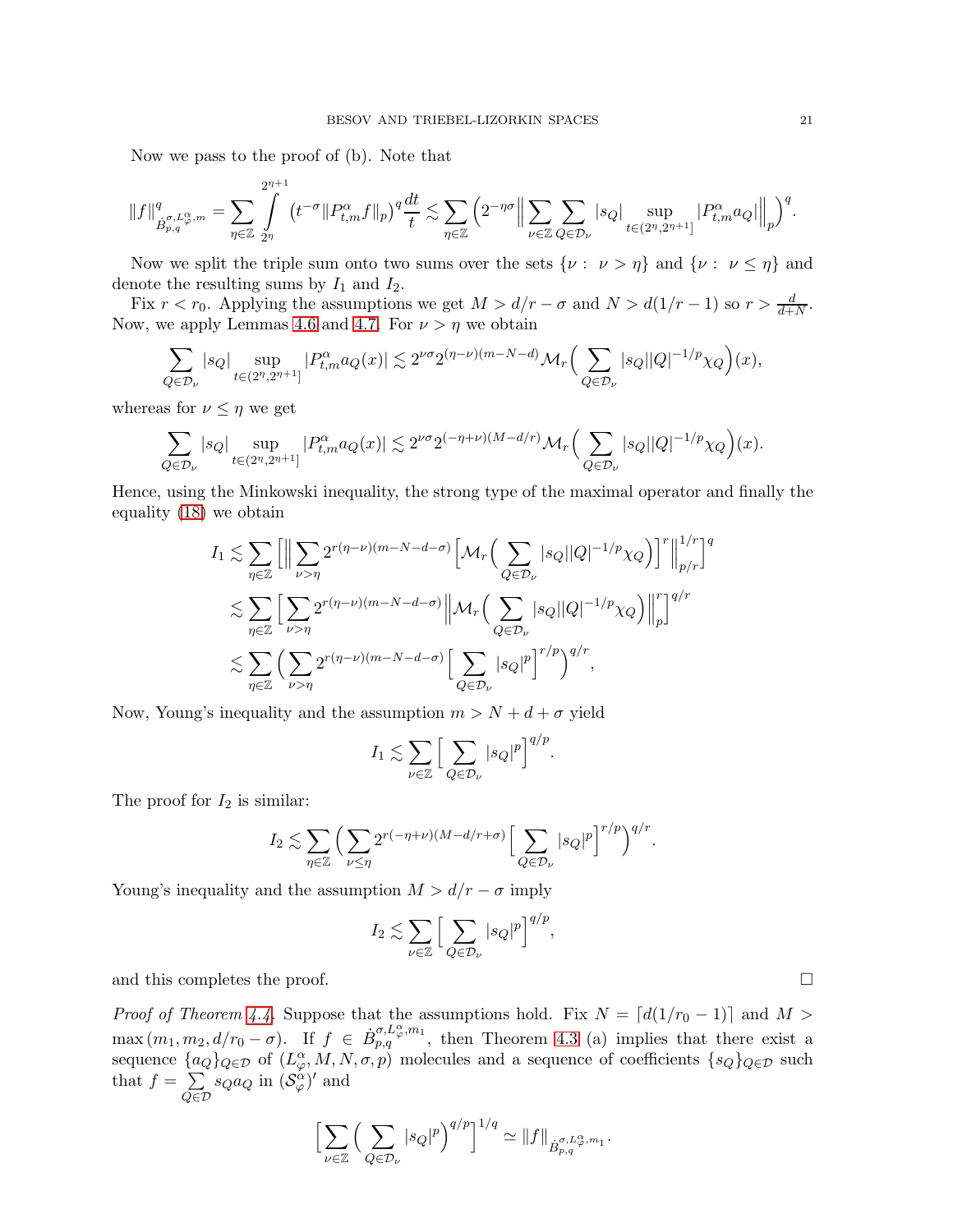Now we pass to the proof of (b). Note that

$$
||f||_{\dot{B}_{p,q}^{\sigma,L_{\varphi}^{\alpha},m}}^q = \sum_{\eta \in \mathbb{Z}} \int_{2^{\eta}}^{2^{\eta+1}} \left( t^{-\sigma} ||P_{t,m}^{\alpha} f||_p \right)^q \frac{dt}{t} \lesssim \sum_{\eta \in \mathbb{Z}} \left( 2^{-\eta\sigma} \Big\Vert \sum_{\nu \in \mathbb{Z}} \sum_{Q \in \mathcal{D}_{\nu}} |s_Q| \sup_{t \in (2^{\eta},2^{\eta+1}]} |P_{t,m}^{\alpha} a_Q||_{p} \Big\Vert_{p} \right)^q.
$$

Now we split the triple sum onto two sums over the sets  $\{\nu : \nu > \eta\}$  and  $\{\nu : \nu \leq \eta\}$  and denote the resulting sums by  $I_1$  and  $I_2$ .

Fix  $r < r_0$ . Applying the assumptions we get  $M > d/r - \sigma$  and  $N > d(1/r - 1)$  so  $r > \frac{d}{d+N}$ . Now, we apply Lemmas [4.6](#page-16-3) and [4.7.](#page-18-0) For  $\nu > \eta$  we obtain

$$
\sum_{Q \in \mathcal{D}_{\nu}} |s_Q| \sup_{t \in (2^n, 2^{n+1}]} |P^{\alpha}_{t,m} a_Q(x)| \lesssim 2^{\nu \sigma} 2^{(\eta - \nu)(m - N - d)} \mathcal{M}_r \Big( \sum_{Q \in \mathcal{D}_{\nu}} |s_Q| |Q|^{-1/p} \chi_Q \Big)(x),
$$

whereas for  $\nu \leq \eta$  we get

$$
\sum_{Q\in\mathcal{D}_\nu}|s_Q|\sup_{t\in(2^n,2^{n+1}]}|P^\alpha_{t,m}a_Q(x)|\lesssim 2^{\nu\sigma}2^{(-\eta+\nu)(M-d/r)}\mathcal{M}_r\Big(\sum_{Q\in\mathcal{D}_\nu}|s_Q||Q|^{-1/p}\chi_Q\Big)(x).
$$

Hence, using the Minkowski inequality, the strong type of the maximal operator and finally the equality [\(18\)](#page-19-0) we obtain

$$
I_1 \lesssim \sum_{\eta \in \mathbb{Z}} \left[ \left\| \sum_{\nu > \eta} 2^{r(\eta - \nu)(m - N - d - \sigma)} \left[ \mathcal{M}_r \left( \sum_{Q \in \mathcal{D}_{\nu}} |s_Q| |Q|^{-1/p} \chi_Q \right) \right]^r \right\|_{p/r}^{1/r} \right]^q
$$
  

$$
\lesssim \sum_{\eta \in \mathbb{Z}} \left[ \sum_{\nu > \eta} 2^{r(\eta - \nu)(m - N - d - \sigma)} \left\| \mathcal{M}_r \left( \sum_{Q \in \mathcal{D}_{\nu}} |s_Q| |Q|^{-1/p} \chi_Q \right) \right\|_p^r \right]^{q/r}
$$
  

$$
\lesssim \sum_{\eta \in \mathbb{Z}} \left( \sum_{\nu > \eta} 2^{r(\eta - \nu)(m - N - d - \sigma)} \left[ \sum_{Q \in \mathcal{D}_{\nu}} |s_Q|^p \right]^{r/p} \right)^{q/r},
$$

Now, Young's inequality and the assumption  $m > N + d + \sigma$  yield

$$
I_1 \lesssim \sum_{\nu \in \mathbb{Z}} \Big[ \sum_{Q \in \mathcal{D}_{\nu}} |s_Q|^p \Big]^{q/p}.
$$

The proof for  $I_2$  is similar:

$$
I_2 \lesssim \sum_{\eta \in \mathbb{Z}} \Big( \sum_{\nu \leq \eta} 2^{r(-\eta+\nu)(M-d/r+\sigma)} \Big[ \sum_{Q \in \mathcal{D}_{\nu}} |s_Q|^p \Big]^{r/p} \Big)^{q/r}.
$$

Young's inequality and the assumption  $M > d/r - \sigma$  imply

$$
I_2 \lesssim \sum_{\nu \in \mathbb{Z}} \Big[ \sum_{Q \in \mathcal{D}_{\nu}} |s_Q|^p \Big]^{q/p},
$$

and this completes the proof.  $\Box$ 

*Proof of Theorem [4.4.](#page-16-0)* Suppose that the assumptions hold. Fix  $N = [d(1/r_0 - 1)]$  and  $M >$  $\max(m_1, m_2, d/r_0 - \sigma)$ . If  $f \in \dot{B}_{p,q}^{\sigma, L_{\varphi}^{\alpha}, m_1}$ , then Theorem [4.3](#page-15-0) (a) implies that there exist a sequence  $\{a_Q\}_{Q \in \mathcal{D}}$  of  $(L^{\alpha}_{\varphi}, M, N, \sigma, p)$  molecules and a sequence of coefficients  $\{s_Q\}_{Q \in \mathcal{D}}$  such that  $f = \sum$  $Q\in\mathcal{D}$  $s_Q a_Q$  in  $(\mathcal{S}_{\varphi}^{\alpha})'$  and

$$
\left[\sum_{\nu \in \mathbb{Z}} \left(\sum_{Q \in \mathcal{D}_{\nu}} |s_Q|^p \right)^{q/p}\right]^{1/q} \simeq ||f||_{\dot{B}_{p,q}^{\sigma, L_{\varphi}^{\alpha}, m_1}}.
$$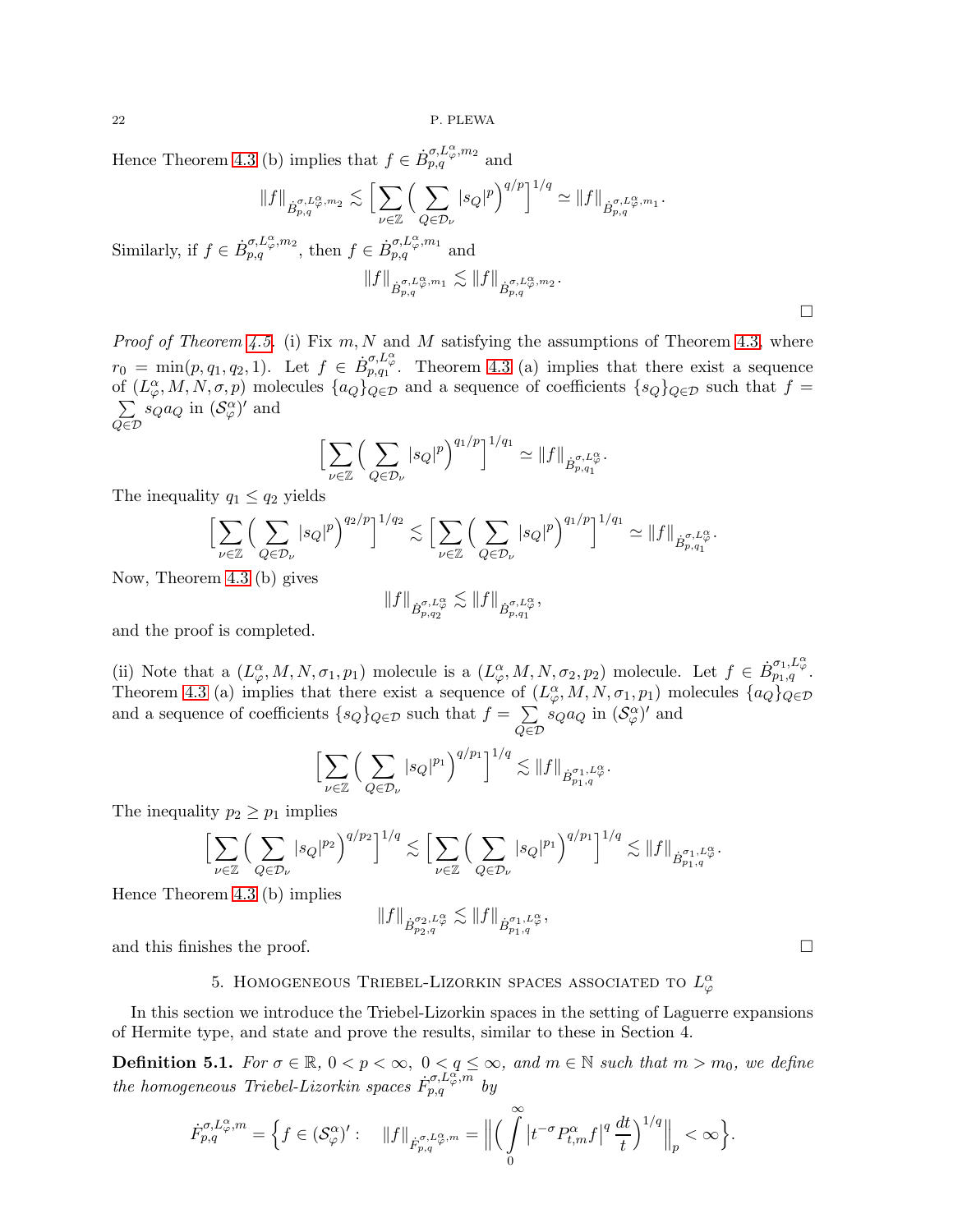22 P. PLEWA

Hence Theorem [4.3](#page-15-0) (b) implies that  $f \in \dot{B}^{\sigma, L^{\alpha}_{\varphi}, m_2}_{p,q}$  and

$$
||f||_{\dot{B}_{p,q}^{\sigma,L_{\varphi}^{\alpha},m_2}} \lesssim \Big[ \sum_{\nu \in \mathbb{Z}} \Big( \sum_{Q \in \mathcal{D}_{\nu}} |s_Q|^p \Big)^{q/p} \Big]^{1/q} \simeq ||f||_{\dot{B}_{p,q}^{\sigma,L_{\varphi}^{\alpha},m_1}}.
$$

Similarly, if  $f \in \dot{B}_{p,q}^{\sigma,L_{\varphi}^{\alpha},m_2}$ , then  $f \in \dot{B}_{p,q}^{\sigma,L_{\varphi}^{\alpha},m_1}$  and

$$
||f||_{\dot{B}_{p,q}^{\sigma,L_{\varphi}^{\alpha},m_1}} \lesssim ||f||_{\dot{B}_{p,q}^{\sigma,L_{\varphi}^{\alpha},m_2}}.
$$

*Proof of Theorem [4.5.](#page-16-1)* (i) Fix  $m, N$  and M satisfying the assumptions of Theorem [4.3,](#page-15-0) where  $r_0 = \min(p, q_1, q_2, 1)$ . Let  $f \in \dot{B}_{p,q_1}^{\sigma, L_{\varphi}^{\alpha}}$ . Theorem [4.3](#page-15-0) (a) implies that there exist a sequence of  $(L^{\alpha}_{\varphi}, M, N, \sigma, p)$  molecules  $\{a_Q\}_{Q \in \mathcal{D}}$  and a sequence of coefficients  $\{s_Q\}_{Q \in \mathcal{D}}$  such that  $f =$  $\sum$  $Q\in\mathcal{D}$  $s_Q a_Q$  in  $(\mathcal{S}_{\varphi}^{\alpha})'$  and

$$
\left[\sum_{\nu \in \mathbb{Z}} \left(\sum_{Q \in \mathcal{D}_{\nu}} |s_Q|^p \right)^{q_1/p} \right]^{1/q_1} \simeq ||f||_{\dot{B}^{\sigma, L_{\varphi}^{\alpha}}_{p,q_1}}.
$$

The inequality  $q_1 \leq q_2$  yields

$$
\Big[\sum_{\nu\in\mathbb{Z}}\Big(\sum_{Q\in\mathcal{D}_{\nu}}|s_Q|^p\Big)^{q_2/p}\Big]^{1/q_2}\lesssim \Big[\sum_{\nu\in\mathbb{Z}}\Big(\sum_{Q\in\mathcal{D}_{\nu}}|s_Q|^p\Big)^{q_1/p}\Big]^{1/q_1}\simeq \|f\|_{\dot{B}^{\sigma,L_q^{\alpha}}_{p,q_1^{\alpha}}}
$$

Now, Theorem [4.3](#page-15-0) (b) gives

$$
||f||_{\dot{B}_{p,q_2}^{\sigma,L^{\alpha}_{\varphi}}} \lesssim ||f||_{\dot{B}_{p,q_1}^{\sigma,L^{\alpha}_{\varphi}}},
$$

and the proof is completed.

(ii) Note that a  $(L^{\alpha}_{\varphi}, M, N, \sigma_1, p_1)$  molecule is a  $(L^{\alpha}_{\varphi}, M, N, \sigma_2, p_2)$  molecule. Let  $f \in \dot{B}^{\sigma_1, L^{\alpha}_{\varphi}}_{p_1, q}$ . Theorem [4.3](#page-15-0) (a) implies that there exist a sequence of  $(L^{\alpha}_{\varphi}, M, N, \sigma_1, p_1)$  molecules  $\{a_Q\}_{Q \in \mathcal{D}}$ and a sequence of coefficients  $\{s_Q\}_{Q \in \mathcal{D}}$  such that  $f = \sum_{Q \in \mathcal{D}}$  $Q\in\mathcal{D}$  $s_Q a_Q$  in  $(\mathcal{S}_{\varphi}^{\alpha})'$  and

$$
\Big[\sum_{\nu\in\mathbb{Z}}\Big(\sum_{Q\in\mathcal{D}_{\nu}}|s_Q|^{p_1}\Big)^{q/p_1}\Big]^{1/q}\lesssim\|f\|_{\dot{B}^{\sigma_1,L^{\alpha}_\varphi}_{p_1,q}}.
$$

The inequality  $p_2 \geq p_1$  implies

$$
\Big[\sum_{\nu\in\mathbb{Z}}\Big(\sum_{Q\in\mathcal{D}_{\nu}}|s_Q|^{p_2}\Big)^{q/p_2}\Big]^{1/q}\lesssim \Big[\sum_{\nu\in\mathbb{Z}}\Big(\sum_{Q\in\mathcal{D}_{\nu}}|s_Q|^{p_1}\Big)^{q/p_1}\Big]^{1/q}\lesssim\|f\|_{\dot{B}^{\sigma_1,L^{\alpha}_{\varphi}}_{p_1,q}}.
$$

Hence Theorem [4.3](#page-15-0) (b) implies

$$
||f||_{\dot{B}^{\sigma_2,L^{\alpha}_{\varphi}}_{p_2,q}} \lesssim ||f||_{\dot{B}^{\sigma_1,L^{\alpha}_{\varphi}}_{p_1,q}},
$$

and this finishes the proof.

# 5. HOMOGENEOUS TRIEBEL-LIZORKIN SPACES ASSOCIATED TO  $L^{\alpha}_{\varphi}$

In this section we introduce the Triebel-Lizorkin spaces in the setting of Laguerre expansions of Hermite type, and state and prove the results, similar to these in Section 4.

**Definition 5.1.** For  $\sigma \in \mathbb{R}$ ,  $0 < p < \infty$ ,  $0 < q \le \infty$ , and  $m \in \mathbb{N}$  such that  $m > m_0$ , we define the homogeneous Triebel-Lizorkin spaces  $\hat{F}_{p,q}^{\sigma, L_{\varphi}^{\alpha}, m}$  by

$$
\dot{F}_{p,q}^{\sigma,L_{\varphi}^{\alpha},m} = \Big\{ f \in (\mathcal{S}_{\varphi}^{\alpha})': \quad \Vert f \Vert_{\dot{F}_{p,q}^{\sigma,L_{\varphi}^{\alpha},m}} = \Big\Vert \Big( \int \limits_{0}^{\infty} \big| t^{-\sigma} P_{t,m}^{\alpha} f \big|^{q} \, \frac{dt}{t} \Big)^{1/q} \Big\Vert_{p} < \infty \Big\}.
$$

 $\Box$ 

.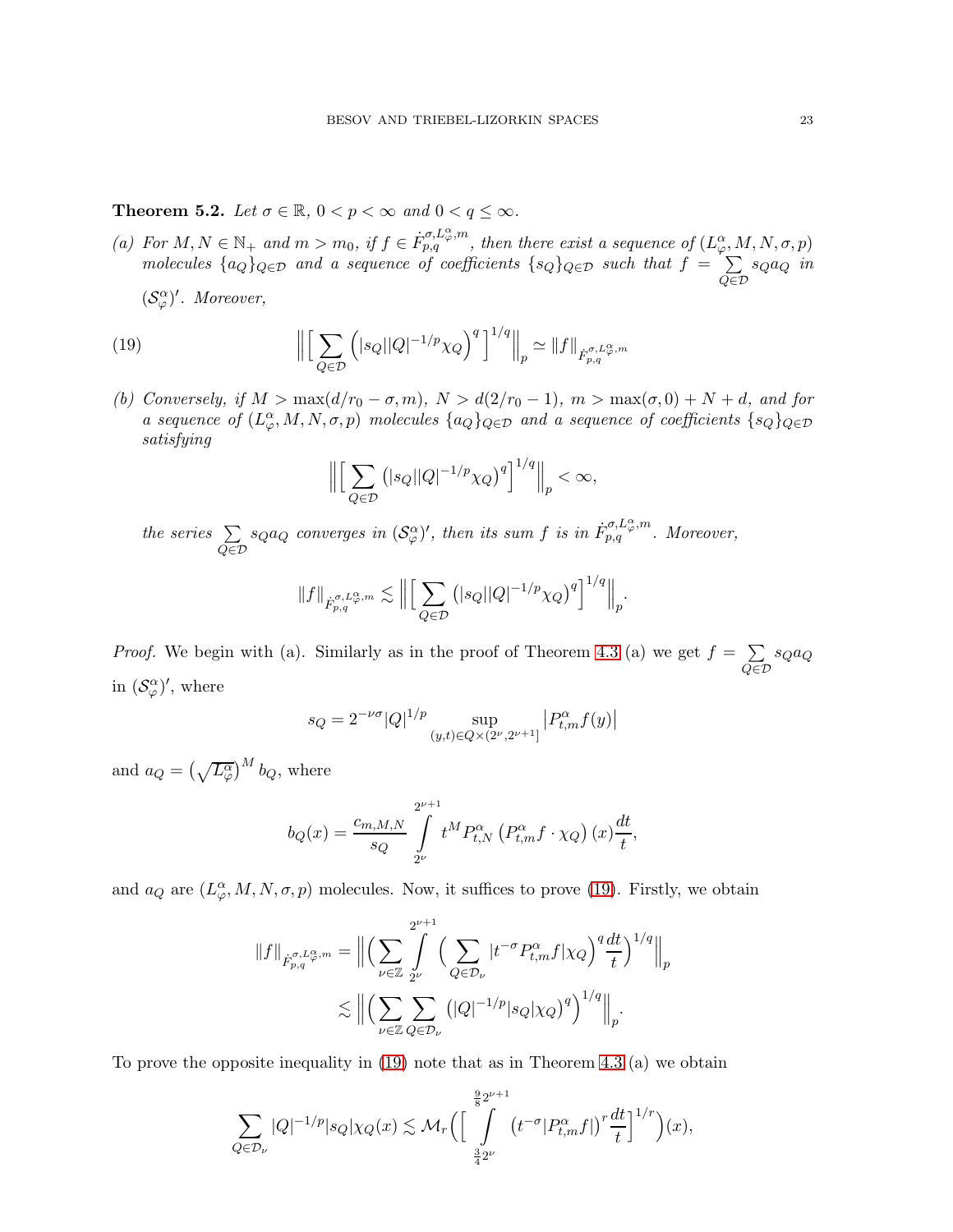**Theorem 5.2.** Let  $\sigma \in \mathbb{R}$ ,  $0 < p < \infty$  and  $0 < q \leq \infty$ .

(a) For  $M, N \in \mathbb{N}_+$  and  $m > m_0$ , if  $f \in \dot{F}_{p,q}^{\sigma, L_{\varphi}^{\alpha}, m}$ , then there exist a sequence of  $(L_{\varphi}^{\alpha}, M, N, \sigma, p)$ molecules  ${a_Q}_{Q \in \mathcal{D}}$  and a sequence of coefficients  ${s_Q}_{Q \in \mathcal{D}}$  such that  $f = \sum_{Q \in \mathcal{D}}$  $Q\in\mathcal{D}$ sQa<sup>Q</sup> in

 $(\mathcal{S}_{\varphi}^{\alpha})'$ . Moreover,

(19) 
$$
\left\| \left[ \sum_{Q \in \mathcal{D}} \left( |s_Q| |Q|^{-1/p} \chi_Q \right)^q \right]^{1/q} \right\|_p \simeq \|f\|_{\dot{F}_{p,q}^{\sigma,L_{\varphi}^{\alpha},m}}
$$

(b) Conversely, if  $M > \max(d/r_0 - \sigma, m)$ ,  $N > d(2/r_0 - 1)$ ,  $m > \max(\sigma, 0) + N + d$ , and for a sequence of  $(L^{\alpha}_{\varphi}, M, N, \sigma, p)$  molecules  $\{a_Q\}_{Q \in \mathcal{D}}$  and a sequence of coefficients  $\{s_Q\}_{Q \in \mathcal{D}}$ satisfying

<span id="page-22-0"></span>
$$
\Big\|\Big[\sum_{Q\in\mathcal{D}}\big(|s_Q||Q|^{-1/p}\chi_Q\big)^q\Big]^{1/q}\Big\|_p<\infty,
$$

the series  $\Sigma$  $Q\in\mathcal{D}$  $s_Q a_Q$  converges in  $(\mathcal{S}_{\varphi}^{\alpha})'$ , then its sum f is in  $\dot{F}_{p,q}^{\sigma,L_{\varphi}^{\alpha},m}$ . Moreover,

$$
||f||_{\dot{F}_{p,q}^{\sigma,L_{\varphi}^{\alpha,m}}}\lesssim \Big\|\Big[\sum_{Q\in\mathcal{D}}\big(|s_Q||Q|^{-1/p}\chi_Q\big)^q\Big]^{1/q}\Big\|_p.
$$

*Proof.* We begin with (a). Similarly as in the proof of Theorem [4.3](#page-15-0) (a) we get  $f = \sum$  $Q\in\mathcal{D}$ sQa<sup>Q</sup> in  $(\mathcal{S}_{\varphi}^{\alpha})'$ , where

$$
s_Q = 2^{-\nu\sigma} |Q|^{1/p} \sup_{(y,t)\in Q \times (2^{\nu}, 2^{\nu+1}]} |P^{\alpha}_{t,m} f(y)|
$$

and  $a_Q = \left(\sqrt{L^{\alpha}_{\varphi}}\right)^M b_Q$ , where

$$
b_Q(x) = \frac{c_{m,M,N}}{s_Q} \int\limits_{2^{\nu}}^{2^{\nu+1}} t^M P_{t,N}^{\alpha} \left( P_{t,m}^{\alpha} f \cdot \chi_Q \right)(x) \frac{dt}{t},
$$

and  $a_Q$  are  $(L^{\alpha}_{\varphi}, M, N, \sigma, p)$  molecules. Now, it suffices to prove [\(19\)](#page-22-0). Firstly, we obtain

$$
||f||_{\dot{F}_{p,q}^{\sigma,L_{\varphi}^{\alpha},m}} = \Big\| \Big( \sum_{\nu \in \mathbb{Z}} \int_{2^{\nu}}^{2^{\nu+1}} \Big( \sum_{Q \in \mathcal{D}_{\nu}} |t^{-\sigma} P_{t,m}^{\alpha} f | \chi_Q \Big)^{q} \frac{dt}{t} \Big)^{1/q} \Big\|_{p}
$$
  

$$
\lesssim \Big\| \Big( \sum_{\nu \in \mathbb{Z}} \sum_{Q \in \mathcal{D}_{\nu}} (|Q|^{-1/p} |s_Q| \chi_Q)^{q} \Big)^{1/q} \Big\|_{p}.
$$

To prove the opposite inequality in [\(19\)](#page-22-0) note that as in Theorem [4.3](#page-15-0) (a) we obtain

$$
\sum_{Q\in\mathcal{D}_{\nu}}|Q|^{-1/p}|s_Q|\chi_Q(x)\lesssim \mathcal{M}_r\Big(\Big[\int\limits_{\frac{3}{4}2^{\nu}}^{\frac{9}{8}2^{\nu+1}}\big(t^{-\sigma}|P_{t,m}^\alpha f|\big)^r\frac{dt}{t}\Big]^{1/r}\Big)(x),
$$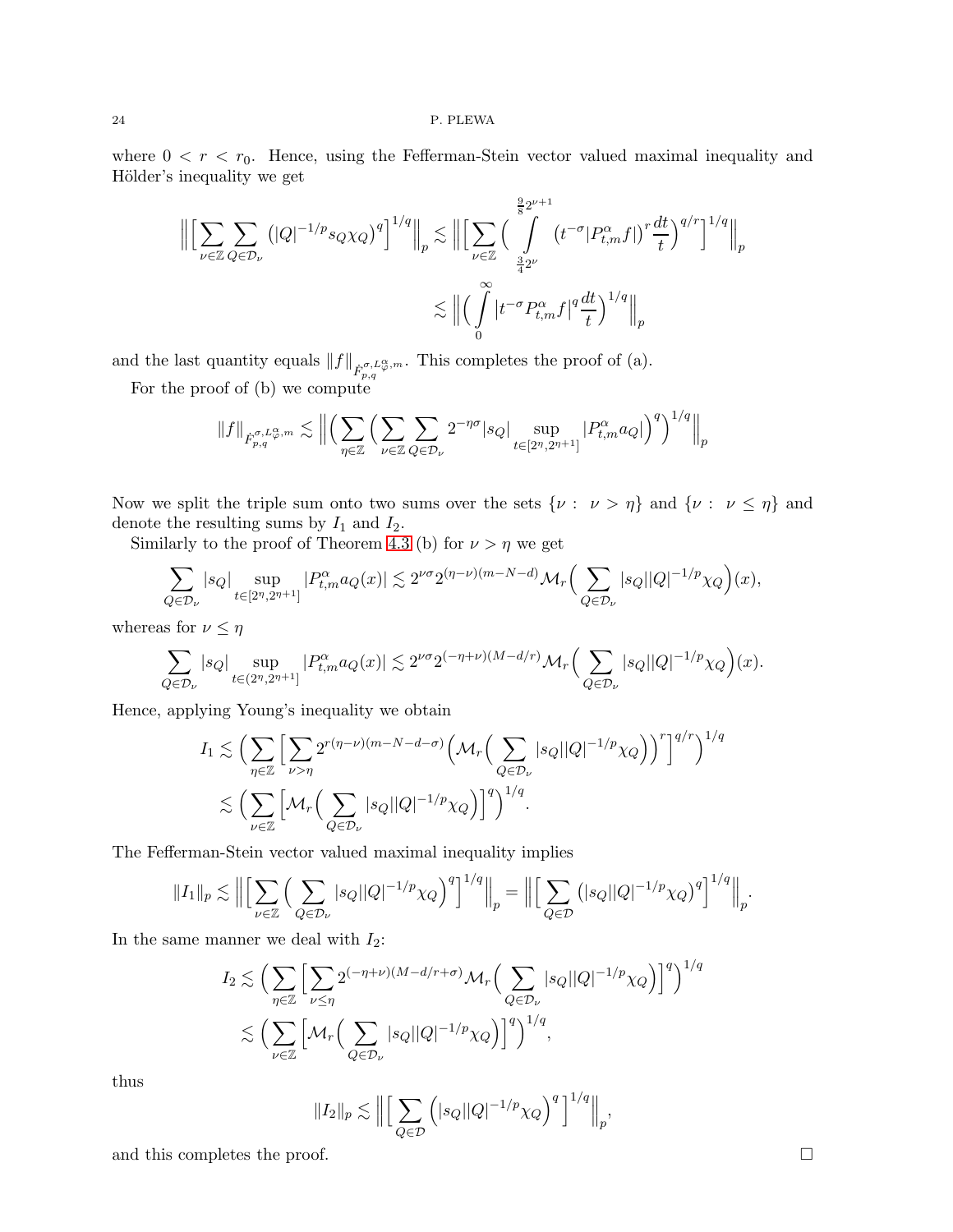where  $0 < r < r_0$ . Hence, using the Fefferman-Stein vector valued maximal inequality and Hölder's inequality we get

$$
\left\| \left[ \sum_{\nu \in \mathbb{Z}} \sum_{Q \in \mathcal{D}_{\nu}} \left( |Q|^{-1/p} s_Q \chi_Q \right)^q \right]^{1/q} \right\|_p \lesssim \left\| \left[ \sum_{\nu \in \mathbb{Z}} \left( \int\limits_{\frac{3}{4} 2^{\nu}}^{\frac{9}{8} 2^{\nu+1}} \left( t^{-\sigma} |P_{t,m}^{\alpha} f| \right)^r \frac{dt}{t} \right)^{q/r} \right\|_p \lesssim \left\| \left( \int\limits_0^{\infty} \left| t^{-\sigma} P_{t,m}^{\alpha} f \right|^q \frac{dt}{t} \right)^{1/q} \right\|_p
$$

and the last quantity equals  $||f||_{\dot{F}_{p,q}^{\sigma,L_{\varphi}^{\alpha},m}}$ . This completes the proof of (a).

For the proof of (b) we compute

$$
||f||_{\dot{F}_{p,q}^{\sigma,L_{\varphi}^{\alpha},m}} \lesssim ||\Big(\sum_{\eta\in\mathbb{Z}}\Big(\sum_{\nu\in\mathbb{Z}}\sum_{Q\in\mathcal{D}_{\nu}}2^{-\eta\sigma}|s_Q|\sup_{t\in[2^{\eta},2^{\eta+1}]}|P_{t,m}^{\alpha}a_Q|\Big)^{q}\Big)^{1/q}\Big||_p
$$

Now we split the triple sum onto two sums over the sets  $\{\nu : \nu > \eta\}$  and  $\{\nu : \nu \leq \eta\}$  and denote the resulting sums by  $I_1$  and  $I_2$ .

Similarly to the proof of Theorem [4.3](#page-15-0) (b) for  $\nu > \eta$  we get

$$
\sum_{Q \in \mathcal{D}_{\nu}} |s_Q| \sup_{t \in [2^n, 2^{n+1}]} |P^{\alpha}_{t,m} a_Q(x)| \lesssim 2^{\nu \sigma} 2^{(\eta - \nu)(m - N - d)} \mathcal{M}_r \Big( \sum_{Q \in \mathcal{D}_{\nu}} |s_Q| |Q|^{-1/p} \chi_Q \Big)(x),
$$

whereas for  $\nu \leq \eta$ 

$$
\sum_{Q\in\mathcal{D}_\nu}|s_Q|\sup_{t\in(2^\eta,2^{\eta+1}]}|P^\alpha_{t,m}a_Q(x)|\lesssim 2^{\nu\sigma}2^{(-\eta+\nu)(M-d/r)}\mathcal{M}_r\Big(\sum_{Q\in\mathcal{D}_\nu}|s_Q||Q|^{-1/p}\chi_Q\Big)(x).
$$

Hence, applying Young's inequality we obtain

$$
I_1 \lesssim \Big( \sum_{\eta \in \mathbb{Z}} \Big[ \sum_{\nu > \eta} 2^{r(\eta - \nu)(m - N - d - \sigma)} \Big( \mathcal{M}_r \Big( \sum_{Q \in \mathcal{D}_{\nu}} |s_Q| |Q|^{-1/p} \chi_Q \Big) \Big)^r \Big]^{q/r} \Big)^{1/q}
$$
  

$$
\lesssim \Big( \sum_{\nu \in \mathbb{Z}} \Big[ \mathcal{M}_r \Big( \sum_{Q \in \mathcal{D}_{\nu}} |s_Q| |Q|^{-1/p} \chi_Q \Big) \Big]^q \Big)^{1/q}.
$$

The Fefferman-Stein vector valued maximal inequality implies

$$
||I_1||_p \lesssim \Big\| \Big[ \sum_{\nu \in \mathbb{Z}} \Big( \sum_{Q \in \mathcal{D}_{\nu}} |s_Q| |Q|^{-1/p} \chi_Q \Big)^q \Big]^{1/q} \Big\|_p = \Big\| \Big[ \sum_{Q \in \mathcal{D}} \big( |s_Q| |Q|^{-1/p} \chi_Q \big)^q \Big]^{1/q} \Big\|_p.
$$

In the same manner we deal with  $I_2$ :

$$
I_2 \lesssim \Big( \sum_{\eta \in \mathbb{Z}} \Big[ \sum_{\nu \le \eta} 2^{(-\eta+\nu)(M-d/r+\sigma)} \mathcal{M}_r \Big( \sum_{Q \in \mathcal{D}_{\nu}} |s_Q| |Q|^{-1/p} \chi_Q \Big) \Big]^q \Big)^{1/q}
$$
  

$$
\lesssim \Big( \sum_{\nu \in \mathbb{Z}} \Big[ \mathcal{M}_r \Big( \sum_{Q \in \mathcal{D}_{\nu}} |s_Q| |Q|^{-1/p} \chi_Q \Big) \Big]^q \Big)^{1/q},
$$

thus

$$
||I_2||_p \lesssim ||\Big[\sum_{Q \in \mathcal{D}} (|s_Q||Q|^{-1/p} \chi_Q)^q\Big]^{1/q}||_p,
$$

and this completes the proof.  $\Box$